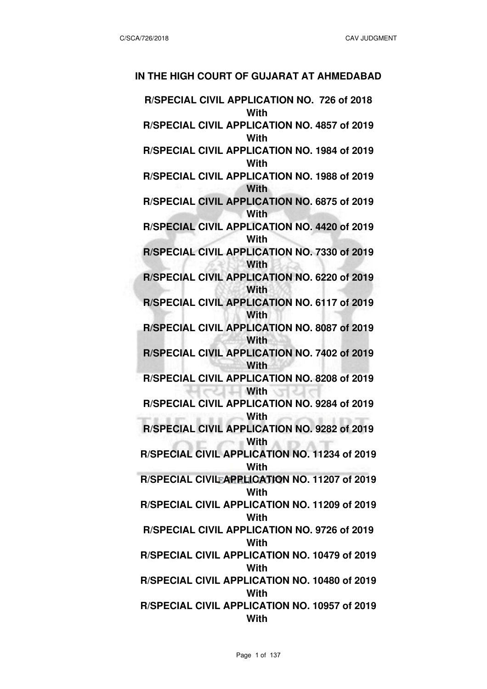#### **IN THE HIGH COURT OF GUJARAT AT AHMEDABAD**

**R/SPECIAL CIVIL APPLICATION NO. 726 of 2018 With R/SPECIAL CIVIL APPLICATION NO. 4857 of 2019 With R/SPECIAL CIVIL APPLICATION NO. 1984 of 2019 With R/SPECIAL CIVIL APPLICATION NO. 1988 of 2019 With R/SPECIAL CIVIL APPLICATION NO. 6875 of 2019 With R/SPECIAL CIVIL APPLICATION NO. 4420 of 2019 With R/SPECIAL CIVIL APPLICATION NO. 7330 of 2019 With R/SPECIAL CIVIL APPLICATION NO. 6220 of 2019 With R/SPECIAL CIVIL APPLICATION NO. 6117 of 2019 With R/SPECIAL CIVIL APPLICATION NO. 8087 of 2019 With R/SPECIAL CIVIL APPLICATION NO. 7402 of 2019 With R/SPECIAL CIVIL APPLICATION NO. 8208 of 2019 With R/SPECIAL CIVIL APPLICATION NO. 9284 of 2019 With R/SPECIAL CIVIL APPLICATION NO. 9282 of 2019 With R/SPECIAL CIVIL APPLICATION NO. 11234 of 2019 With R/SPECIAL CIVIL APPLICATION NO. 11207 of 2019 With R/SPECIAL CIVIL APPLICATION NO. 11209 of 2019 With R/SPECIAL CIVIL APPLICATION NO. 9726 of 2019 With R/SPECIAL CIVIL APPLICATION NO. 10479 of 2019 With R/SPECIAL CIVIL APPLICATION NO. 10480 of 2019 With R/SPECIAL CIVIL APPLICATION NO. 10957 of 2019 With**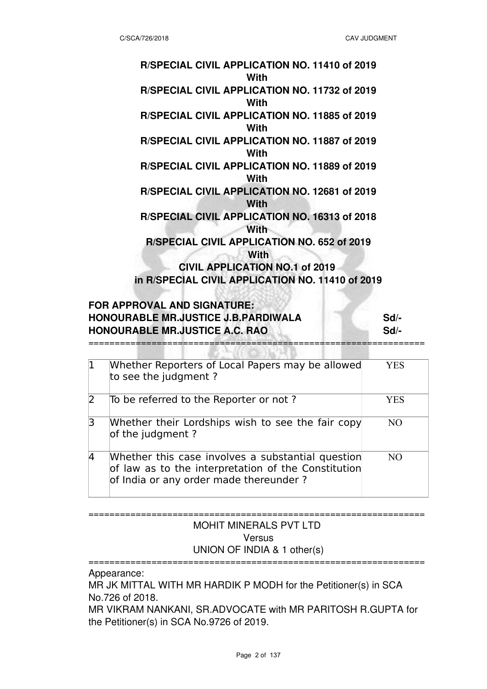| R/SPECIAL CIVIL APPLICATION NO. 11410 of 2019<br>With |
|-------------------------------------------------------|
| R/SPECIAL CIVIL APPLICATION NO. 11732 of 2019<br>With |
| R/SPECIAL CIVIL APPLICATION NO. 11885 of 2019<br>With |
| R/SPECIAL CIVIL APPLICATION NO. 11887 of 2019<br>With |
| R/SPECIAL CIVIL APPLICATION NO. 11889 of 2019<br>With |
| R/SPECIAL CIVIL APPLICATION NO. 12681 of 2019<br>With |
| R/SPECIAL CIVIL APPLICATION NO. 16313 of 2018<br>With |
| R/SPECIAL CIVIL APPLICATION NO. 652 of 2019<br>With   |
| <b>CIVIL APPLICATION NO.1 of 2019</b>                 |
| in R/SPECIAL CIVIL APPLICATION NO. 11410 of 2019      |

# **FOR APPROVAL AND SIGNATURE: HONOURABLE MR.JUSTICE J.B.PARDIWALA Sd/ HONOURABLE MR.JUSTICE A.C. RAO <b>Sd/-**

| $\mathbf{1}$   | Whether Reporters of Local Papers may be allowed<br>to see the judgment?                                                                           | YES |
|----------------|----------------------------------------------------------------------------------------------------------------------------------------------------|-----|
| $\overline{2}$ | To be referred to the Reporter or not?                                                                                                             | YES |
| 3              | Whether their Lordships wish to see the fair copy<br>of the judgment?                                                                              | NO. |
| $\overline{4}$ | Whether this case involves a substantial question<br>of law as to the interpretation of the Constitution<br>of India or any order made thereunder? | N() |

================================================================

#### ================================================================ MOHIT MINERALS PVT LTD Versus UNION OF INDIA & 1 other(s)

================================================================ Appearance: MR JK MITTAL WITH MR HARDIK P MODH for the Petitioner(s) in SCA No.726 of 2018. MR VIKRAM NANKANI, SR.ADVOCATE with MR PARITOSH R.GUPTA for the Petitioner(s) in SCA No.9726 of 2019.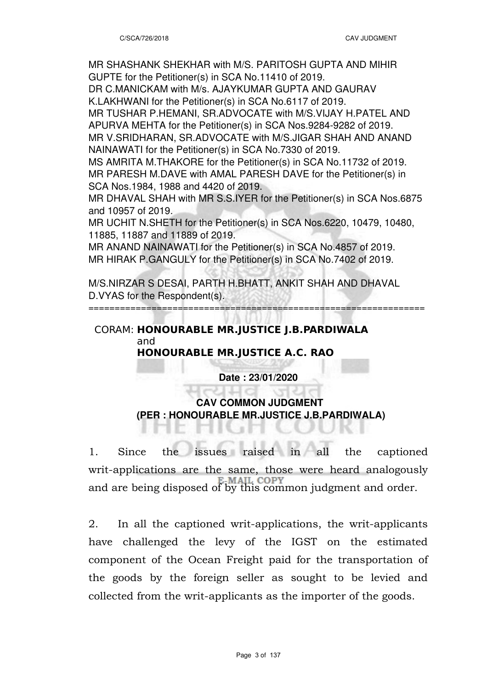MR SHASHANK SHEKHAR with M/S. PARITOSH GUPTA AND MIHIR GUPTE for the Petitioner(s) in SCA No.11410 of 2019.

DR C.MANICKAM with M/s. AJAYKUMAR GUPTA AND GAURAV K.LAKHWANI for the Petitioner(s) in SCA No.6117 of 2019.

MR TUSHAR P.HEMANI, SR.ADVOCATE with M/S.VIJAY H.PATEL AND APURVA MEHTA for the Petitioner(s) in SCA Nos.9284-9282 of 2019. MR V.SRIDHARAN, SR.ADVOCATE with M/S.JIGAR SHAH AND ANAND NAINAWATI for the Petitioner(s) in SCA No.7330 of 2019.

MS AMRITA M.THAKORE for the Petitioner(s) in SCA No.11732 of 2019. MR PARESH M.DAVE with AMAL PARESH DAVE for the Petitioner(s) in SCA Nos.1984, 1988 and 4420 of 2019.

MR DHAVAL SHAH with MR S.S.IYER for the Petitioner(s) in SCA Nos.6875 and 10957 of 2019.

MR UCHIT N.SHETH for the Petitioner(s) in SCA Nos.6220, 10479, 10480, 11885, 11887 and 11889 of 2019.

MR ANAND NAINAWATI for the Petitioner(s) in SCA No.4857 of 2019. MR HIRAK P.GANGULY for the Petitioner(s) in SCA No.7402 of 2019.

M/S.NIRZAR S DESAI, PARTH H.BHATT, ANKIT SHAH AND DHAVAL D.VYAS for the Respondent(s).

================================================================

### CORAM: **HONOURABLE MR.JUSTICE J.B.PARDIWALA** and **HONOURABLE MR.JUSTICE A.C. RAO**

### **Date : 23/01/2020**

## **CAV COMMON JUDGMENT (PER : HONOURABLE MR.JUSTICE J.B.PARDIWALA)**

1. Since the issues raised in all the captioned writ-applications are the same, those were heard analogously and are being disposed of by this common judgment and order.

2. In all the captioned writ-applications, the writ-applicants have challenged the levy of the IGST on the estimated component of the Ocean Freight paid for the transportation of the goods by the foreign seller as sought to be levied and collected from the writ-applicants as the importer of the goods.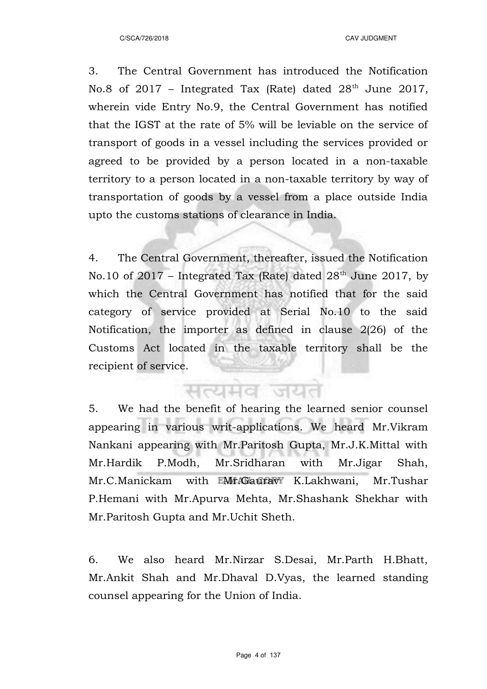3. The Central Government has introduced the Notification No.8 of  $2017$  – Integrated Tax (Rate) dated  $28<sup>th</sup>$  June 2017, wherein vide Entry No.9, the Central Government has notified that the IGST at the rate of 5% will be leviable on the service of transport of goods in a vessel including the services provided or agreed to be provided by a person located in a non-taxable territory to a person located in a non-taxable territory by way of transportation of goods by a vessel from a place outside India upto the customs stations of clearance in India.

4. The Central Government, thereafter, issued the Notification No.10 of 2017 – Integrated Tax (Rate) dated  $28<sup>th</sup>$  June 2017, by which the Central Government has notified that for the said category of service provided at Serial No.10 to the said Notification, the importer as defined in clause 2(26) of the Customs Act located in the taxable territory shall be the recipient of service.

सत्यमाव जयत

5. We had the benefit of hearing the learned senior counsel appearing in various writ-applications. We heard Mr.Vikram Nankani appearing with Mr.Paritosh Gupta, Mr.J.K.Mittal with Mr.Hardik P.Modh, Mr.Sridharan with Mr.Jigar Shah, Mr.C.Manickam with **EMr.Gaurav** K.Lakhwani, Mr.Tushar P.Hemani with Mr.Apurva Mehta, Mr.Shashank Shekhar with Mr.Paritosh Gupta and Mr.Uchit Sheth.

6. We also heard Mr.Nirzar S.Desai, Mr.Parth H.Bhatt, Mr.Ankit Shah and Mr.Dhaval D.Vyas, the learned standing counsel appearing for the Union of India.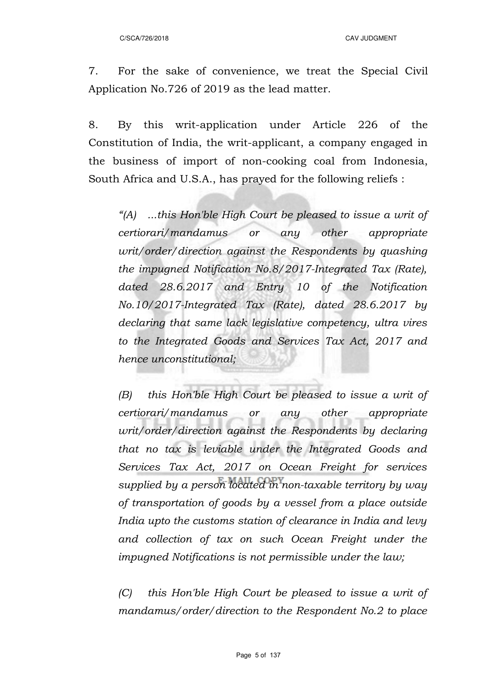C/SCA/726/2018 CAV JUDGMENT

7. For the sake of convenience, we treat the Special Civil Application No.726 of 2019 as the lead matter.

8. By this writ-application under Article 226 of the Constitution of India, the writ-applicant, a company engaged in the business of import of non-cooking coal from Indonesia, South Africa and U.S.A., has prayed for the following reliefs :

*"(A) ...this Hon'ble High Court be pleased to issue a writ of certiorari/mandamus or any other appropriate writ/order/direction against the Respondents by quashing the impugned Notification No.8/2017-Integrated Tax (Rate), dated 28.6.2017 and Entry 10 of the Notification No.10/2017-Integrated Tax (Rate), dated 28.6.2017 by declaring that same lack legislative competency, ultra vires to the Integrated Goods and Services Tax Act, 2017 and hence unconstitutional;*

*(B) this Hon'ble High Court be pleased to issue a writ of certiorari/mandamus or any other appropriate writ/order/direction against the Respondents by declaring that no tax is leviable under the Integrated Goods and Services Tax Act, 2017 on Ocean Freight for services supplied by a person located in non-taxable territory by way of transportation of goods by a vessel from a place outside India upto the customs station of clearance in India and levy and collection of tax on such Ocean Freight under the impugned Notifications is not permissible under the law;*

*(C) this Hon'ble High Court be pleased to issue a writ of mandamus/order/direction to the Respondent No.2 to place*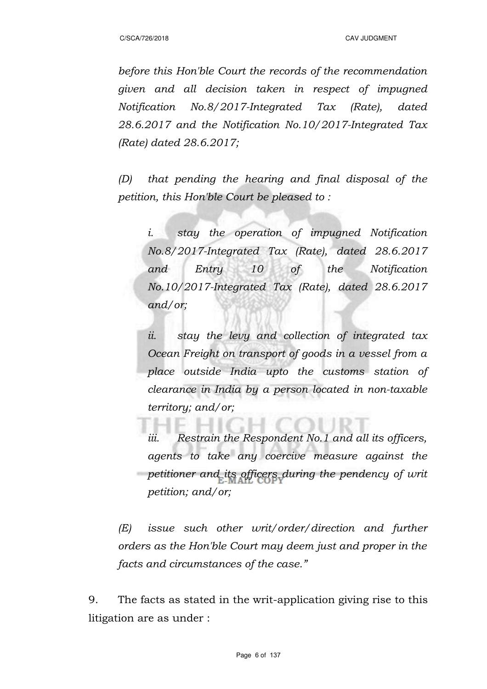*before this Hon'ble Court the records of the recommendation given and all decision taken in respect of impugned Notification No.8/2017-Integrated Tax (Rate), dated 28.6.2017 and the Notification No.10/2017-Integrated Tax (Rate) dated 28.6.2017;*

*(D) that pending the hearing and final disposal of the petition, this Hon'ble Court be pleased to :*

*i. stay the operation of impugned Notification No.8/2017-Integrated Tax (Rate), dated 28.6.2017 and Entry 10 of the Notification No.10/2017-Integrated Tax (Rate), dated 28.6.2017 and/or;*

*ii. stay the levy and collection of integrated tax Ocean Freight on transport of goods in a vessel from a place outside India upto the customs station of clearance in India by a person located in non-taxable territory; and/or;*

*iii. Restrain the Respondent No.1 and all its officers, agents to take any coercive measure against the petitioner and its officers during the pendency of writ petition; and/or;*

*(E) issue such other writ/order/direction and further orders as the Hon'ble Court may deem just and proper in the facts and circumstances of the case."*

9. The facts as stated in the writ-application giving rise to this litigation are as under :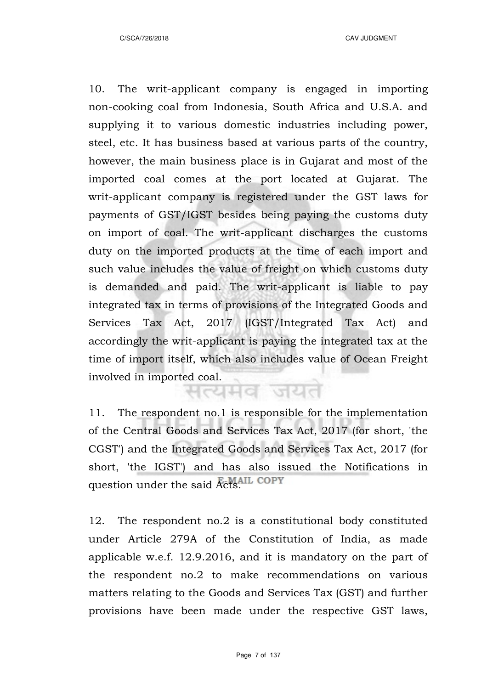10. The writ-applicant company is engaged in importing non-cooking coal from Indonesia, South Africa and U.S.A. and supplying it to various domestic industries including power, steel, etc. It has business based at various parts of the country, however, the main business place is in Gujarat and most of the imported coal comes at the port located at Gujarat. The writ-applicant company is registered under the GST laws for payments of GST/IGST besides being paying the customs duty on import of coal. The writ-applicant discharges the customs duty on the imported products at the time of each import and such value includes the value of freight on which customs duty is demanded and paid. The writ-applicant is liable to pay integrated tax in terms of provisions of the Integrated Goods and Services Tax Act, 2017 (IGST/Integrated Tax Act) and accordingly the writ-applicant is paying the integrated tax at the time of import itself, which also includes value of Ocean Freight involved in imported coal.

11. The respondent no.1 is responsible for the implementation of the Central Goods and Services Tax Act, 2017 (for short, 'the CGST') and the Integrated Goods and Services Tax Act, 2017 (for short, 'the IGST') and has also issued the Notifications in question under the said Acts. COPY

12. The respondent no.2 is a constitutional body constituted under Article 279A of the Constitution of India, as made applicable w.e.f. 12.9.2016, and it is mandatory on the part of the respondent no.2 to make recommendations on various matters relating to the Goods and Services Tax (GST) and further provisions have been made under the respective GST laws,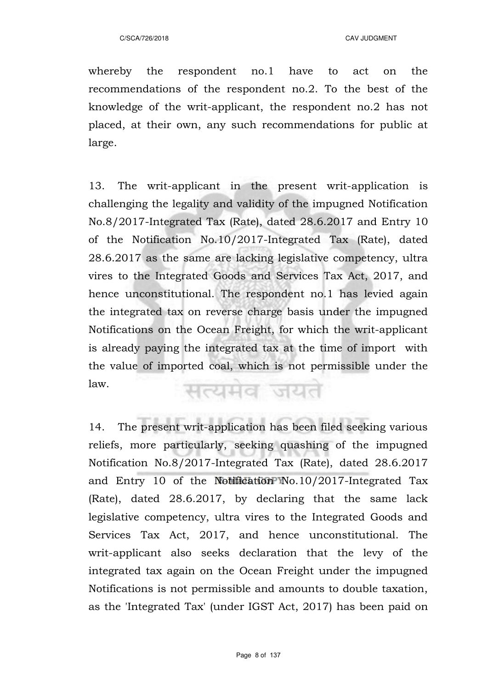whereby the respondent no.1 have to act on the recommendations of the respondent no.2. To the best of the knowledge of the writ-applicant, the respondent no.2 has not placed, at their own, any such recommendations for public at large.

13. The writ-applicant in the present writ-application is challenging the legality and validity of the impugned Notification No.8/2017-Integrated Tax (Rate), dated 28.6.2017 and Entry 10 of the Notification No.10/2017-Integrated Tax (Rate), dated 28.6.2017 as the same are lacking legislative competency, ultra vires to the Integrated Goods and Services Tax Act, 2017, and hence unconstitutional. The respondent no.1 has levied again the integrated tax on reverse charge basis under the impugned Notifications on the Ocean Freight, for which the writ-applicant is already paying the integrated tax at the time of import with the value of imported coal, which is not permissible under the law.

सत्यमव जयत

14. The present writ-application has been filed seeking various reliefs, more particularly, seeking quashing of the impugned Notification No.8/2017-Integrated Tax (Rate), dated 28.6.2017 and Entry 10 of the Notification No.10/2017-Integrated Tax (Rate), dated 28.6.2017, by declaring that the same lack legislative competency, ultra vires to the Integrated Goods and Services Tax Act, 2017, and hence unconstitutional. The writ-applicant also seeks declaration that the levy of the integrated tax again on the Ocean Freight under the impugned Notifications is not permissible and amounts to double taxation, as the 'Integrated Tax' (under IGST Act, 2017) has been paid on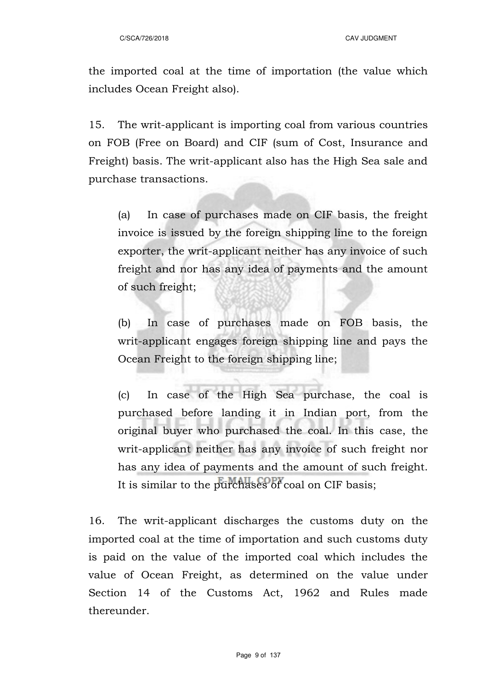the imported coal at the time of importation (the value which includes Ocean Freight also).

15. The writ-applicant is importing coal from various countries on FOB (Free on Board) and CIF (sum of Cost, Insurance and Freight) basis. The writ-applicant also has the High Sea sale and purchase transactions.

(a) In case of purchases made on CIF basis, the freight invoice is issued by the foreign shipping line to the foreign exporter, the writ-applicant neither has any invoice of such freight and nor has any idea of payments and the amount of such freight;

(b) In case of purchases made on FOB basis, the writ-applicant engages foreign shipping line and pays the Ocean Freight to the foreign shipping line;

(c) In case of the High Sea purchase, the coal is purchased before landing it in Indian port, from the original buyer who purchased the coal. In this case, the writ-applicant neither has any invoice of such freight nor has any idea of payments and the amount of such freight. It is similar to the purchases of coal on CIF basis;

16. The writ-applicant discharges the customs duty on the imported coal at the time of importation and such customs duty is paid on the value of the imported coal which includes the value of Ocean Freight, as determined on the value under Section 14 of the Customs Act, 1962 and Rules made thereunder.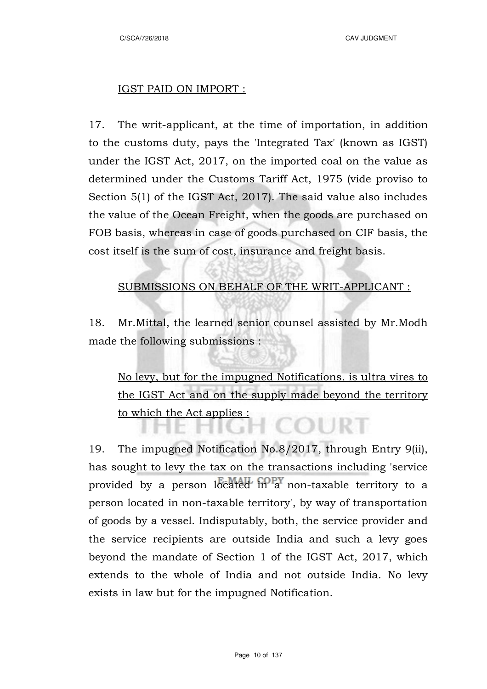#### IGST PAID ON IMPORT :

17. The writ-applicant, at the time of importation, in addition to the customs duty, pays the 'Integrated Tax' (known as IGST) under the IGST Act, 2017, on the imported coal on the value as determined under the Customs Tariff Act, 1975 (vide proviso to Section 5(1) of the IGST Act, 2017). The said value also includes the value of the Ocean Freight, when the goods are purchased on FOB basis, whereas in case of goods purchased on CIF basis, the cost itself is the sum of cost, insurance and freight basis.

## SUBMISSIONS ON BEHALF OF THE WRIT-APPLICANT :

18. Mr.Mittal, the learned senior counsel assisted by Mr.Modh made the following submissions :

No levy, but for the impugned Notifications, is ultra vires to the IGST Act and on the supply made beyond the territory to which the Act applies : COURT

19. The impugned Notification No.8/2017, through Entry 9(ii), has sought to levy the tax on the transactions including 'service provided by a person located in a non-taxable territory to a person located in non-taxable territory', by way of transportation of goods by a vessel. Indisputably, both, the service provider and the service recipients are outside India and such a levy goes beyond the mandate of Section 1 of the IGST Act, 2017, which extends to the whole of India and not outside India. No levy exists in law but for the impugned Notification.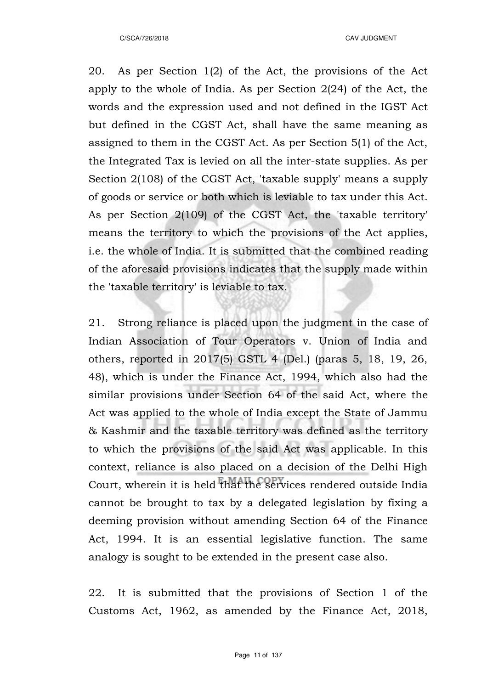20. As per Section 1(2) of the Act, the provisions of the Act apply to the whole of India. As per Section 2(24) of the Act, the words and the expression used and not defined in the IGST Act but defined in the CGST Act, shall have the same meaning as assigned to them in the CGST Act. As per Section 5(1) of the Act, the Integrated Tax is levied on all the inter-state supplies. As per Section 2(108) of the CGST Act, 'taxable supply' means a supply of goods or service or both which is leviable to tax under this Act. As per Section 2(109) of the CGST Act, the 'taxable territory' means the territory to which the provisions of the Act applies, i.e. the whole of India. It is submitted that the combined reading of the aforesaid provisions indicates that the supply made within the 'taxable territory' is leviable to tax.

21. Strong reliance is placed upon the judgment in the case of Indian Association of Tour Operators v. Union of India and others, reported in 2017(5) GSTL 4 (Del.) (paras 5, 18, 19, 26, 48), which is under the Finance Act, 1994, which also had the similar provisions under Section 64 of the said Act, where the Act was applied to the whole of India except the State of Jammu & Kashmir and the taxable territory was defined as the territory to which the provisions of the said Act was applicable. In this context, reliance is also placed on a decision of the Delhi High Court, wherein it is held that the services rendered outside India cannot be brought to tax by a delegated legislation by fixing a deeming provision without amending Section 64 of the Finance Act, 1994. It is an essential legislative function. The same analogy is sought to be extended in the present case also.

22. It is submitted that the provisions of Section 1 of the Customs Act, 1962, as amended by the Finance Act, 2018,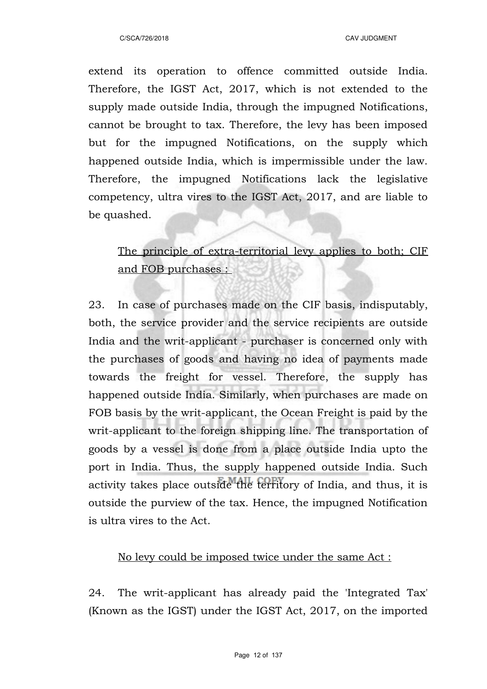extend its operation to offence committed outside India. Therefore, the IGST Act, 2017, which is not extended to the supply made outside India, through the impugned Notifications, cannot be brought to tax. Therefore, the levy has been imposed but for the impugned Notifications, on the supply which happened outside India, which is impermissible under the law. Therefore, the impugned Notifications lack the legislative competency, ultra vires to the IGST Act, 2017, and are liable to be quashed.

The principle of extra-territorial levy applies to both; CIF and FOB purchases :

23. In case of purchases made on the CIF basis, indisputably, both, the service provider and the service recipients are outside India and the writ-applicant - purchaser is concerned only with the purchases of goods and having no idea of payments made towards the freight for vessel. Therefore, the supply has happened outside India. Similarly, when purchases are made on FOB basis by the writ-applicant, the Ocean Freight is paid by the writ-applicant to the foreign shipping line. The transportation of goods by a vessel is done from a place outside India upto the port in India. Thus, the supply happened outside India. Such activity takes place outside the territory of India, and thus, it is outside the purview of the tax. Hence, the impugned Notification is ultra vires to the Act.

## No levy could be imposed twice under the same Act :

24. The writ-applicant has already paid the 'Integrated Tax' (Known as the IGST) under the IGST Act, 2017, on the imported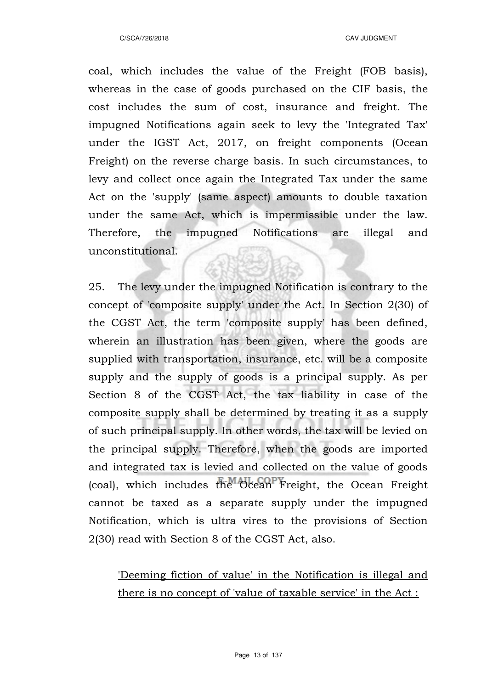coal, which includes the value of the Freight (FOB basis), whereas in the case of goods purchased on the CIF basis, the cost includes the sum of cost, insurance and freight. The impugned Notifications again seek to levy the 'Integrated Tax' under the IGST Act, 2017, on freight components (Ocean Freight) on the reverse charge basis. In such circumstances, to levy and collect once again the Integrated Tax under the same Act on the 'supply' (same aspect) amounts to double taxation under the same Act, which is impermissible under the law. Therefore, the impugned Notifications are illegal and unconstitutional.

25. The levy under the impugned Notification is contrary to the concept of 'composite supply' under the Act. In Section 2(30) of the CGST Act, the term 'composite supply' has been defined, wherein an illustration has been given, where the goods are supplied with transportation, insurance, etc. will be a composite supply and the supply of goods is a principal supply. As per Section 8 of the CGST Act, the tax liability in case of the composite supply shall be determined by treating it as a supply of such principal supply. In other words, the tax will be levied on the principal supply. Therefore, when the goods are imported and integrated tax is levied and collected on the value of goods (coal), which includes the Ocean Freight, the Ocean Freight cannot be taxed as a separate supply under the impugned Notification, which is ultra vires to the provisions of Section 2(30) read with Section 8 of the CGST Act, also.

'Deeming fiction of value' in the Notification is illegal and there is no concept of 'value of taxable service' in the Act :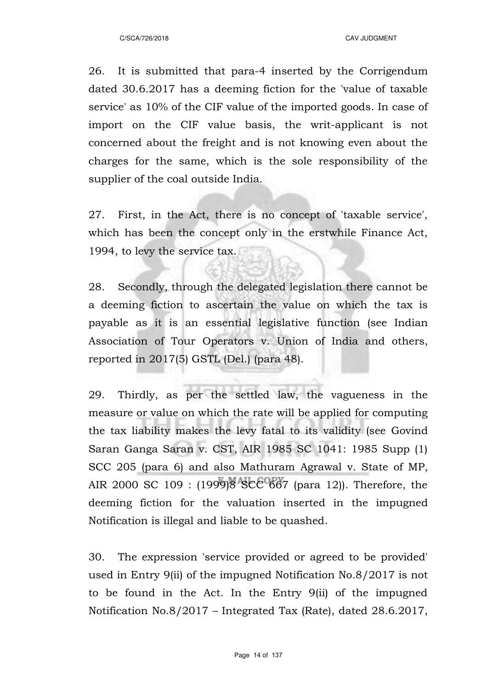26. It is submitted that para-4 inserted by the Corrigendum dated 30.6.2017 has a deeming fiction for the 'value of taxable service' as 10% of the CIF value of the imported goods. In case of import on the CIF value basis, the writ-applicant is not concerned about the freight and is not knowing even about the charges for the same, which is the sole responsibility of the supplier of the coal outside India.

27. First, in the Act, there is no concept of 'taxable service', which has been the concept only in the erstwhile Finance Act, 1994, to levy the service tax.

28. Secondly, through the delegated legislation there cannot be a deeming fiction to ascertain the value on which the tax is payable as it is an essential legislative function (see Indian Association of Tour Operators v. Union of India and others, reported in 2017(5) GSTL (Del.) (para 48).

29. Thirdly, as per the settled law, the vagueness in the measure or value on which the rate will be applied for computing the tax liability makes the levy fatal to its validity (see Govind Saran Ganga Saran v. CST, AIR 1985 SC 1041: 1985 Supp (1) SCC 205 (para 6) and also Mathuram Agrawal v. State of MP, AIR 2000 SC 109 : (1999)8 SCC 667 (para 12)). Therefore, the deeming fiction for the valuation inserted in the impugned Notification is illegal and liable to be quashed.

30. The expression 'service provided or agreed to be provided' used in Entry 9(ii) of the impugned Notification No.8/2017 is not to be found in the Act. In the Entry 9(ii) of the impugned Notification No.8/2017 – Integrated Tax (Rate), dated 28.6.2017,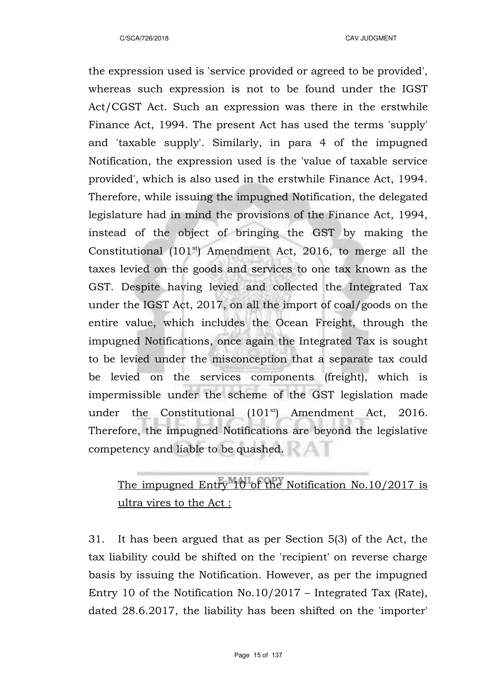the expression used is 'service provided or agreed to be provided', whereas such expression is not to be found under the IGST Act/CGST Act. Such an expression was there in the erstwhile Finance Act, 1994. The present Act has used the terms 'supply' and 'taxable supply'. Similarly, in para 4 of the impugned Notification, the expression used is the 'value of taxable service provided', which is also used in the erstwhile Finance Act, 1994. Therefore, while issuing the impugned Notification, the delegated legislature had in mind the provisions of the Finance Act, 1994, instead of the object of bringing the GST by making the Constitutional  $(101<sup>st</sup>)$  Amendment Act, 2016, to merge all the taxes levied on the goods and services to one tax known as the GST. Despite having levied and collected the Integrated Tax under the IGST Act, 2017, on all the import of coal/goods on the entire value, which includes the Ocean Freight, through the impugned Notifications, once again the Integrated Tax is sought to be levied under the misconception that a separate tax could be levied on the services components (freight), which is impermissible under the scheme of the GST legislation made under the Constitutional  $(101<sup>st</sup>)$  Amendment Act, 2016. Therefore, the impugned Notifications are beyond the legislative competency and liable to be quashed.

# The impugned Entry 10 of the Notification No.10/2017 is ultra vires to the Act :

31. It has been argued that as per Section 5(3) of the Act, the tax liability could be shifted on the 'recipient' on reverse charge basis by issuing the Notification. However, as per the impugned Entry 10 of the Notification No.10/2017 – Integrated Tax (Rate), dated 28.6.2017, the liability has been shifted on the 'importer'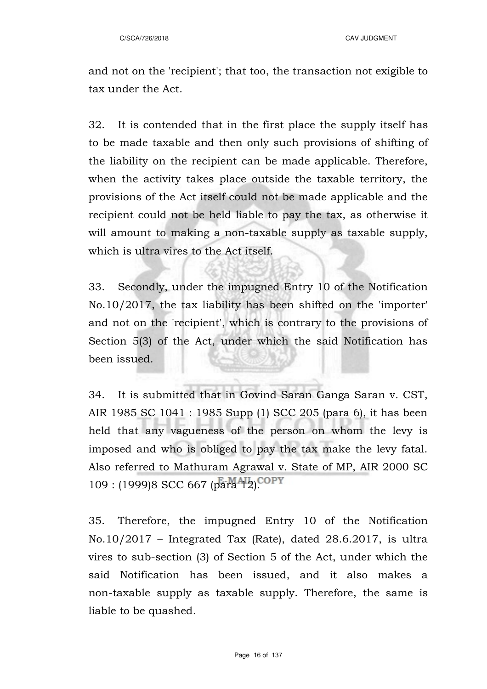and not on the 'recipient'; that too, the transaction not exigible to tax under the Act.

32. It is contended that in the first place the supply itself has to be made taxable and then only such provisions of shifting of the liability on the recipient can be made applicable. Therefore, when the activity takes place outside the taxable territory, the provisions of the Act itself could not be made applicable and the recipient could not be held liable to pay the tax, as otherwise it will amount to making a non-taxable supply as taxable supply, which is ultra vires to the Act itself.

33. Secondly, under the impugned Entry 10 of the Notification No.10/2017, the tax liability has been shifted on the 'importer' and not on the 'recipient', which is contrary to the provisions of Section 5(3) of the Act, under which the said Notification has been issued.

34. It is submitted that in Govind Saran Ganga Saran v. CST, AIR 1985 SC 1041 : 1985 Supp (1) SCC 205 (para 6), it has been held that any vagueness of the person on whom the levy is imposed and who is obliged to pay the tax make the levy fatal. Also referred to Mathuram Agrawal v. State of MP, AIR 2000 SC 109 : (1999)8 SCC 667 (para 12).

35. Therefore, the impugned Entry 10 of the Notification  $No.10/2017$  – Integrated Tax (Rate), dated 28.6.2017, is ultra vires to sub-section (3) of Section 5 of the Act, under which the said Notification has been issued, and it also makes a non-taxable supply as taxable supply. Therefore, the same is liable to be quashed.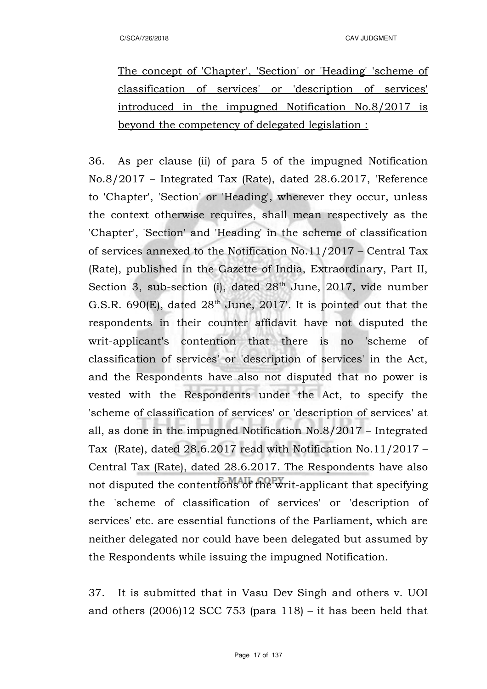The concept of 'Chapter', 'Section' or 'Heading' 'scheme of classification of services' or 'description of services' introduced in the impugned Notification No.8/2017 is beyond the competency of delegated legislation :

36. As per clause (ii) of para 5 of the impugned Notification No.8/2017 – Integrated Tax (Rate), dated 28.6.2017, 'Reference to 'Chapter', 'Section' or 'Heading', wherever they occur, unless the context otherwise requires, shall mean respectively as the 'Chapter', 'Section' and 'Heading' in the scheme of classification of services annexed to the Notification No.11/2017 – Central Tax (Rate), published in the Gazette of India, Extraordinary, Part II, Section 3, sub-section (i), dated  $28<sup>th</sup>$  June, 2017, vide number G.S.R. 690 $(E)$ , dated  $28<sup>th</sup>$  June, 2017'. It is pointed out that the respondents in their counter affidavit have not disputed the writ-applicant's contention that there is no 'scheme of classification of services' or 'description of services' in the Act, and the Respondents have also not disputed that no power is vested with the Respondents under the Act, to specify the 'scheme of classification of services' or 'description of services' at all, as done in the impugned Notification No.8/2017 – Integrated Tax (Rate), dated 28.6.2017 read with Notification No.11/2017 – Central Tax (Rate), dated 28.6.2017. The Respondents have also not disputed the contentions of the writ-applicant that specifying the 'scheme of classification of services' or 'description of services' etc. are essential functions of the Parliament, which are neither delegated nor could have been delegated but assumed by the Respondents while issuing the impugned Notification.

37. It is submitted that in Vasu Dev Singh and others v. UOI and others  $(2006)12$  SCC 753 (para 118) – it has been held that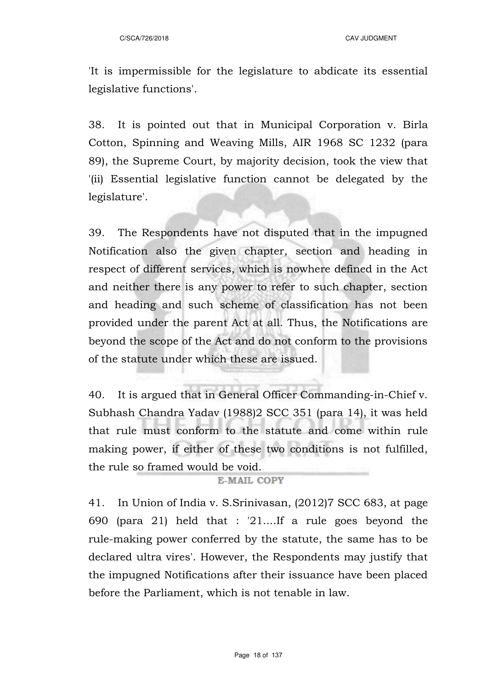'It is impermissible for the legislature to abdicate its essential legislative functions'.

38. It is pointed out that in Municipal Corporation v. Birla Cotton, Spinning and Weaving Mills, AIR 1968 SC 1232 (para 89), the Supreme Court, by majority decision, took the view that '(ii) Essential legislative function cannot be delegated by the legislature'.

39. The Respondents have not disputed that in the impugned Notification also the given chapter, section and heading in respect of different services, which is nowhere defined in the Act and neither there is any power to refer to such chapter, section and heading and such scheme of classification has not been provided under the parent Act at all. Thus, the Notifications are beyond the scope of the Act and do not conform to the provisions of the statute under which these are issued.

40. It is argued that in General Officer Commanding-in-Chief v. Subhash Chandra Yadav (1988)2 SCC 351 (para 14), it was held that rule must conform to the statute and come within rule making power, if either of these two conditions is not fulfilled, the rule so framed would be void.

#### E-MAIL COPY

41. In Union of India v. S.Srinivasan, (2012)7 SCC 683, at page 690 (para 21) held that : '21....If a rule goes beyond the rule-making power conferred by the statute, the same has to be declared ultra vires'. However, the Respondents may justify that the impugned Notifications after their issuance have been placed before the Parliament, which is not tenable in law.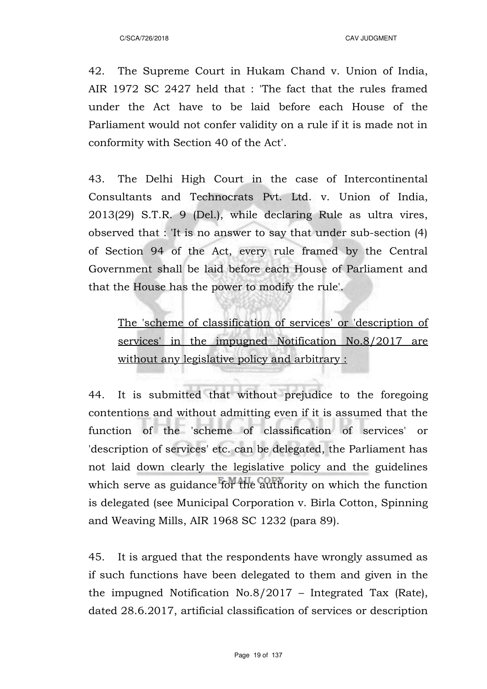42. The Supreme Court in Hukam Chand v. Union of India, AIR 1972 SC 2427 held that : 'The fact that the rules framed under the Act have to be laid before each House of the Parliament would not confer validity on a rule if it is made not in conformity with Section 40 of the Act'.

43. The Delhi High Court in the case of Intercontinental Consultants and Technocrats Pvt. Ltd. v. Union of India, 2013(29) S.T.R. 9 (Del.), while declaring Rule as ultra vires, observed that : 'It is no answer to say that under sub-section (4) of Section 94 of the Act, every rule framed by the Central Government shall be laid before each House of Parliament and that the House has the power to modify the rule'.

The 'scheme of classification of services' or 'description of services' in the impugned Notification No.8/2017 are without any legislative policy and arbitrary :

44. It is submitted that without prejudice to the foregoing contentions and without admitting even if it is assumed that the function of the 'scheme of classification of services' or 'description of services' etc. can be delegated, the Parliament has not laid down clearly the legislative policy and the guidelines which serve as guidance for the authority on which the function is delegated (see Municipal Corporation v. Birla Cotton, Spinning and Weaving Mills, AIR 1968 SC 1232 (para 89).

45. It is argued that the respondents have wrongly assumed as if such functions have been delegated to them and given in the the impugned Notification No.8/2017 – Integrated Tax (Rate), dated 28.6.2017, artificial classification of services or description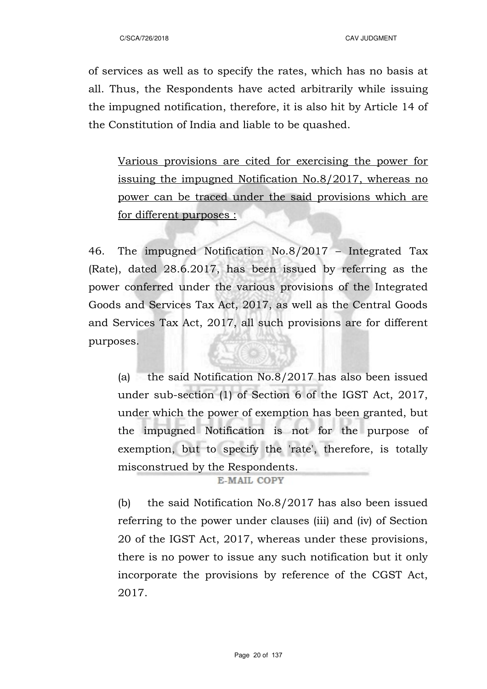of services as well as to specify the rates, which has no basis at all. Thus, the Respondents have acted arbitrarily while issuing the impugned notification, therefore, it is also hit by Article 14 of the Constitution of India and liable to be quashed.

Various provisions are cited for exercising the power for issuing the impugned Notification No.8/2017, whereas no power can be traced under the said provisions which are for different purposes :

46. The impugned Notification No.8/2017 – Integrated Tax (Rate), dated 28.6.2017, has been issued by referring as the power conferred under the various provisions of the Integrated Goods and Services Tax Act, 2017, as well as the Central Goods and Services Tax Act, 2017, all such provisions are for different purposes.

(a) the said Notification No.8/2017 has also been issued under sub-section (1) of Section 6 of the IGST Act, 2017, under which the power of exemption has been granted, but the impugned Notification is not for the purpose of exemption, but to specify the 'rate', therefore, is totally misconstrued by the Respondents.

#### **E-MAIL COPY**

(b) the said Notification No.8/2017 has also been issued referring to the power under clauses (iii) and (iv) of Section 20 of the IGST Act, 2017, whereas under these provisions, there is no power to issue any such notification but it only incorporate the provisions by reference of the CGST Act, 2017.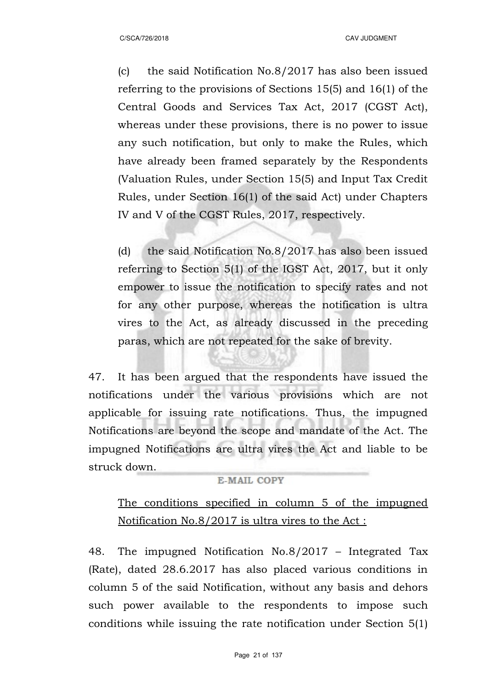(c) the said Notification No.8/2017 has also been issued referring to the provisions of Sections 15(5) and 16(1) of the Central Goods and Services Tax Act, 2017 (CGST Act), whereas under these provisions, there is no power to issue any such notification, but only to make the Rules, which have already been framed separately by the Respondents (Valuation Rules, under Section 15(5) and Input Tax Credit Rules, under Section 16(1) of the said Act) under Chapters IV and V of the CGST Rules, 2017, respectively.

(d) the said Notification No.8/2017 has also been issued referring to Section 5(1) of the IGST Act, 2017, but it only empower to issue the notification to specify rates and not for any other purpose, whereas the notification is ultra vires to the Act, as already discussed in the preceding paras, which are not repeated for the sake of brevity.

47. It has been argued that the respondents have issued the notifications under the various provisions which are not applicable for issuing rate notifications. Thus, the impugned Notifications are beyond the scope and mandate of the Act. The impugned Notifications are ultra vires the Act and liable to be struck down.

### **E-MAIL COPY**

# The conditions specified in column 5 of the impugned Notification No.8/2017 is ultra vires to the Act :

48. The impugned Notification No.8/2017 – Integrated Tax (Rate), dated 28.6.2017 has also placed various conditions in column 5 of the said Notification, without any basis and dehors such power available to the respondents to impose such conditions while issuing the rate notification under Section 5(1)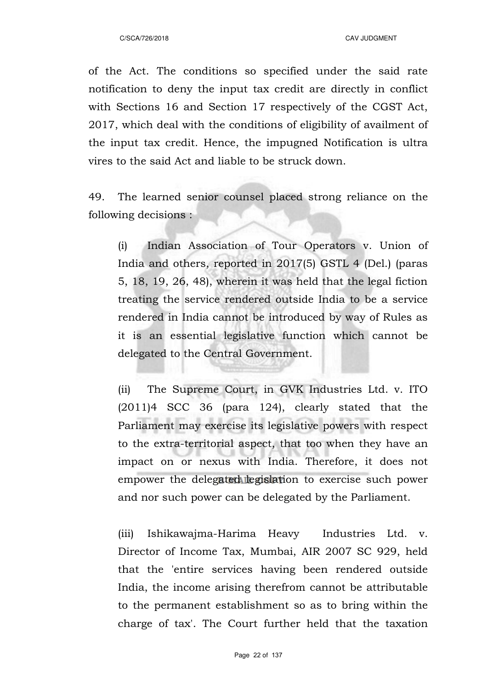of the Act. The conditions so specified under the said rate notification to deny the input tax credit are directly in conflict with Sections 16 and Section 17 respectively of the CGST Act, 2017, which deal with the conditions of eligibility of availment of the input tax credit. Hence, the impugned Notification is ultra vires to the said Act and liable to be struck down.

49. The learned senior counsel placed strong reliance on the following decisions :

(i) Indian Association of Tour Operators v. Union of India and others, reported in 2017(5) GSTL 4 (Del.) (paras 5, 18, 19, 26, 48), wherein it was held that the legal fiction treating the service rendered outside India to be a service rendered in India cannot be introduced by way of Rules as it is an essential legislative function which cannot be delegated to the Central Government.

(ii) The Supreme Court, in GVK Industries Ltd. v. ITO (2011)4 SCC 36 (para 124), clearly stated that the Parliament may exercise its legislative powers with respect to the extra-territorial aspect, that too when they have an impact on or nexus with India. Therefore, it does not empower the delegated legislation to exercise such power and nor such power can be delegated by the Parliament.

(iii) Ishikawajma-Harima Heavy Industries Ltd. v. Director of Income Tax, Mumbai, AIR 2007 SC 929, held that the 'entire services having been rendered outside India, the income arising therefrom cannot be attributable to the permanent establishment so as to bring within the charge of tax'. The Court further held that the taxation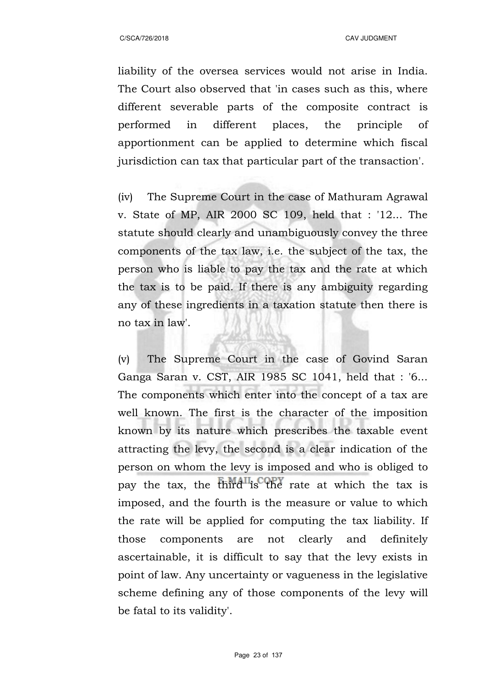liability of the oversea services would not arise in India. The Court also observed that 'in cases such as this, where different severable parts of the composite contract is performed in different places, the principle of apportionment can be applied to determine which fiscal jurisdiction can tax that particular part of the transaction'.

(iv) The Supreme Court in the case of Mathuram Agrawal v. State of MP, AIR 2000 SC 109, held that : '12... The statute should clearly and unambiguously convey the three components of the tax law, i.e. the subject of the tax, the person who is liable to pay the tax and the rate at which the tax is to be paid. If there is any ambiguity regarding any of these ingredients in a taxation statute then there is no tax in law'.

(v) The Supreme Court in the case of Govind Saran Ganga Saran v. CST, AIR 1985 SC 1041, held that : '6... The components which enter into the concept of a tax are well known. The first is the character of the imposition known by its nature which prescribes the taxable event attracting the levy, the second is a clear indication of the person on whom the levy is imposed and who is obliged to pay the tax, the third is the rate at which the tax is imposed, and the fourth is the measure or value to which the rate will be applied for computing the tax liability. If those components are not clearly and definitely ascertainable, it is difficult to say that the levy exists in point of law. Any uncertainty or vagueness in the legislative scheme defining any of those components of the levy will be fatal to its validity'.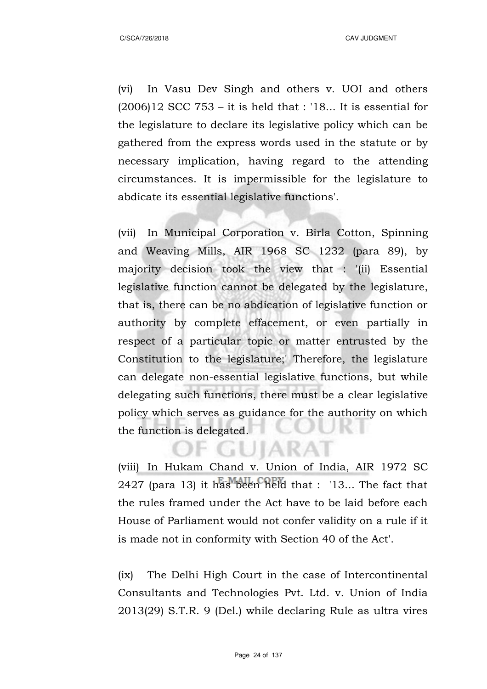(vi) In Vasu Dev Singh and others v. UOI and others  $(2006)12$  SCC 753 – it is held that : '18... It is essential for the legislature to declare its legislative policy which can be gathered from the express words used in the statute or by necessary implication, having regard to the attending circumstances. It is impermissible for the legislature to abdicate its essential legislative functions'.

(vii) In Municipal Corporation v. Birla Cotton, Spinning and Weaving Mills, AIR 1968 SC 1232 (para 89), by majority decision took the view that : '(ii) Essential legislative function cannot be delegated by the legislature, that is, there can be no abdication of legislative function or authority by complete effacement, or even partially in respect of a particular topic or matter entrusted by the Constitution to the legislature;' Therefore, the legislature can delegate non-essential legislative functions, but while delegating such functions, there must be a clear legislative policy which serves as guidance for the authority on which the function is delegated.

(viii) In Hukam Chand v. Union of India, AIR 1972 SC 2427 (para 13) it has been held that : '13... The fact that the rules framed under the Act have to be laid before each House of Parliament would not confer validity on a rule if it is made not in conformity with Section 40 of the Act'.

IF GUIARAI

(ix) The Delhi High Court in the case of Intercontinental Consultants and Technologies Pvt. Ltd. v. Union of India 2013(29) S.T.R. 9 (Del.) while declaring Rule as ultra vires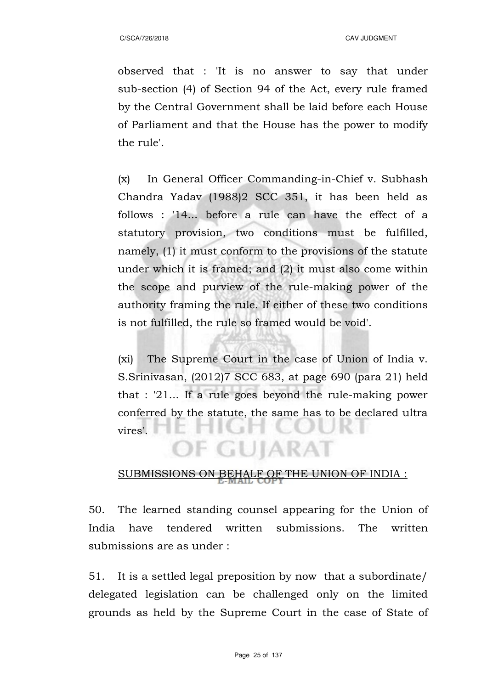observed that : 'It is no answer to say that under sub-section (4) of Section 94 of the Act, every rule framed by the Central Government shall be laid before each House of Parliament and that the House has the power to modify the rule'.

(x) In General Officer Commanding-in-Chief v. Subhash Chandra Yadav (1988)2 SCC 351, it has been held as follows : '14... before a rule can have the effect of a statutory provision, two conditions must be fulfilled, namely, (1) it must conform to the provisions of the statute under which it is framed; and (2) it must also come within the scope and purview of the rule-making power of the authority framing the rule. If either of these two conditions is not fulfilled, the rule so framed would be void'.

(xi) The Supreme Court in the case of Union of India v. S.Srinivasan, (2012)7 SCC 683, at page 690 (para 21) held that : '21... If a rule goes beyond the rule-making power conferred by the statute, the same has to be declared ultra vires'.

## SUBMISSIONS ON BEHALF OF THE UNION OF INDIA :

OF GUJARAT

50. The learned standing counsel appearing for the Union of India have tendered written submissions. The written submissions are as under :

51. It is a settled legal preposition by now that a subordinate/ delegated legislation can be challenged only on the limited grounds as held by the Supreme Court in the case of State of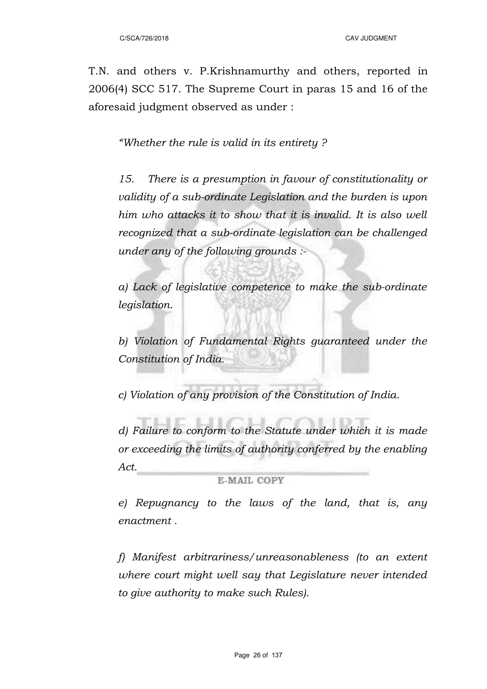T.N. and others v. P.Krishnamurthy and others, reported in 2006(4) SCC 517. The Supreme Court in paras 15 and 16 of the aforesaid judgment observed as under :

*"Whether the rule is valid in its entirety ?*

*15. There is a presumption in favour of constitutionality or validity of a sub-ordinate Legislation and the burden is upon him who attacks it to show that it is invalid. It is also well recognized that a sub-ordinate legislation can be challenged under any of the following grounds :-*

*a) Lack of legislative competence to make the sub-ordinate legislation.*

*b) Violation of Fundamental Rights guaranteed under the Constitution of India.*

*c) Violation of any provision of the Constitution of India.*

*d) Failure to conform to the Statute under which it is made or exceeding the limits of authority conferred by the enabling Act.*

**E-MAIL COPY** 

*e) Repugnancy to the laws of the land, that is, any enactment .*

*f) Manifest arbitrariness/unreasonableness (to an extent where court might well say that Legislature never intended to give authority to make such Rules).*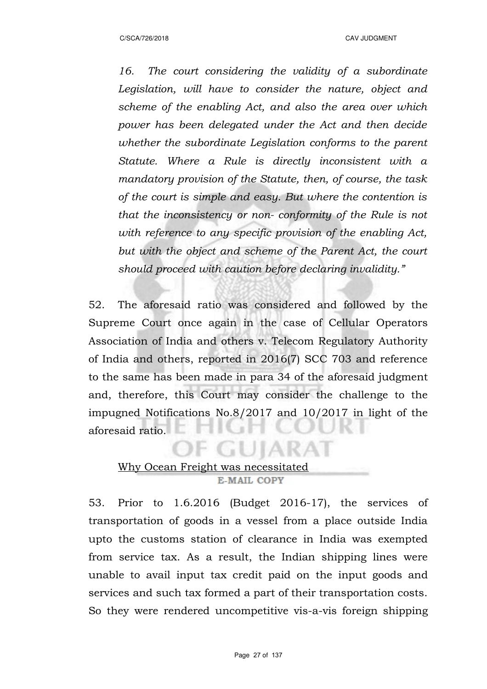*16. The court considering the validity of a subordinate Legislation, will have to consider the nature, object and scheme of the enabling Act, and also the area over which power has been delegated under the Act and then decide whether the subordinate Legislation conforms to the parent Statute. Where a Rule is directly inconsistent with a mandatory provision of the Statute, then, of course, the task of the court is simple and easy. But where the contention is that the inconsistency or non- conformity of the Rule is not with reference to any specific provision of the enabling Act, but with the object and scheme of the Parent Act, the court should proceed with caution before declaring invalidity."*

52. The aforesaid ratio was considered and followed by the Supreme Court once again in the case of Cellular Operators Association of India and others v. Telecom Regulatory Authority of India and others, reported in 2016(7) SCC 703 and reference to the same has been made in para 34 of the aforesaid judgment and, therefore, this Court may consider the challenge to the impugned Notifications No.8/2017 and 10/2017 in light of the aforesaid ratio.

## Why Ocean Freight was necessitated E-MAIL COPY

53. Prior to 1.6.2016 (Budget 2016-17), the services of transportation of goods in a vessel from a place outside India upto the customs station of clearance in India was exempted from service tax. As a result, the Indian shipping lines were unable to avail input tax credit paid on the input goods and services and such tax formed a part of their transportation costs. So they were rendered uncompetitive vis-a-vis foreign shipping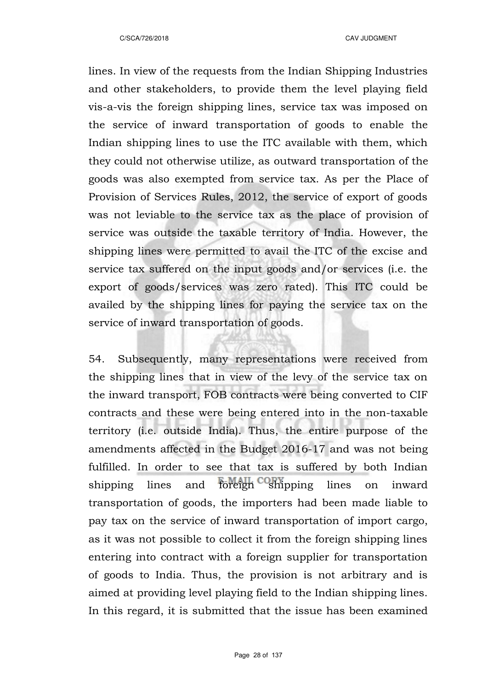lines. In view of the requests from the Indian Shipping Industries and other stakeholders, to provide them the level playing field vis-a-vis the foreign shipping lines, service tax was imposed on the service of inward transportation of goods to enable the Indian shipping lines to use the ITC available with them, which they could not otherwise utilize, as outward transportation of the goods was also exempted from service tax. As per the Place of Provision of Services Rules, 2012, the service of export of goods was not leviable to the service tax as the place of provision of service was outside the taxable territory of India. However, the shipping lines were permitted to avail the ITC of the excise and service tax suffered on the input goods and/or services (i.e. the export of goods/services was zero rated). This ITC could be availed by the shipping lines for paying the service tax on the service of inward transportation of goods.

54. Subsequently, many representations were received from the shipping lines that in view of the levy of the service tax on the inward transport, FOB contracts were being converted to CIF contracts and these were being entered into in the non-taxable territory (i.e. outside India). Thus, the entire purpose of the amendments affected in the Budget 2016-17 and was not being fulfilled. In order to see that tax is suffered by both Indian shipping lines and foreign shipping lines on inward transportation of goods, the importers had been made liable to pay tax on the service of inward transportation of import cargo, as it was not possible to collect it from the foreign shipping lines entering into contract with a foreign supplier for transportation of goods to India. Thus, the provision is not arbitrary and is aimed at providing level playing field to the Indian shipping lines. In this regard, it is submitted that the issue has been examined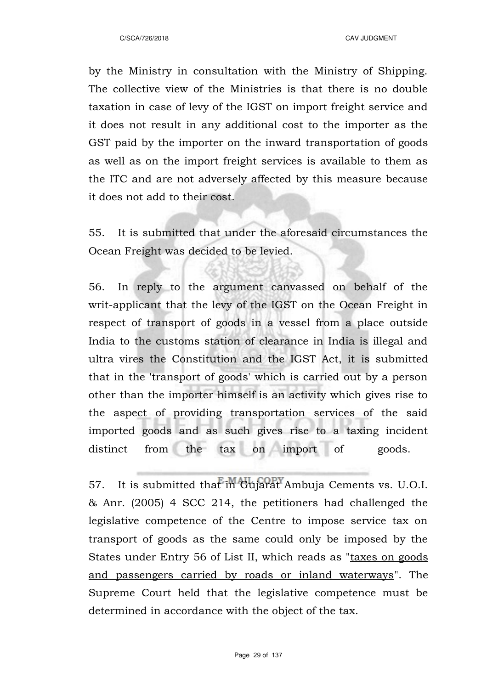by the Ministry in consultation with the Ministry of Shipping. The collective view of the Ministries is that there is no double taxation in case of levy of the IGST on import freight service and it does not result in any additional cost to the importer as the GST paid by the importer on the inward transportation of goods as well as on the import freight services is available to them as the ITC and are not adversely affected by this measure because it does not add to their cost.

55. It is submitted that under the aforesaid circumstances the Ocean Freight was decided to be levied.

56. In reply to the argument canvassed on behalf of the writ-applicant that the levy of the IGST on the Ocean Freight in respect of transport of goods in a vessel from a place outside India to the customs station of clearance in India is illegal and ultra vires the Constitution and the IGST Act, it is submitted that in the 'transport of goods' which is carried out by a person other than the importer himself is an activity which gives rise to the aspect of providing transportation services of the said imported goods and as such gives rise to a taxing incident distinct from the tax on import of goods.

57. It is submitted that in Gujarat Ambuja Cements vs. U.O.I. & Anr. (2005) 4 SCC 214, the petitioners had challenged the legislative competence of the Centre to impose service tax on transport of goods as the same could only be imposed by the States under Entry 56 of List II, which reads as "taxes on goods" and passengers carried by roads or inland waterways". The Supreme Court held that the legislative competence must be determined in accordance with the object of the tax.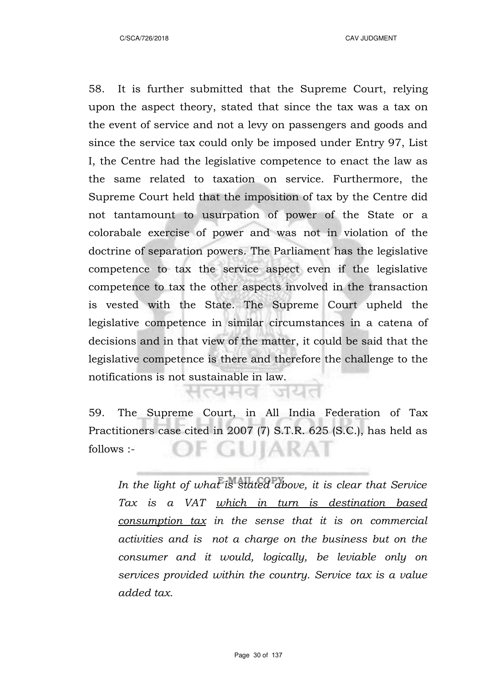58. It is further submitted that the Supreme Court, relying upon the aspect theory, stated that since the tax was a tax on the event of service and not a levy on passengers and goods and since the service tax could only be imposed under Entry 97, List I, the Centre had the legislative competence to enact the law as the same related to taxation on service. Furthermore, the Supreme Court held that the imposition of tax by the Centre did not tantamount to usurpation of power of the State or a colorabale exercise of power and was not in violation of the doctrine of separation powers. The Parliament has the legislative competence to tax the service aspect even if the legislative competence to tax the other aspects involved in the transaction is vested with the State. The Supreme Court upheld the legislative competence in similar circumstances in a catena of decisions and in that view of the matter, it could be said that the legislative competence is there and therefore the challenge to the notifications is not sustainable in law.

59. The Supreme Court, in All India Federation of Tax Practitioners case cited in 2007 (7) S.T.R. 625 (S.C.), has held as DF GUIARAT follows :-

सत्यमव जयत

*In the light of what is stated above, it is clear that Service Tax is a VAT which in turn is destination based consumption tax in the sense that it is on commercial activities and is not a charge on the business but on the consumer and it would, logically, be leviable only on services provided within the country. Service tax is a value added tax.*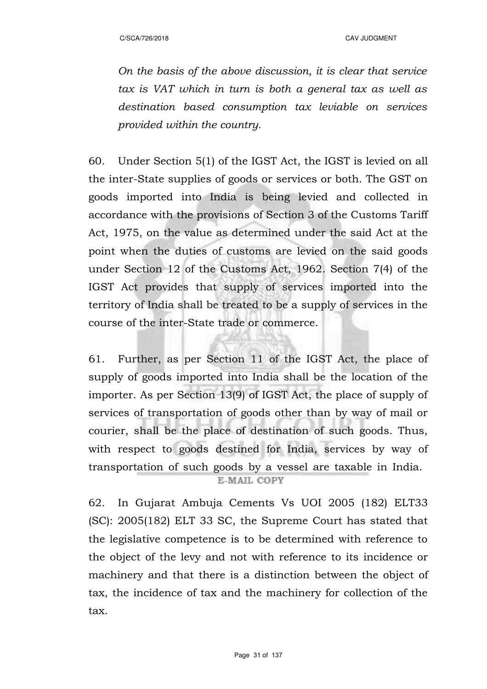*On the basis of the above discussion, it is clear that service tax is VAT which in turn is both a general tax as well as destination based consumption tax leviable on services provided within the country.*

60. Under Section 5(1) of the IGST Act, the IGST is levied on all the inter-State supplies of goods or services or both. The GST on goods imported into India is being levied and collected in accordance with the provisions of Section 3 of the Customs Tariff Act, 1975, on the value as determined under the said Act at the point when the duties of customs are levied on the said goods under Section 12 of the Customs Act, 1962. Section 7(4) of the IGST Act provides that supply of services imported into the territory of India shall be treated to be a supply of services in the course of the inter-State trade or commerce.

61. Further, as per Section 11 of the IGST Act, the place of supply of goods imported into India shall be the location of the importer. As per Section 13(9) of IGST Act, the place of supply of services of transportation of goods other than by way of mail or courier, shall be the place of destination of such goods. Thus, with respect to goods destined for India, services by way of transportation of such goods by a vessel are taxable in India.

**E-MAIL COPY** 

62. In Gujarat Ambuja Cements Vs UOI 2005 (182) ELT33 (SC): 2005(182) ELT 33 SC, the Supreme Court has stated that the legislative competence is to be determined with reference to the object of the levy and not with reference to its incidence or machinery and that there is a distinction between the object of tax, the incidence of tax and the machinery for collection of the tax.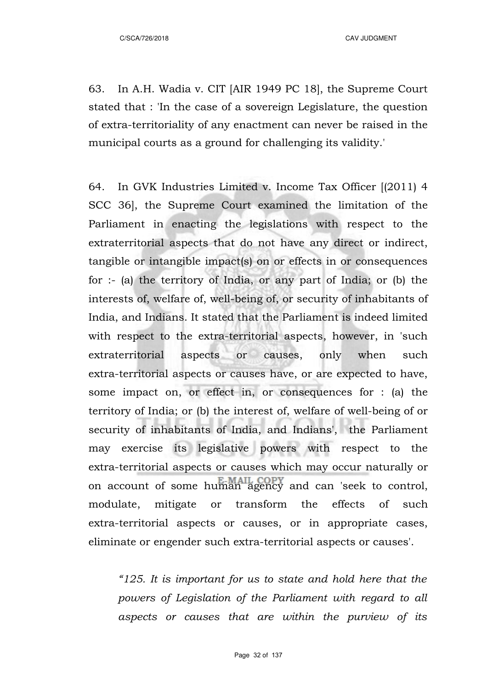C/SCA/726/2018 CAV JUDGMENT

63. In A.H. Wadia v. CIT [AIR 1949 PC 18], the Supreme Court stated that : 'In the case of a sovereign Legislature, the question of extra-territoriality of any enactment can never be raised in the municipal courts as a ground for challenging its validity.'

64. In GVK Industries Limited v. Income Tax Officer [(2011) 4 SCC 36], the Supreme Court examined the limitation of the Parliament in enacting the legislations with respect to the extraterritorial aspects that do not have any direct or indirect, tangible or intangible impact(s) on or effects in or consequences for :- (a) the territory of India, or any part of India; or (b) the interests of, welfare of, well-being of, or security of inhabitants of India, and Indians. It stated that the Parliament is indeed limited with respect to the extra-territorial aspects, however, in 'such extraterritorial aspects or causes, only when such extra-territorial aspects or causes have, or are expected to have, some impact on, or effect in, or consequences for : (a) the territory of India; or (b) the interest of, welfare of well-being of or security of inhabitants of India, and Indians', the Parliament may exercise its legislative powers with respect to the extra-territorial aspects or causes which may occur naturally or on account of some human agency and can 'seek to control, modulate, mitigate or transform the effects of such extra-territorial aspects or causes, or in appropriate cases, eliminate or engender such extra-territorial aspects or causes'.

*"125. It is important for us to state and hold here that the powers of Legislation of the Parliament with regard to all aspects or causes that are within the purview of its*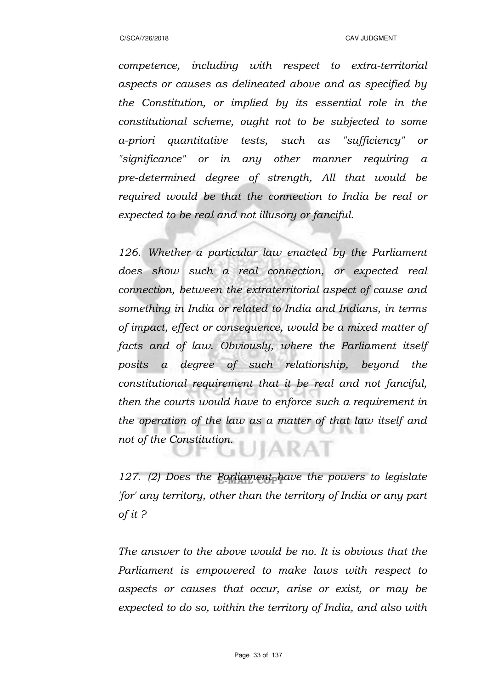*competence, including with respect to extra-territorial aspects or causes as delineated above and as specified by the Constitution, or implied by its essential role in the constitutional scheme, ought not to be subjected to some a-priori quantitative tests, such as "sufficiency" or "significance" or in any other manner requiring a pre-determined degree of strength, All that would be required would be that the connection to India be real or expected to be real and not illusory or fanciful.* 

*126. Whether a particular law enacted by the Parliament does show such a real connection, or expected real connection, between the extraterritorial aspect of cause and something in India or related to India and Indians, in terms of impact, effect or consequence, would be a mixed matter of facts and of law. Obviously, where the Parliament itself posits a degree of such relationship, beyond the constitutional requirement that it be real and not fanciful, then the courts would have to enforce such a requirement in the operation of the law as a matter of that law itself and not of the Constitution.* JIARAT

*127. (2) Does the Parliament have the powers to legislate 'for' any territory, other than the territory of India or any part of it ?*

*The answer to the above would be no. It is obvious that the Parliament is empowered to make laws with respect to aspects or causes that occur, arise or exist, or may be expected to do so, within the territory of India, and also with*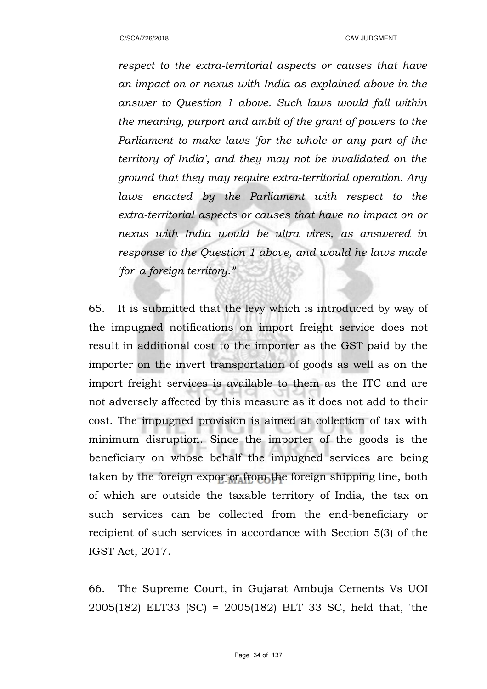*respect to the extra-territorial aspects or causes that have an impact on or nexus with India as explained above in the answer to Question 1 above. Such laws would fall within the meaning, purport and ambit of the grant of powers to the Parliament to make laws 'for the whole or any part of the territory of India', and they may not be invalidated on the ground that they may require extra-territorial operation. Any laws enacted by the Parliament with respect to the extra-territorial aspects or causes that have no impact on or nexus with India would be ultra vires, as answered in response to the Question 1 above, and would he laws made 'for' a foreign territory."*

65. It is submitted that the levy which is introduced by way of the impugned notifications on import freight service does not result in additional cost to the importer as the GST paid by the importer on the invert transportation of goods as well as on the import freight services is available to them as the ITC and are not adversely affected by this measure as it does not add to their cost. The impugned provision is aimed at collection of tax with minimum disruption. Since the importer of the goods is the beneficiary on whose behalf the impugned services are being taken by the foreign exporter from the foreign shipping line, both of which are outside the taxable territory of India, the tax on such services can be collected from the end-beneficiary or recipient of such services in accordance with Section 5(3) of the IGST Act, 2017.

66. The Supreme Court, in Gujarat Ambuja Cements Vs UOI 2005(182) ELT33 (SC) = 2005(182) BLT 33 SC, held that, 'the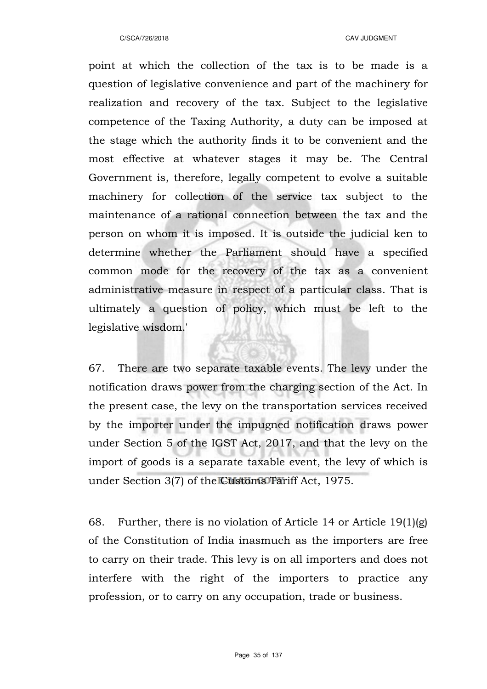point at which the collection of the tax is to be made is a question of legislative convenience and part of the machinery for realization and recovery of the tax. Subject to the legislative competence of the Taxing Authority, a duty can be imposed at the stage which the authority finds it to be convenient and the most effective at whatever stages it may be. The Central Government is, therefore, legally competent to evolve a suitable machinery for collection of the service tax subject to the maintenance of a rational connection between the tax and the person on whom it is imposed. It is outside the judicial ken to determine whether the Parliament should have a specified common mode for the recovery of the tax as a convenient administrative measure in respect of a particular class. That is ultimately a question of policy, which must be left to the legislative wisdom.'

67. There are two separate taxable events. The levy under the notification draws power from the charging section of the Act. In the present case, the levy on the transportation services received by the importer under the impugned notification draws power under Section 5 of the IGST Act, 2017, and that the levy on the import of goods is a separate taxable event, the levy of which is under Section 3(7) of the Customs Tariff Act, 1975.

68. Further, there is no violation of Article 14 or Article 19(1)(g) of the Constitution of India inasmuch as the importers are free to carry on their trade. This levy is on all importers and does not interfere with the right of the importers to practice any profession, or to carry on any occupation, trade or business.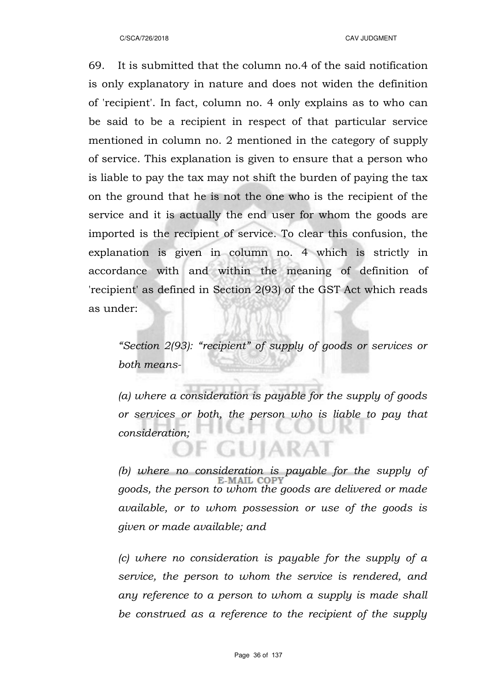69. It is submitted that the column no.4 of the said notification is only explanatory in nature and does not widen the definition of 'recipient'. In fact, column no. 4 only explains as to who can be said to be a recipient in respect of that particular service mentioned in column no. 2 mentioned in the category of supply of service. This explanation is given to ensure that a person who is liable to pay the tax may not shift the burden of paying the tax on the ground that he is not the one who is the recipient of the service and it is actually the end user for whom the goods are imported is the recipient of service. To clear this confusion, the explanation is given in column no. 4 which is strictly in accordance with and within the meaning of definition of 'recipient' as defined in Section 2(93) of the GST Act which reads as under:

*"Section 2(93): "recipient" of supply of goods or services or both means-*

*(a) where a consideration is payable for the supply of goods or services or both, the person who is liable to pay that consideration;*

JIARA

*(b) where no consideration is payable for the supply of goods, the person to whom the goods are delivered or made available, or to whom possession or use of the goods is given or made available; and*

*(c) where no consideration is payable for the supply of a service, the person to whom the service is rendered, and any reference to a person to whom a supply is made shall be construed as a reference to the recipient of the supply*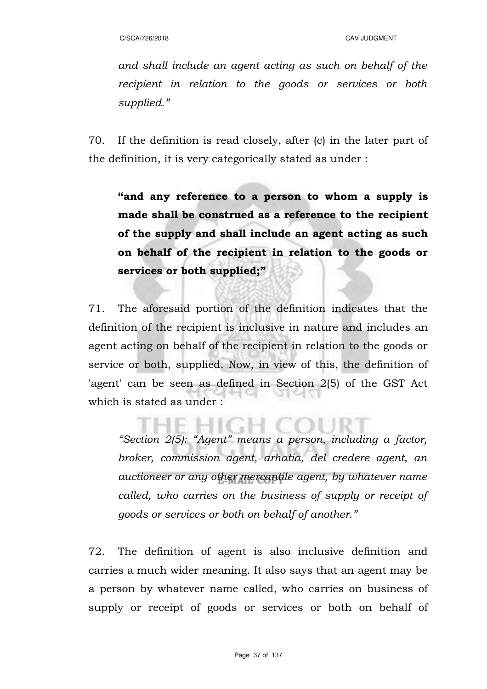*and shall include an agent acting as such on behalf of the recipient in relation to the goods or services or both supplied."* 

70. If the definition is read closely, after (c) in the later part of the definition, it is very categorically stated as under :

**"and any reference to a person to whom a supply is made shall be construed as a reference to the recipient of the supply and shall include an agent acting as such on behalf of the recipient in relation to the goods or services or both supplied;"**

71. The aforesaid portion of the definition indicates that the definition of the recipient is inclusive in nature and includes an agent acting on behalf of the recipient in relation to the goods or service or both, supplied. Now, in view of this, the definition of 'agent' can be seen as defined in Section 2(5) of the GST Act which is stated as under :

*"Section 2(5): "Agent" means a person, including a factor, broker, commission agent, arhatia, del credere agent, an auctioneer or any other mercantile agent, by whatever name called, who carries on the business of supply or receipt of goods or services or both on behalf of another."*

72. The definition of agent is also inclusive definition and carries a much wider meaning. It also says that an agent may be a person by whatever name called, who carries on business of supply or receipt of goods or services or both on behalf of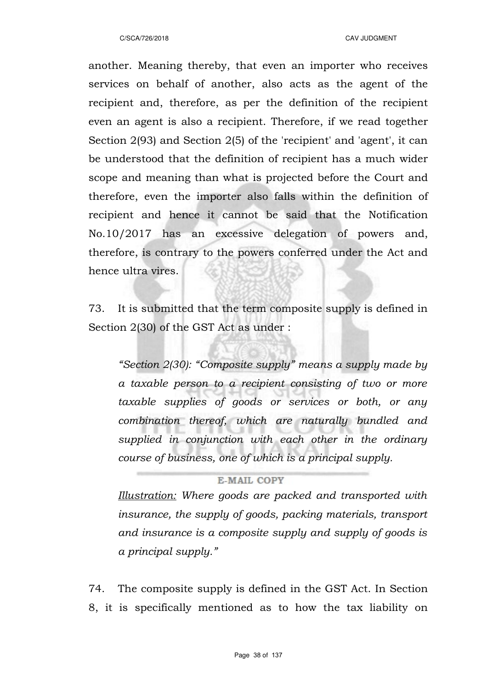another. Meaning thereby, that even an importer who receives services on behalf of another, also acts as the agent of the recipient and, therefore, as per the definition of the recipient even an agent is also a recipient. Therefore, if we read together Section 2(93) and Section 2(5) of the 'recipient' and 'agent', it can be understood that the definition of recipient has a much wider scope and meaning than what is projected before the Court and therefore, even the importer also falls within the definition of recipient and hence it cannot be said that the Notification No.10/2017 has an excessive delegation of powers and, therefore, is contrary to the powers conferred under the Act and hence ultra vires.

73. It is submitted that the term composite supply is defined in Section 2(30) of the GST Act as under :

*"Section 2(30): "Composite supply" means a supply made by a taxable person to a recipient consisting of two or more taxable supplies of goods or services or both, or any combination thereof, which are naturally bundled and supplied in conjunction with each other in the ordinary course of business, one of which is a principal supply.* 

#### **E-MAIL COPY**

*Illustration: Where goods are packed and transported with insurance, the supply of goods, packing materials, transport and insurance is a composite supply and supply of goods is a principal supply."*

74. The composite supply is defined in the GST Act. In Section 8, it is specifically mentioned as to how the tax liability on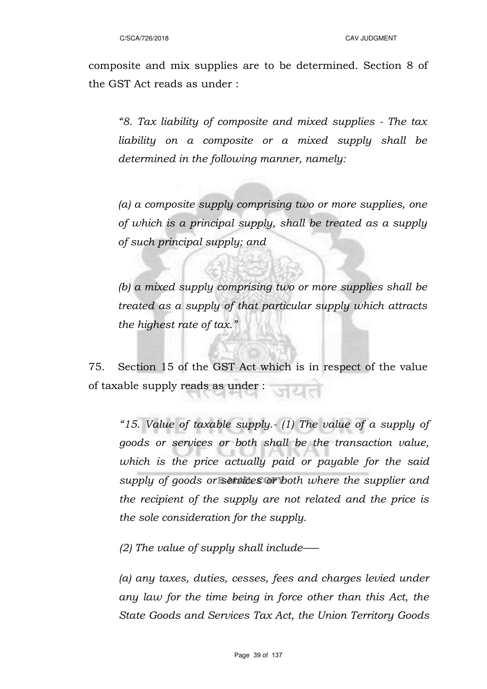composite and mix supplies are to be determined. Section 8 of the GST Act reads as under :

*"8. Tax liability of composite and mixed supplies - The tax liability on a composite or a mixed supply shall be determined in the following manner, namely:*

*(a) a composite supply comprising two or more supplies, one of which is a principal supply, shall be treated as a supply of such principal supply; and*

*(b) a mixed supply comprising two or more supplies shall be treated as a supply of that particular supply which attracts the highest rate of tax."*

75. Section 15 of the GST Act which is in respect of the value of taxable supply reads as under :

*"15. Value of taxable supply.- (1) The value of a supply of goods or services or both shall be the transaction value, which is the price actually paid or payable for the said supply of goods or services or both where the supplier and the recipient of the supply are not related and the price is the sole consideration for the supply.*

*(2) The value of supply shall include–––* 

*(a) any taxes, duties, cesses, fees and charges levied under any law for the time being in force other than this Act, the State Goods and Services Tax Act, the Union Territory Goods*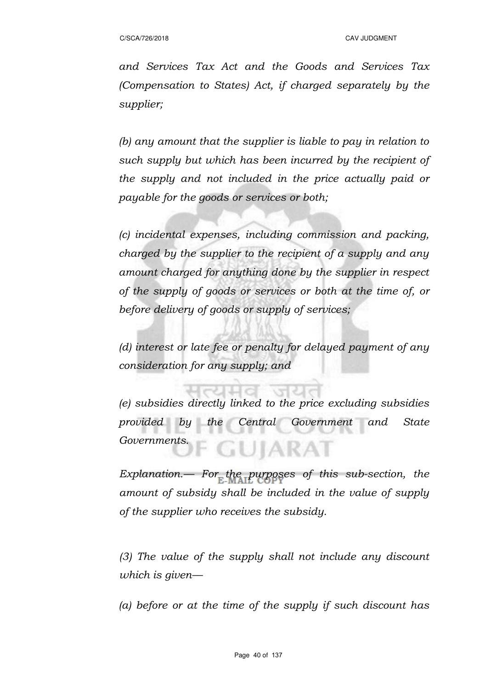*and Services Tax Act and the Goods and Services Tax (Compensation to States) Act, if charged separately by the supplier;* 

*(b) any amount that the supplier is liable to pay in relation to such supply but which has been incurred by the recipient of the supply and not included in the price actually paid or payable for the goods or services or both;* 

*(c) incidental expenses, including commission and packing, charged by the supplier to the recipient of a supply and any amount charged for anything done by the supplier in respect of the supply of goods or services or both at the time of, or before delivery of goods or supply of services;* 

*(d) interest or late fee or penalty for delayed payment of any consideration for any supply; and* 

*(e) subsidies directly linked to the price excluding subsidies provided by the Central Government and State Governments.*  **GUIARAT** 

*Explanation.–– For the purposes of this sub-section, the amount of subsidy shall be included in the value of supply of the supplier who receives the subsidy.*

*(3) The value of the supply shall not include any discount which is given––* 

*(a) before or at the time of the supply if such discount has*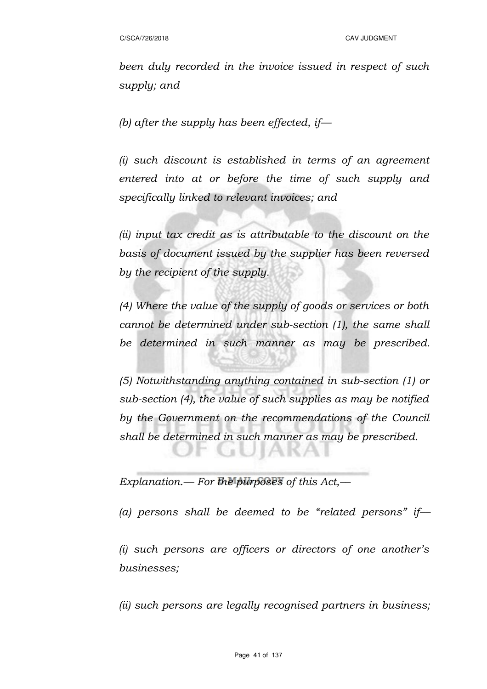*been duly recorded in the invoice issued in respect of such supply; and* 

*(b) after the supply has been effected, if—*

*(i) such discount is established in terms of an agreement entered into at or before the time of such supply and specifically linked to relevant invoices; and*

*(ii) input tax credit as is attributable to the discount on the basis of document issued by the supplier has been reversed by the recipient of the supply.* 

*(4) Where the value of the supply of goods or services or both cannot be determined under sub-section (1), the same shall be determined in such manner as may be prescribed.*

*(5) Notwithstanding anything contained in sub-section (1) or sub-section (4), the value of such supplies as may be notified by the Government on the recommendations of the Council shall be determined in such manner as may be prescribed.* 

**GUJAKA** 

*Explanation.— For the purposes of this Act,––* 

*(a) persons shall be deemed to be "related persons" if––*

*(i) such persons are officers or directors of one another's businesses;*

*(ii) such persons are legally recognised partners in business;*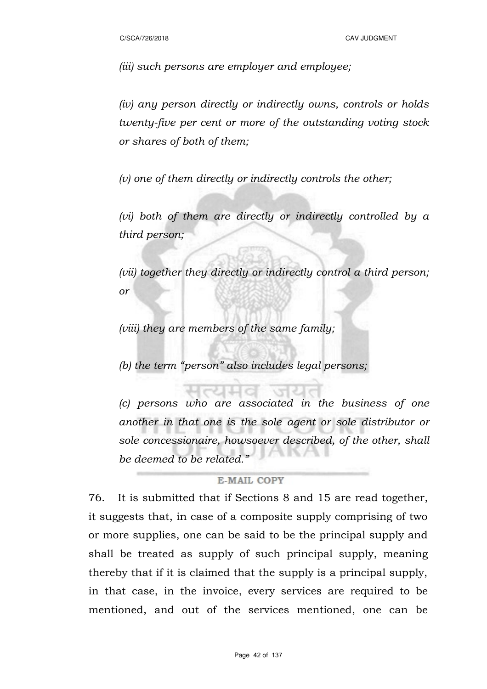*(iii) such persons are employer and employee;*

*(iv) any person directly or indirectly owns, controls or holds twenty-five per cent or more of the outstanding voting stock or shares of both of them;*

*(v) one of them directly or indirectly controls the other;*

*(vi) both of them are directly or indirectly controlled by a third person;*

*(vii) together they directly or indirectly control a third person; or*

*(viii) they are members of the same family;* 

*(b) the term "person" also includes legal persons;* 

*(c) persons who are associated in the business of one another in that one is the sole agent or sole distributor or sole concessionaire, howsoever described, of the other, shall be deemed to be related."*

#### **E-MAIL COPY**

76. It is submitted that if Sections 8 and 15 are read together, it suggests that, in case of a composite supply comprising of two or more supplies, one can be said to be the principal supply and shall be treated as supply of such principal supply, meaning thereby that if it is claimed that the supply is a principal supply, in that case, in the invoice, every services are required to be mentioned, and out of the services mentioned, one can be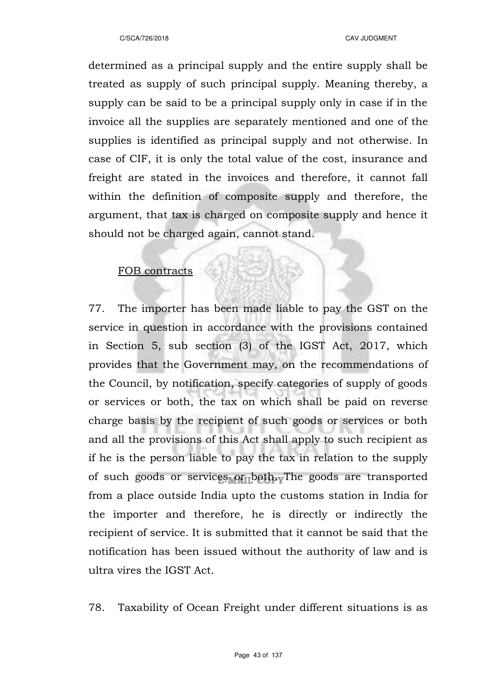determined as a principal supply and the entire supply shall be treated as supply of such principal supply. Meaning thereby, a supply can be said to be a principal supply only in case if in the invoice all the supplies are separately mentioned and one of the supplies is identified as principal supply and not otherwise. In case of CIF, it is only the total value of the cost, insurance and freight are stated in the invoices and therefore, it cannot fall within the definition of composite supply and therefore, the argument, that tax is charged on composite supply and hence it should not be charged again, cannot stand.

## FOB contracts

77. The importer has been made liable to pay the GST on the service in question in accordance with the provisions contained in Section 5, sub section (3) of the IGST Act, 2017, which provides that the Government may, on the recommendations of the Council, by notification, specify categories of supply of goods or services or both, the tax on which shall be paid on reverse charge basis by the recipient of such goods or services or both and all the provisions of this Act shall apply to such recipient as if he is the person liable to pay the tax in relation to the supply of such goods or services or both. The goods are transported from a place outside India upto the customs station in India for the importer and therefore, he is directly or indirectly the recipient of service. It is submitted that it cannot be said that the notification has been issued without the authority of law and is ultra vires the IGST Act.

78. Taxability of Ocean Freight under different situations is as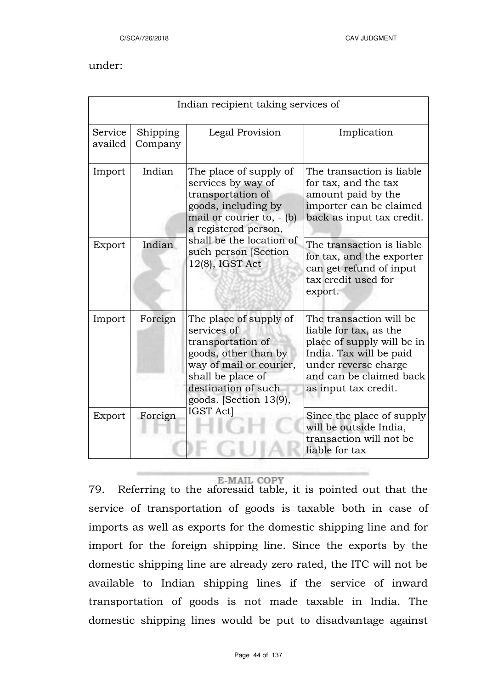#### under:

| Indian recipient taking services of |                     |                                                                                                                                                                                     |                                                                                                                                                                                       |  |  |  |
|-------------------------------------|---------------------|-------------------------------------------------------------------------------------------------------------------------------------------------------------------------------------|---------------------------------------------------------------------------------------------------------------------------------------------------------------------------------------|--|--|--|
| Service<br>availed                  | Shipping<br>Company | Legal Provision                                                                                                                                                                     | Implication                                                                                                                                                                           |  |  |  |
| Import                              | Indian              | The place of supply of<br>services by way of<br>transportation of<br>goods, including by<br>mail or courier to, - (b)<br>a registered person,                                       | The transaction is liable<br>for tax, and the tax<br>amount paid by the<br>importer can be claimed<br>back as input tax credit.                                                       |  |  |  |
| Export                              | Indian              | shall be the location of<br>such person [Section<br>12(8), IGST Act                                                                                                                 | The transaction is liable<br>for tax, and the exporter<br>can get refund of input<br>tax credit used for<br>export.                                                                   |  |  |  |
| Import                              | Foreign             | The place of supply of<br>services of<br>transportation of<br>goods, other than by<br>way of mail or courier,<br>shall be place of<br>destination of such<br>goods. [Section 13(9), | The transaction will be<br>liable for tax, as the<br>place of supply will be in<br>India. Tax will be paid<br>under reverse charge<br>and can be claimed back<br>as input tax credit. |  |  |  |
| Export                              | Foreign             | IGST Act]                                                                                                                                                                           | Since the place of supply<br>will be outside India,<br>transaction will not be<br>liable for tax                                                                                      |  |  |  |

#### **E-MAIL COPY**

79. Referring to the aforesaid table, it is pointed out that the service of transportation of goods is taxable both in case of imports as well as exports for the domestic shipping line and for import for the foreign shipping line. Since the exports by the domestic shipping line are already zero rated, the ITC will not be available to Indian shipping lines if the service of inward transportation of goods is not made taxable in India. The domestic shipping lines would be put to disadvantage against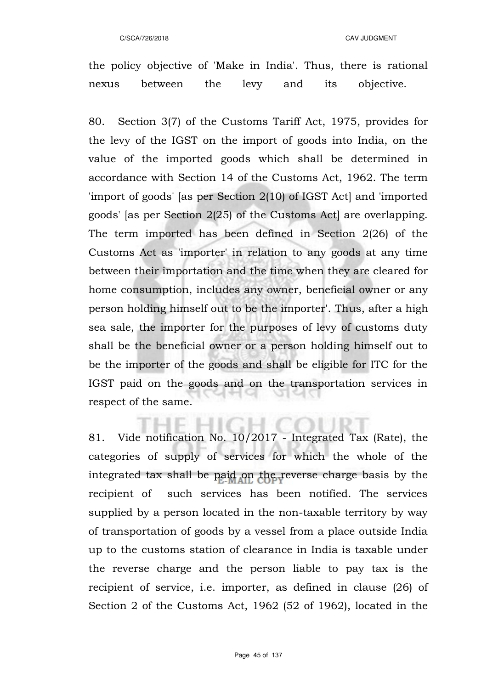the policy objective of 'Make in India'. Thus, there is rational nexus between the levy and its objective.

80. Section 3(7) of the Customs Tariff Act, 1975, provides for the levy of the IGST on the import of goods into India, on the value of the imported goods which shall be determined in accordance with Section 14 of the Customs Act, 1962. The term 'import of goods' [as per Section 2(10) of IGST Act] and 'imported goods' [as per Section 2(25) of the Customs Act] are overlapping. The term imported has been defined in Section 2(26) of the Customs Act as 'importer' in relation to any goods at any time between their importation and the time when they are cleared for home consumption, includes any owner, beneficial owner or any person holding himself out to be the importer'. Thus, after a high sea sale, the importer for the purposes of levy of customs duty shall be the beneficial owner or a person holding himself out to be the importer of the goods and shall be eligible for ITC for the IGST paid on the goods and on the transportation services in respect of the same.

81. Vide notification No. 10/2017 - Integrated Tax (Rate), the categories of supply of services for which the whole of the integrated tax shall be paid on the reverse charge basis by the recipient of such services has been notified. The services supplied by a person located in the non-taxable territory by way of transportation of goods by a vessel from a place outside India up to the customs station of clearance in India is taxable under the reverse charge and the person liable to pay tax is the recipient of service, i.e. importer, as defined in clause (26) of Section 2 of the Customs Act, 1962 (52 of 1962), located in the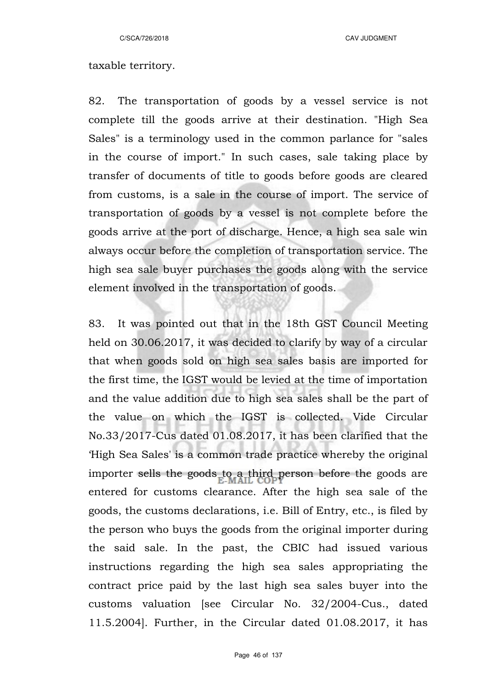C/SCA/726/2018 CAV JUDGMENT

### taxable territory.

82. The transportation of goods by a vessel service is not complete till the goods arrive at their destination. "High Sea Sales" is a terminology used in the common parlance for "sales in the course of import." In such cases, sale taking place by transfer of documents of title to goods before goods are cleared from customs, is a sale in the course of import. The service of transportation of goods by a vessel is not complete before the goods arrive at the port of discharge. Hence, a high sea sale win always occur before the completion of transportation service. The high sea sale buyer purchases the goods along with the service element involved in the transportation of goods.

83. It was pointed out that in the 18th GST Council Meeting held on 30.06.2017, it was decided to clarify by way of a circular that when goods sold on high sea sales basis are imported for the first time, the IGST would be levied at the time of importation and the value addition due to high sea sales shall be the part of the value on which the IGST is collected. Vide Circular No.33/2017-Cus dated 01.08.2017, it has been clarified that the 'High Sea Sales' is a common trade practice whereby the original importer sells the goods to a third person before the goods are entered for customs clearance. After the high sea sale of the goods, the customs declarations, i.e. Bill of Entry, etc., is filed by the person who buys the goods from the original importer during the said sale. In the past, the CBIC had issued various instructions regarding the high sea sales appropriating the contract price paid by the last high sea sales buyer into the customs valuation [see Circular No. 32/2004-Cus., dated 11.5.2004]. Further, in the Circular dated 01.08.2017, it has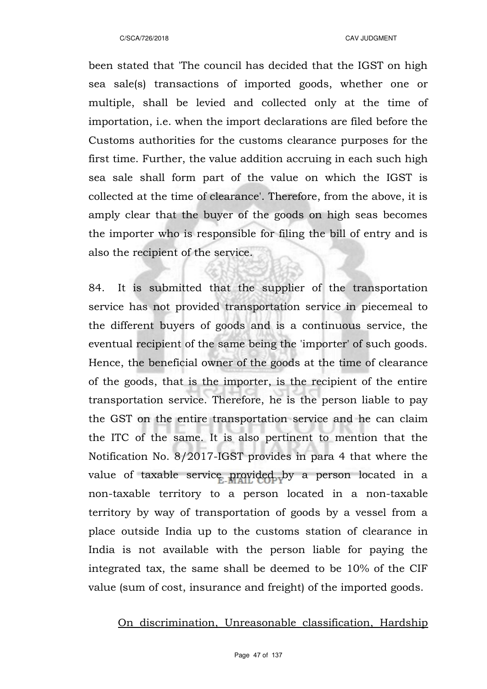been stated that 'The council has decided that the IGST on high sea sale(s) transactions of imported goods, whether one or multiple, shall be levied and collected only at the time of importation, i.e. when the import declarations are filed before the Customs authorities for the customs clearance purposes for the first time. Further, the value addition accruing in each such high sea sale shall form part of the value on which the IGST is collected at the time of clearance'. Therefore, from the above, it is amply clear that the buyer of the goods on high seas becomes the importer who is responsible for filing the bill of entry and is also the recipient of the service.

84. It is submitted that the supplier of the transportation service has not provided transportation service in piecemeal to the different buyers of goods and is a continuous service, the eventual recipient of the same being the 'importer' of such goods. Hence, the beneficial owner of the goods at the time of clearance of the goods, that is the importer, is the recipient of the entire transportation service. Therefore, he is the person liable to pay the GST on the entire transportation service and he can claim the ITC of the same. It is also pertinent to mention that the Notification No. 8/2017-IGST provides in para 4 that where the value of taxable service provided by a person located in a non-taxable territory to a person located in a non-taxable territory by way of transportation of goods by a vessel from a place outside India up to the customs station of clearance in India is not available with the person liable for paying the integrated tax, the same shall be deemed to be 10% of the CIF value (sum of cost, insurance and freight) of the imported goods.

On discrimination, Unreasonable classification, Hardship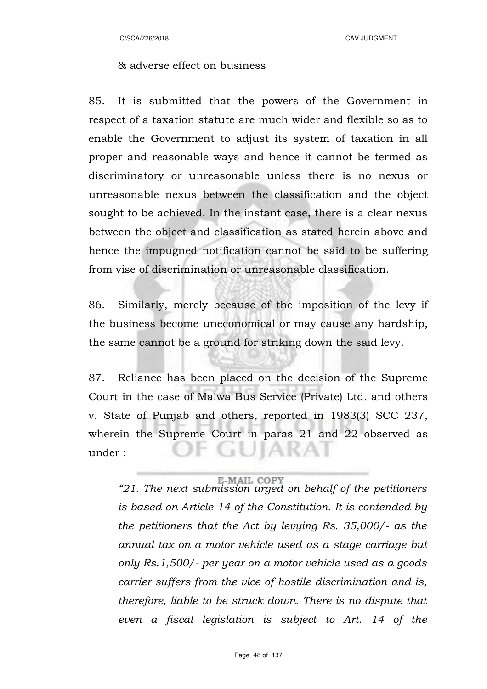#### & adverse effect on business

85. It is submitted that the powers of the Government in respect of a taxation statute are much wider and flexible so as to enable the Government to adjust its system of taxation in all proper and reasonable ways and hence it cannot be termed as discriminatory or unreasonable unless there is no nexus or unreasonable nexus between the classification and the object sought to be achieved. In the instant case, there is a clear nexus between the object and classification as stated herein above and hence the impugned notification cannot be said to be suffering from vise of discrimination or unreasonable classification.

86. Similarly, merely because of the imposition of the levy if the business become uneconomical or may cause any hardship, the same cannot be a ground for striking down the said levy.

87. Reliance has been placed on the decision of the Supreme Court in the case of Malwa Bus Service (Private) Ltd. and others v. State of Punjab and others, reported in 1983(3) SCC 237, wherein the Supreme Court in paras 21 and 22 observed as **JUJAKA** under :

**E-MAIL COPY**<br>*"21. The next submission urged on behalf of the petitioners is based on Article 14 of the Constitution. It is contended by the petitioners that the Act by levying Rs. 35,000/- as the annual tax on a motor vehicle used as a stage carriage but only Rs.1,500/- per year on a motor vehicle used as a goods carrier suffers from the vice of hostile discrimination and is, therefore, liable to be struck down. There is no dispute that even a fiscal legislation is subject to Art. 14 of the*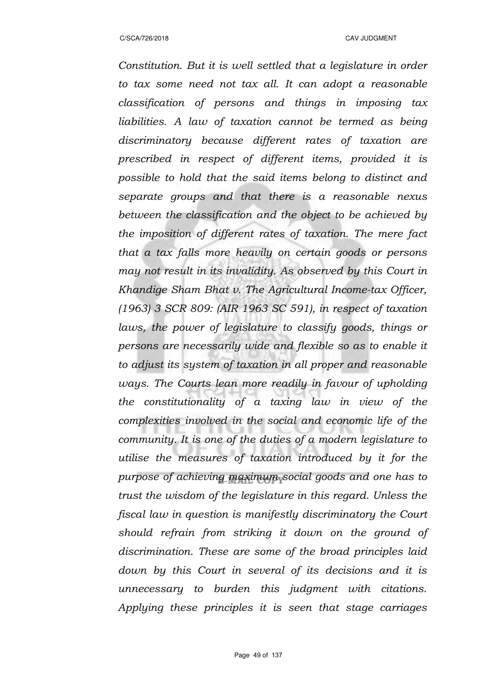*Constitution. But it is well settled that a legislature in order to tax some need not tax all. It can adopt a reasonable classification of persons and things in imposing tax liabilities. A law of taxation cannot be termed as being discriminatory because different rates of taxation are prescribed in respect of different items, provided it is possible to hold that the said items belong to distinct and separate groups and that there is a reasonable nexus between the classification and the object to be achieved by the imposition of different rates of taxation. The mere fact that a tax falls more heavily on certain goods or persons may not result in its invalidity. As observed by this Court in Khandige Sham Bhat v. The Agricultural Income-tax Officer, (1963) 3 SCR 809: (AIR 1963 SC 591), in respect of taxation laws, the power of legislature to classify goods, things or persons are necessarily wide and flexible so as to enable it to adjust its system of taxation in all proper and reasonable ways. The Courts lean more readily in favour of upholding the constitutionality of a taxing law in view of the complexities involved in the social and economic life of the community. It is one of the duties of a modern legislature to utilise the measures of taxation introduced by it for the purpose of achieving maximum social goods and one has to trust the wisdom of the legislature in this regard. Unless the fiscal law in question is manifestly discriminatory the Court should refrain from striking it down on the ground of discrimination. These are some of the broad principles laid down by this Court in several of its decisions and it is unnecessary to burden this judgment with citations. Applying these principles it is seen that stage carriages*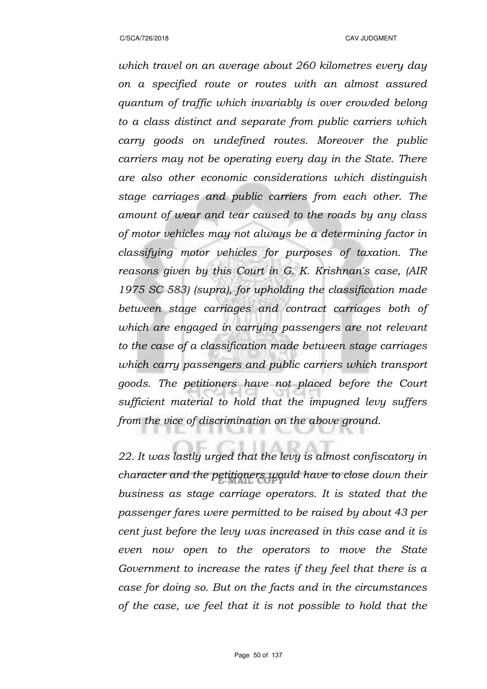*which travel on an average about 260 kilometres every day on a specified route or routes with an almost assured quantum of traffic which invariably is over crowded belong to a class distinct and separate from public carriers which carry goods on undefined routes. Moreover the public carriers may not be operating every day in the State. There are also other economic considerations which distinguish stage carriages and public carriers from each other. The amount of wear and tear caused to the roads by any class of motor vehicles may not always be a determining factor in classifying motor vehicles for purposes of taxation. The reasons given by this Court in G. K. Krishnan's case, (AIR 1975 SC 583) (supra), for upholding the classification made between stage carriages and contract carriages both of which are engaged in carrying passengers are not relevant to the case of a classification made between stage carriages which carry passengers and public carriers which transport goods. The petitioners have not placed before the Court sufficient material to hold that the impugned levy suffers from the vice of discrimination on the above ground.*

*22. It was lastly urged that the levy is almost confiscatory in character and the petitioners would have to close down their business as stage carriage operators. It is stated that the passenger fares were permitted to be raised by about 43 per cent just before the levy was increased in this case and it is even now open to the operators to move the State Government to increase the rates if they feel that there is a case for doing so. But on the facts and in the circumstances of the case, we feel that it is not possible to hold that the*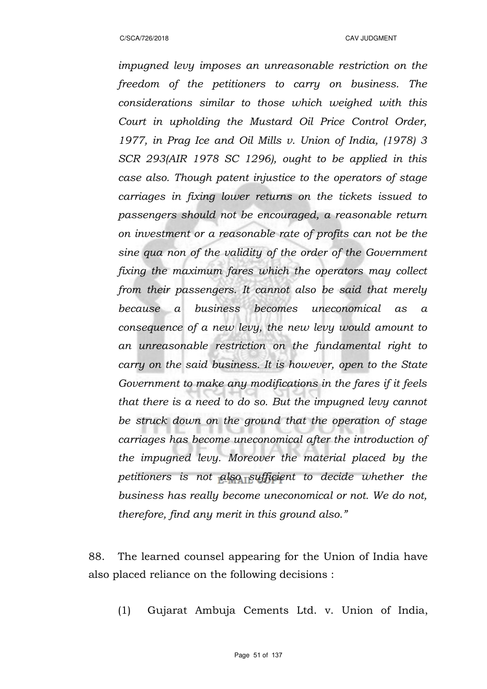*impugned levy imposes an unreasonable restriction on the freedom of the petitioners to carry on business. The considerations similar to those which weighed with this Court in upholding the Mustard Oil Price Control Order, 1977, in Prag Ice and Oil Mills v. Union of India, (1978) 3 SCR 293(AIR 1978 SC 1296), ought to be applied in this case also. Though patent injustice to the operators of stage carriages in fixing lower returns on the tickets issued to passengers should not be encouraged, a reasonable return on investment or a reasonable rate of profits can not be the sine qua non of the validity of the order of the Government fixing the maximum fares which the operators may collect from their passengers. It cannot also be said that merely because a business becomes uneconomical as a consequence of a new levy, the new levy would amount to an unreasonable restriction on the fundamental right to carry on the said business. It is however, open to the State Government to make any modifications in the fares if it feels that there is a need to do so. But the impugned levy cannot be struck down on the ground that the operation of stage carriages has become uneconomical after the introduction of the impugned levy. Moreover the material placed by the petitioners is not also sufficient to decide whether the business has really become uneconomical or not. We do not, therefore, find any merit in this ground also."*

88. The learned counsel appearing for the Union of India have also placed reliance on the following decisions :

(1) Gujarat Ambuja Cements Ltd. v. Union of India,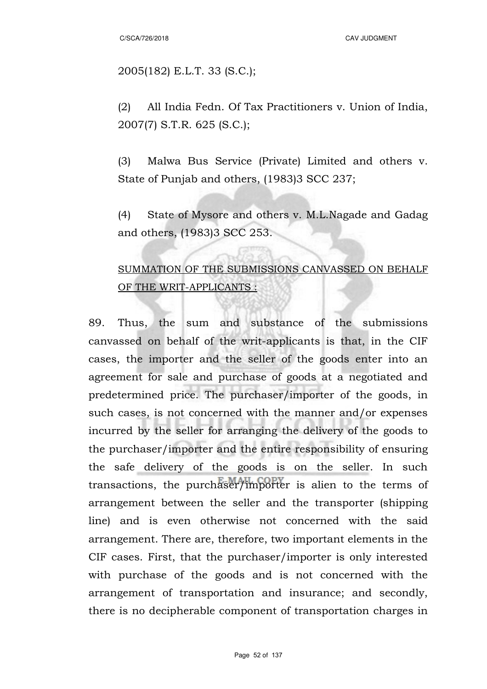C/SCA/726/2018 CAV JUDGMENT

2005(182) E.L.T. 33 (S.C.);

(2) All India Fedn. Of Tax Practitioners v. Union of India, 2007(7) S.T.R. 625 (S.C.);

(3) Malwa Bus Service (Private) Limited and others v. State of Punjab and others, (1983)3 SCC 237;

(4) State of Mysore and others v. M.L.Nagade and Gadag and others, (1983)3 SCC 253.

# SUMMATION OF THE SUBMISSIONS CANVASSED ON BEHALF OF THE WRIT-APPLICANTS :

89. Thus, the sum and substance of the submissions canvassed on behalf of the writ-applicants is that, in the CIF cases, the importer and the seller of the goods enter into an agreement for sale and purchase of goods at a negotiated and predetermined price. The purchaser/importer of the goods, in such cases, is not concerned with the manner and/or expenses incurred by the seller for arranging the delivery of the goods to the purchaser/importer and the entire responsibility of ensuring the safe delivery of the goods is on the seller. In such transactions, the purchaser/importer is alien to the terms of arrangement between the seller and the transporter (shipping line) and is even otherwise not concerned with the said arrangement. There are, therefore, two important elements in the CIF cases. First, that the purchaser/importer is only interested with purchase of the goods and is not concerned with the arrangement of transportation and insurance; and secondly, there is no decipherable component of transportation charges in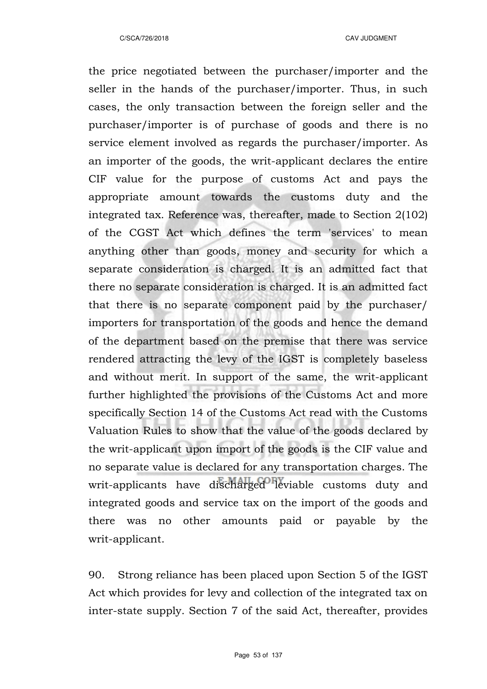the price negotiated between the purchaser/importer and the seller in the hands of the purchaser/importer. Thus, in such cases, the only transaction between the foreign seller and the purchaser/importer is of purchase of goods and there is no service element involved as regards the purchaser/importer. As an importer of the goods, the writ-applicant declares the entire CIF value for the purpose of customs Act and pays the appropriate amount towards the customs duty and the integrated tax. Reference was, thereafter, made to Section 2(102) of the CGST Act which defines the term 'services' to mean anything other than goods, money and security for which a separate consideration is charged. It is an admitted fact that there no separate consideration is charged. It is an admitted fact that there is no separate component paid by the purchaser/ importers for transportation of the goods and hence the demand of the department based on the premise that there was service rendered attracting the levy of the IGST is completely baseless and without merit. In support of the same, the writ-applicant further highlighted the provisions of the Customs Act and more specifically Section 14 of the Customs Act read with the Customs Valuation Rules to show that the value of the goods declared by the writ-applicant upon import of the goods is the CIF value and no separate value is declared for any transportation charges. The writ-applicants have discharged leviable customs duty and integrated goods and service tax on the import of the goods and there was no other amounts paid or payable by the writ-applicant.

90. Strong reliance has been placed upon Section 5 of the IGST Act which provides for levy and collection of the integrated tax on inter-state supply. Section 7 of the said Act, thereafter, provides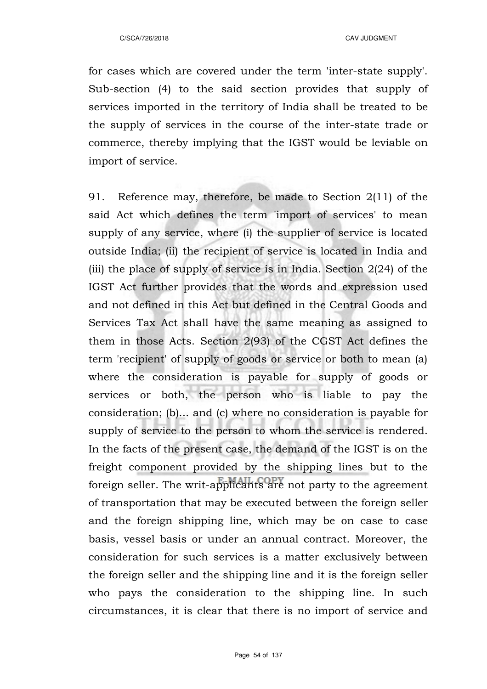for cases which are covered under the term 'inter-state supply'. Sub-section (4) to the said section provides that supply of services imported in the territory of India shall be treated to be the supply of services in the course of the inter-state trade or commerce, thereby implying that the IGST would be leviable on import of service.

91. Reference may, therefore, be made to Section 2(11) of the said Act which defines the term 'import of services' to mean supply of any service, where (i) the supplier of service is located outside India; (ii) the recipient of service is located in India and (iii) the place of supply of service is in India. Section 2(24) of the IGST Act further provides that the words and expression used and not defined in this Act but defined in the Central Goods and Services Tax Act shall have the same meaning as assigned to them in those Acts. Section 2(93) of the CGST Act defines the term 'recipient' of supply of goods or service or both to mean (a) where the consideration is payable for supply of goods or services or both, the person who is liable to pay the consideration; (b)... and (c) where no consideration is payable for supply of service to the person to whom the service is rendered. In the facts of the present case, the demand of the IGST is on the freight component provided by the shipping lines but to the foreign seller. The writ-applicants are not party to the agreement of transportation that may be executed between the foreign seller and the foreign shipping line, which may be on case to case basis, vessel basis or under an annual contract. Moreover, the consideration for such services is a matter exclusively between the foreign seller and the shipping line and it is the foreign seller who pays the consideration to the shipping line. In such circumstances, it is clear that there is no import of service and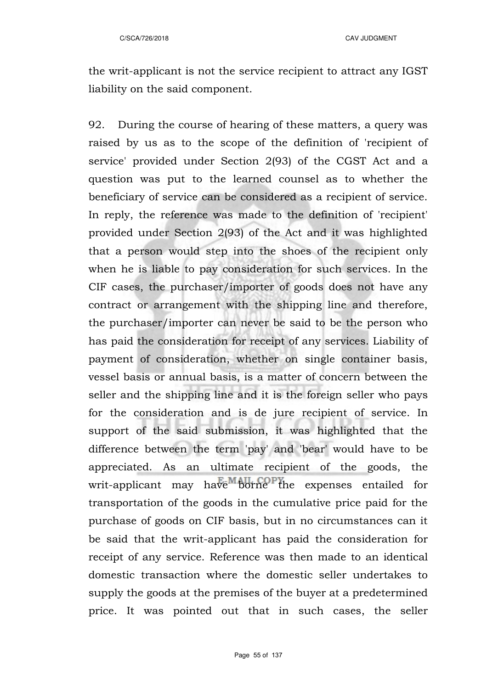the writ-applicant is not the service recipient to attract any IGST liability on the said component.

92. During the course of hearing of these matters, a query was raised by us as to the scope of the definition of 'recipient of service' provided under Section 2(93) of the CGST Act and a question was put to the learned counsel as to whether the beneficiary of service can be considered as a recipient of service. In reply, the reference was made to the definition of 'recipient' provided under Section 2(93) of the Act and it was highlighted that a person would step into the shoes of the recipient only when he is liable to pay consideration for such services. In the CIF cases, the purchaser/importer of goods does not have any contract or arrangement with the shipping line and therefore, the purchaser/importer can never be said to be the person who has paid the consideration for receipt of any services. Liability of payment of consideration, whether on single container basis, vessel basis or annual basis, is a matter of concern between the seller and the shipping line and it is the foreign seller who pays for the consideration and is de jure recipient of service. In support of the said submission, it was highlighted that the difference between the term 'pay' and 'bear' would have to be appreciated. As an ultimate recipient of the goods, the writ-applicant may have borne the expenses entailed for transportation of the goods in the cumulative price paid for the purchase of goods on CIF basis, but in no circumstances can it be said that the writ-applicant has paid the consideration for receipt of any service. Reference was then made to an identical domestic transaction where the domestic seller undertakes to supply the goods at the premises of the buyer at a predetermined price. It was pointed out that in such cases, the seller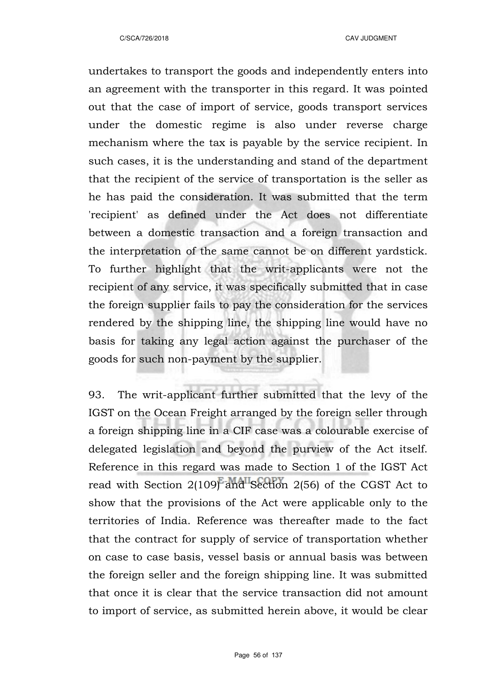undertakes to transport the goods and independently enters into an agreement with the transporter in this regard. It was pointed out that the case of import of service, goods transport services under the domestic regime is also under reverse charge mechanism where the tax is payable by the service recipient. In such cases, it is the understanding and stand of the department that the recipient of the service of transportation is the seller as he has paid the consideration. It was submitted that the term 'recipient' as defined under the Act does not differentiate between a domestic transaction and a foreign transaction and the interpretation of the same cannot be on different yardstick. To further highlight that the writ-applicants were not the recipient of any service, it was specifically submitted that in case the foreign supplier fails to pay the consideration for the services rendered by the shipping line, the shipping line would have no basis for taking any legal action against the purchaser of the goods for such non-payment by the supplier.

93. The writ-applicant further submitted that the levy of the IGST on the Ocean Freight arranged by the foreign seller through a foreign shipping line in a CIF case was a colourable exercise of delegated legislation and beyond the purview of the Act itself. Reference in this regard was made to Section 1 of the IGST Act read with Section 2(109) and Section 2(56) of the CGST Act to show that the provisions of the Act were applicable only to the territories of India. Reference was thereafter made to the fact that the contract for supply of service of transportation whether on case to case basis, vessel basis or annual basis was between the foreign seller and the foreign shipping line. It was submitted that once it is clear that the service transaction did not amount to import of service, as submitted herein above, it would be clear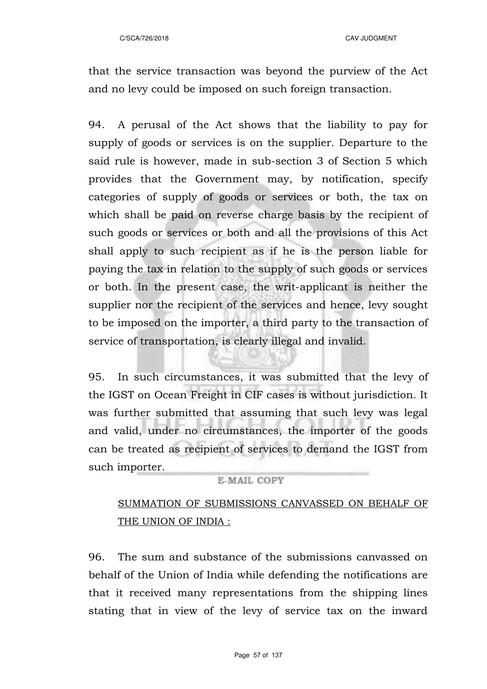that the service transaction was beyond the purview of the Act and no levy could be imposed on such foreign transaction.

94. A perusal of the Act shows that the liability to pay for supply of goods or services is on the supplier. Departure to the said rule is however, made in sub-section 3 of Section 5 which provides that the Government may, by notification, specify categories of supply of goods or services or both, the tax on which shall be paid on reverse charge basis by the recipient of such goods or services or both and all the provisions of this Act shall apply to such recipient as if he is the person liable for paying the tax in relation to the supply of such goods or services or both. In the present case, the writ-applicant is neither the supplier nor the recipient of the services and hence, levy sought to be imposed on the importer, a third party to the transaction of service of transportation, is clearly illegal and invalid.

95. In such circumstances, it was submitted that the levy of the IGST on Ocean Freight in CIF cases is without jurisdiction. It was further submitted that assuming that such levy was legal and valid, under no circumstances, the importer of the goods can be treated as recipient of services to demand the IGST from such importer.

#### **E-MAIL COPY**

## SUMMATION OF SUBMISSIONS CANVASSED ON BEHALF OF THE UNION OF INDIA :

96. The sum and substance of the submissions canvassed on behalf of the Union of India while defending the notifications are that it received many representations from the shipping lines stating that in view of the levy of service tax on the inward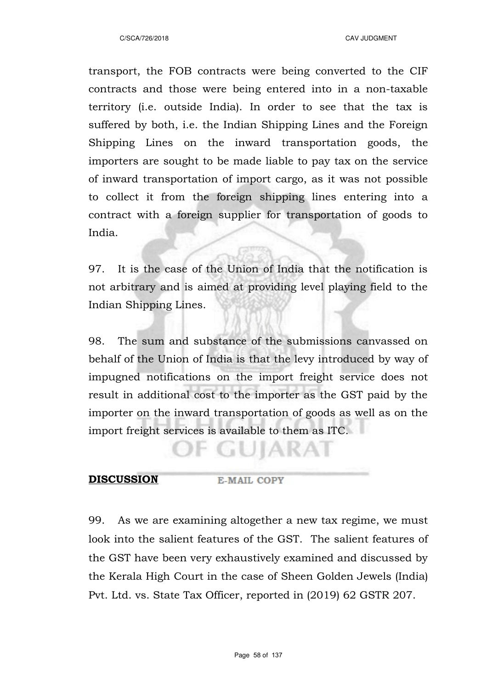transport, the FOB contracts were being converted to the CIF contracts and those were being entered into in a non-taxable territory (i.e. outside India). In order to see that the tax is suffered by both, i.e. the Indian Shipping Lines and the Foreign Shipping Lines on the inward transportation goods, the importers are sought to be made liable to pay tax on the service of inward transportation of import cargo, as it was not possible to collect it from the foreign shipping lines entering into a contract with a foreign supplier for transportation of goods to India.

97. It is the case of the Union of India that the notification is not arbitrary and is aimed at providing level playing field to the Indian Shipping Lines.

98. The sum and substance of the submissions canvassed on behalf of the Union of India is that the levy introduced by way of impugned notifications on the import freight service does not result in additional cost to the importer as the GST paid by the importer on the inward transportation of goods as well as on the import freight services is available to them as ITC.

· GUIARAI

#### **DISCUSSION** E-MAIL COPY

99. As we are examining altogether a new tax regime, we must look into the salient features of the GST. The salient features of the GST have been very exhaustively examined and discussed by the Kerala High Court in the case of Sheen Golden Jewels (India) Pvt. Ltd. vs. State Tax Officer, reported in (2019) 62 GSTR 207.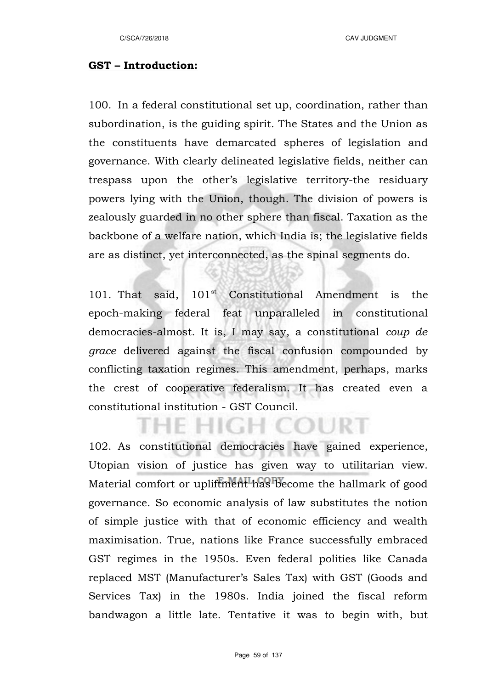#### **GST – Introduction:**

100. In a federal constitutional set up, coordination, rather than subordination, is the guiding spirit. The States and the Union as the constituents have demarcated spheres of legislation and governance. With clearly delineated legislative fields, neither can trespass upon the other's legislative territory-the residuary powers lying with the Union, though. The division of powers is zealously guarded in no other sphere than fiscal. Taxation as the backbone of a welfare nation, which India is; the legislative fields are as distinct, yet interconnected, as the spinal segments do.

101. That said,  $101<sup>st</sup>$  Constitutional Amendment is the epoch-making federal feat unparalleled in constitutional democracies-almost. It is, I may say, a constitutional *coup de grace* delivered against the fiscal confusion compounded by conflicting taxation regimes. This amendment, perhaps, marks the crest of cooperative federalism. It has created even a constitutional institution - GST Council.

F HIGH

COURT

102. As constitutional democracies have gained experience, Utopian vision of justice has given way to utilitarian view. Material comfort or upliftment has become the hallmark of good governance. So economic analysis of law substitutes the notion of simple justice with that of economic efficiency and wealth maximisation. True, nations like France successfully embraced GST regimes in the 1950s. Even federal polities like Canada replaced MST (Manufacturer's Sales Tax) with GST (Goods and Services Tax) in the 1980s. India joined the fiscal reform bandwagon a little late. Tentative it was to begin with, but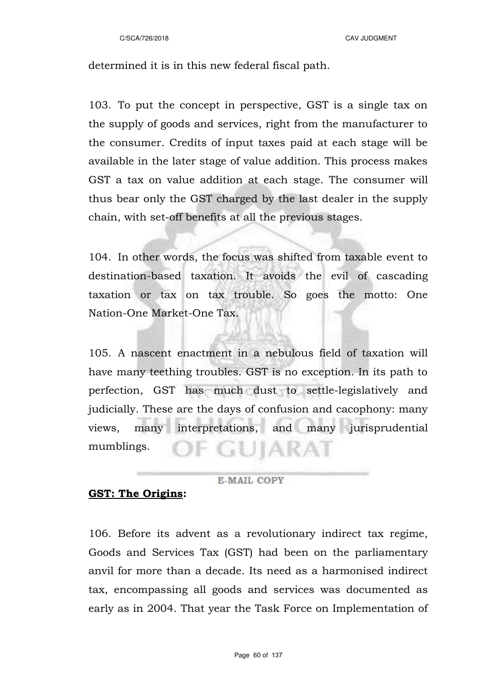C/SCA/726/2018 CAV JUDGMENT

determined it is in this new federal fiscal path.

103. To put the concept in perspective, GST is a single tax on the supply of goods and services, right from the manufacturer to the consumer. Credits of input taxes paid at each stage will be available in the later stage of value addition. This process makes GST a tax on value addition at each stage. The consumer will thus bear only the GST charged by the last dealer in the supply chain, with set-off benefits at all the previous stages.

104. In other words, the focus was shifted from taxable event to destination-based taxation. It avoids the evil of cascading taxation or tax on tax trouble. So goes the motto: One Nation-One Market-One Tax.

105. A nascent enactment in a nebulous field of taxation will have many teething troubles. GST is no exception. In its path to perfection, GST has much dust to settle-legislatively and judicially. These are the days of confusion and cacophony: many views, many interpretations, and many jurisprudential mumblings.

#### E-MAIL COPY

#### **GST: The Origins:**

106. Before its advent as a revolutionary indirect tax regime, Goods and Services Tax (GST) had been on the parliamentary anvil for more than a decade. Its need as a harmonised indirect tax, encompassing all goods and services was documented as early as in 2004. That year the Task Force on Implementation of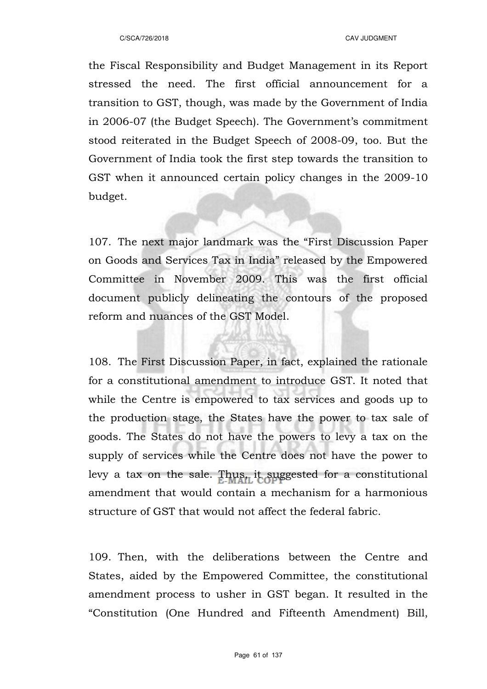the Fiscal Responsibility and Budget Management in its Report stressed the need. The first official announcement for a transition to GST, though, was made by the Government of India in 2006-07 (the Budget Speech). The Government's commitment stood reiterated in the Budget Speech of 2008-09, too. But the Government of India took the first step towards the transition to GST when it announced certain policy changes in the 2009-10 budget.

107. The next major landmark was the "First Discussion Paper on Goods and Services Tax in India" released by the Empowered Committee in November 2009. This was the first official document publicly delineating the contours of the proposed reform and nuances of the GST Model.

108. The First Discussion Paper, in fact, explained the rationale for a constitutional amendment to introduce GST. It noted that while the Centre is empowered to tax services and goods up to the production stage, the States have the power to tax sale of goods. The States do not have the powers to levy a tax on the supply of services while the Centre does not have the power to levy a tax on the sale. Thus, it suggested for a constitutional amendment that would contain a mechanism for a harmonious structure of GST that would not affect the federal fabric.

109. Then, with the deliberations between the Centre and States, aided by the Empowered Committee, the constitutional amendment process to usher in GST began. It resulted in the "Constitution (One Hundred and Fifteenth Amendment) Bill,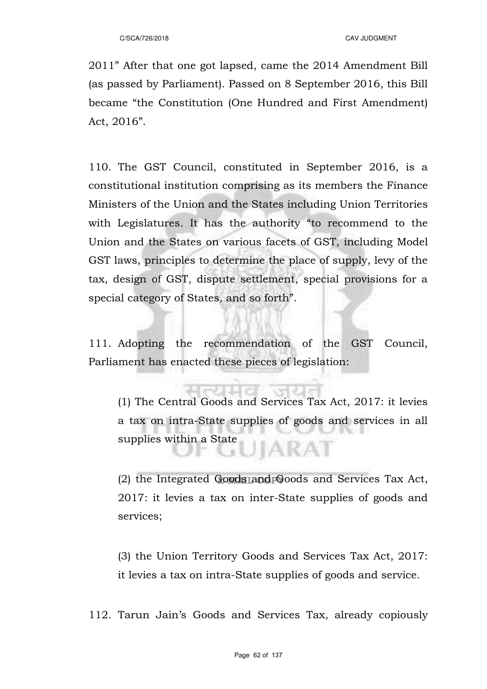2011" After that one got lapsed, came the 2014 Amendment Bill (as passed by Parliament). Passed on 8 September 2016, this Bill became "the Constitution (One Hundred and First Amendment) Act, 2016".

110. The GST Council, constituted in September 2016, is a constitutional institution comprising as its members the Finance Ministers of the Union and the States including Union Territories with Legislatures. It has the authority "to recommend to the Union and the States on various facets of GST, including Model GST laws, principles to determine the place of supply, levy of the tax, design of GST, dispute settlement, special provisions for a special category of States, and so forth".

111. Adopting the recommendation of the GST Council, Parliament has enacted these pieces of legislation:

(1) The Central Goods and Services Tax Act, 2017: it levies a tax on intra-State supplies of goods and services in all supplies within a State JIARAT

(2) the Integrated Goods and Goods and Services Tax Act, 2017: it levies a tax on inter-State supplies of goods and services;

(3) the Union Territory Goods and Services Tax Act, 2017: it levies a tax on intra-State supplies of goods and service.

112. Tarun Jain's Goods and Services Tax, already copiously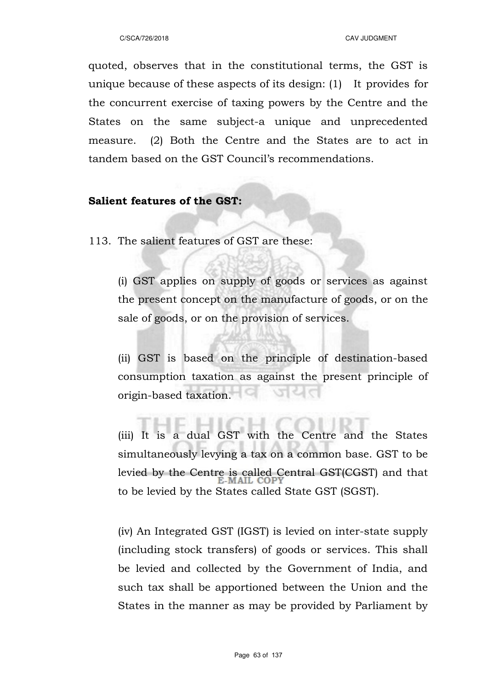quoted, observes that in the constitutional terms, the GST is unique because of these aspects of its design: (1) It provides for the concurrent exercise of taxing powers by the Centre and the States on the same subject-a unique and unprecedented measure. (2) Both the Centre and the States are to act in tandem based on the GST Council's recommendations.

### **Salient features of the GST:**

113. The salient features of GST are these:

(i) GST applies on supply of goods or services as against the present concept on the manufacture of goods, or on the sale of goods, or on the provision of services.

(ii) GST is based on the principle of destination-based consumption taxation as against the present principle of origin-based taxation.

(iii) It is a dual GST with the Centre and the States simultaneously levying a tax on a common base. GST to be levied by the Centre is called Central GST(CGST) and that to be levied by the States called State GST (SGST).

(iv) An Integrated GST (IGST) is levied on inter-state supply (including stock transfers) of goods or services. This shall be levied and collected by the Government of India, and such tax shall be apportioned between the Union and the States in the manner as may be provided by Parliament by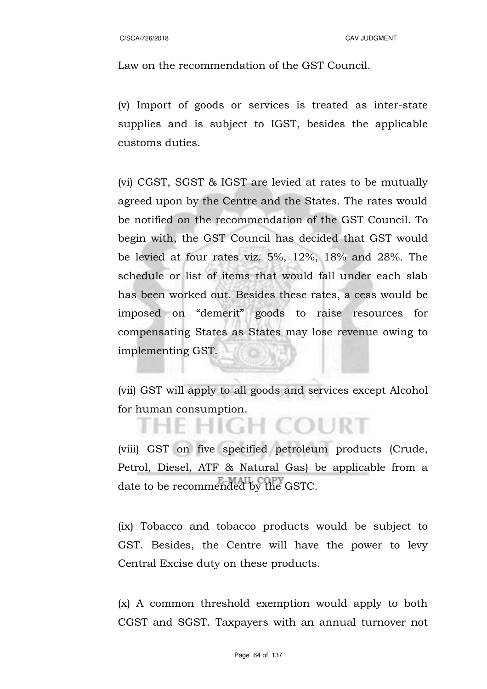Law on the recommendation of the GST Council.

(v) Import of goods or services is treated as inter-state supplies and is subject to IGST, besides the applicable customs duties.

(vi) CGST, SGST & IGST are levied at rates to be mutually agreed upon by the Centre and the States. The rates would be notified on the recommendation of the GST Council. To begin with, the GST Council has decided that GST would be levied at four rates viz. 5%, 12%, 18% and 28%. The schedule or list of items that would fall under each slab has been worked out. Besides these rates, a cess would be imposed on "demerit" goods to raise resources for compensating States as States may lose revenue owing to implementing GST.

(vii) GST will apply to all goods and services except Alcohol for human consumption.

**GH COURT** 

(viii) GST on five specified petroleum products (Crude, Petrol, Diesel, ATF & Natural Gas) be applicable from a date to be recommended by the GSTC.

(ix) Tobacco and tobacco products would be subject to GST. Besides, the Centre will have the power to levy Central Excise duty on these products.

(x) A common threshold exemption would apply to both CGST and SGST. Taxpayers with an annual turnover not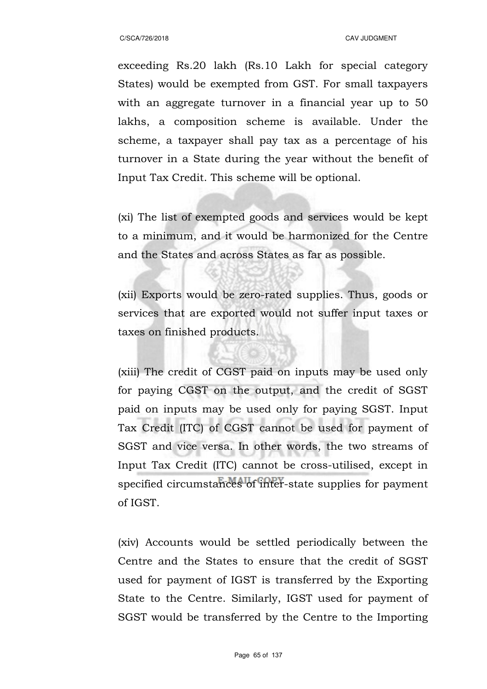exceeding Rs.20 lakh (Rs.10 Lakh for special category States) would be exempted from GST. For small taxpayers with an aggregate turnover in a financial year up to 50 lakhs, a composition scheme is available. Under the scheme, a taxpayer shall pay tax as a percentage of his turnover in a State during the year without the benefit of Input Tax Credit. This scheme will be optional.

(xi) The list of exempted goods and services would be kept to a minimum, and it would be harmonized for the Centre and the States and across States as far as possible.

(xii) Exports would be zero-rated supplies. Thus, goods or services that are exported would not suffer input taxes or taxes on finished products.

(xiii) The credit of CGST paid on inputs may be used only for paying CGST on the output, and the credit of SGST paid on inputs may be used only for paying SGST. Input Tax Credit (ITC) of CGST cannot be used for payment of SGST and vice versa. In other words, the two streams of Input Tax Credit (ITC) cannot be cross-utilised, except in specified circumstances of inter-state supplies for payment of IGST.

(xiv) Accounts would be settled periodically between the Centre and the States to ensure that the credit of SGST used for payment of IGST is transferred by the Exporting State to the Centre. Similarly, IGST used for payment of SGST would be transferred by the Centre to the Importing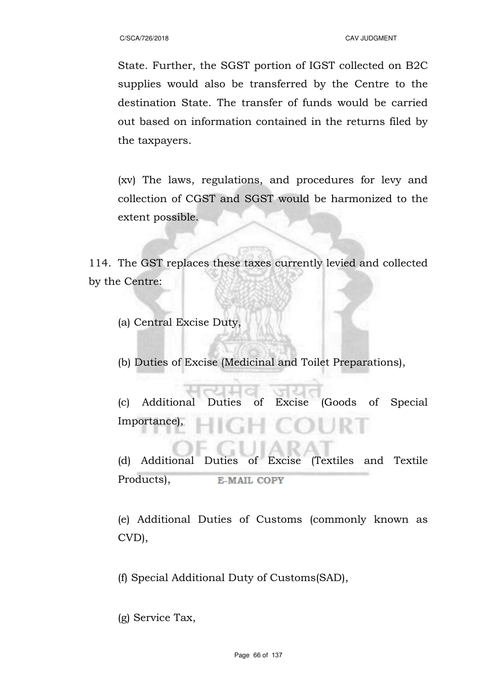State. Further, the SGST portion of IGST collected on B2C supplies would also be transferred by the Centre to the destination State. The transfer of funds would be carried out based on information contained in the returns filed by the taxpayers.

(xv) The laws, regulations, and procedures for levy and collection of CGST and SGST would be harmonized to the extent possible.

114. The GST replaces these taxes currently levied and collected by the Centre:

(a) Central Excise Duty,

(b) Duties of Excise (Medicinal and Toilet Preparations),

(c) Additional Duties of Excise (Goods of Special Importance),

(d) Additional Duties of Excise (Textiles and Textile Products), **E-MAIL COPY** 

(e) Additional Duties of Customs (commonly known as CVD),

(f) Special Additional Duty of Customs(SAD),

(g) Service Tax,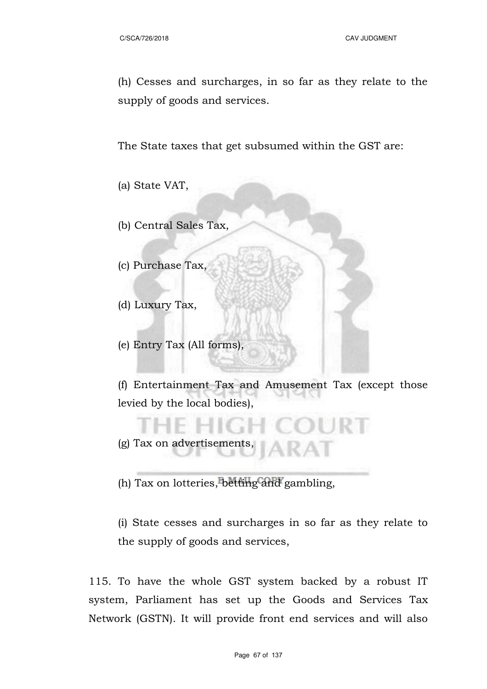(h) Cesses and surcharges, in so far as they relate to the supply of goods and services.

The State taxes that get subsumed within the GST are:

(a) State VAT,

(b) Central Sales Tax,

(c) Purchase Tax,

(d) Luxury Tax,

(e) Entry Tax (All forms),

(f) Entertainment Tax and Amusement Tax (except those levied by the local bodies),

(g) Tax on advertisements,

(h) Tax on lotteries, betting and gambling,

(i) State cesses and surcharges in so far as they relate to the supply of goods and services,

115. To have the whole GST system backed by a robust IT system, Parliament has set up the Goods and Services Tax Network (GSTN). It will provide front end services and will also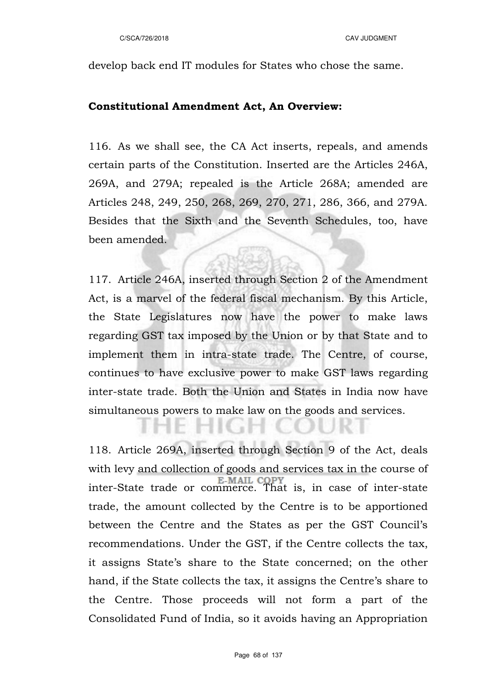develop back end IT modules for States who chose the same.

#### **Constitutional Amendment Act, An Overview:**

116. As we shall see, the CA Act inserts, repeals, and amends certain parts of the Constitution. Inserted are the Articles 246A, 269A, and 279A; repealed is the Article 268A; amended are Articles 248, 249, 250, 268, 269, 270, 271, 286, 366, and 279A. Besides that the Sixth and the Seventh Schedules, too, have been amended.

117. Article 246A, inserted through Section 2 of the Amendment Act, is a marvel of the federal fiscal mechanism. By this Article, the State Legislatures now have the power to make laws regarding GST tax imposed by the Union or by that State and to implement them in intra-state trade. The Centre, of course, continues to have exclusive power to make GST laws regarding inter-state trade. Both the Union and States in India now have simultaneous powers to make law on the goods and services.

118. Article 269A, inserted through Section 9 of the Act, deals with levy and collection of goods and services tax in the course of inter-State trade or commerce. That is, in case of inter-state trade, the amount collected by the Centre is to be apportioned between the Centre and the States as per the GST Council's recommendations. Under the GST, if the Centre collects the tax, it assigns State's share to the State concerned; on the other hand, if the State collects the tax, it assigns the Centre's share to the Centre. Those proceeds will not form a part of the Consolidated Fund of India, so it avoids having an Appropriation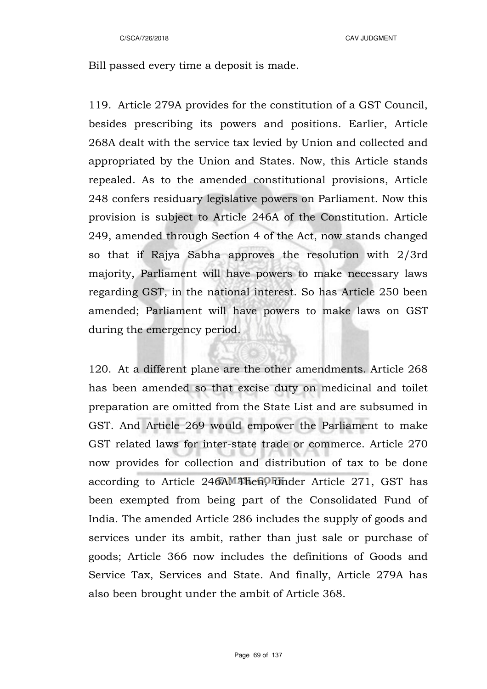Bill passed every time a deposit is made.

119. Article 279A provides for the constitution of a GST Council, besides prescribing its powers and positions. Earlier, Article 268A dealt with the service tax levied by Union and collected and appropriated by the Union and States. Now, this Article stands repealed. As to the amended constitutional provisions, Article 248 confers residuary legislative powers on Parliament. Now this provision is subject to Article 246A of the Constitution. Article 249, amended through Section 4 of the Act, now stands changed so that if Rajya Sabha approves the resolution with 2/3rd majority, Parliament will have powers to make necessary laws regarding GST, in the national interest. So has Article 250 been amended; Parliament will have powers to make laws on GST during the emergency period.

120. At a different plane are the other amendments. Article 268 has been amended so that excise duty on medicinal and toilet preparation are omitted from the State List and are subsumed in GST. And Article 269 would empower the Parliament to make GST related laws for inter-state trade or commerce. Article 270 now provides for collection and distribution of tax to be done according to Article 246A. Then, under Article 271, GST has been exempted from being part of the Consolidated Fund of India. The amended Article 286 includes the supply of goods and services under its ambit, rather than just sale or purchase of goods; Article 366 now includes the definitions of Goods and Service Tax, Services and State. And finally, Article 279A has also been brought under the ambit of Article 368.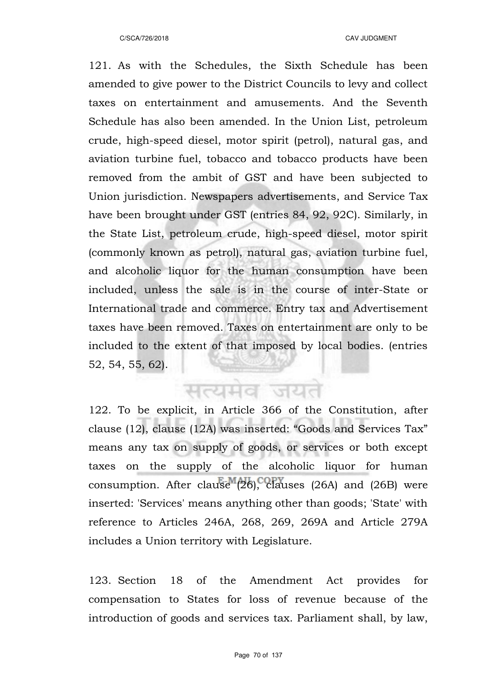121. As with the Schedules, the Sixth Schedule has been amended to give power to the District Councils to levy and collect taxes on entertainment and amusements. And the Seventh Schedule has also been amended. In the Union List, petroleum crude, high-speed diesel, motor spirit (petrol), natural gas, and aviation turbine fuel, tobacco and tobacco products have been removed from the ambit of GST and have been subjected to Union jurisdiction. Newspapers advertisements, and Service Tax have been brought under GST (entries 84, 92, 92C). Similarly, in the State List, petroleum crude, high-speed diesel, motor spirit (commonly known as petrol), natural gas, aviation turbine fuel, and alcoholic liquor for the human consumption have been included, unless the sale is in the course of inter-State or International trade and commerce. Entry tax and Advertisement taxes have been removed. Taxes on entertainment are only to be included to the extent of that imposed by local bodies. (entries 52, 54, 55, 62).

सत्यमेव जयत

122. To be explicit, in Article 366 of the Constitution, after clause (12), clause (12A) was inserted: "Goods and Services Tax" means any tax on supply of goods, or services or both except taxes on the supply of the alcoholic liquor for human consumption. After clause (26), clauses (26A) and (26B) were inserted: 'Services' means anything other than goods; 'State' with reference to Articles 246A, 268, 269, 269A and Article 279A includes a Union territory with Legislature.

123. Section 18 of the Amendment Act provides for compensation to States for loss of revenue because of the introduction of goods and services tax. Parliament shall, by law,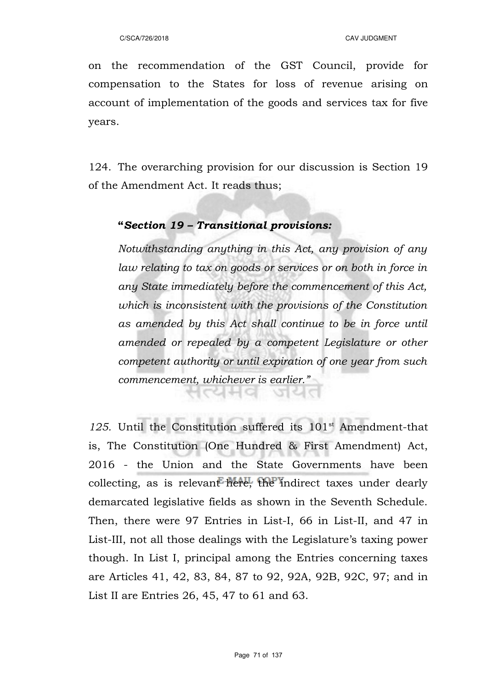on the recommendation of the GST Council, provide for compensation to the States for loss of revenue arising on account of implementation of the goods and services tax for five years.

124. The overarching provision for our discussion is Section 19 of the Amendment Act. It reads thus;

## **"***Section 19 – Transitional provisions:*

'디터디

*Notwithstanding anything in this Act, any provision of any law relating to tax on goods or services or on both in force in any State immediately before the commencement of this Act, which is inconsistent with the provisions of the Constitution as amended by this Act shall continue to be in force until amended or repealed by a competent Legislature or other competent authority or until expiration of one year from such commencement, whichever is earlier."* 

125. Until the Constitution suffered its 101<sup>st</sup> Amendment-that is, The Constitution (One Hundred & First Amendment) Act, 2016 - the Union and the State Governments have been collecting, as is relevant here, the indirect taxes under dearly demarcated legislative fields as shown in the Seventh Schedule. Then, there were 97 Entries in List-I, 66 in List-II, and 47 in List-III, not all those dealings with the Legislature's taxing power though. In List I, principal among the Entries concerning taxes are Articles 41, 42, 83, 84, 87 to 92, 92A, 92B, 92C, 97; and in List II are Entries 26, 45, 47 to 61 and 63.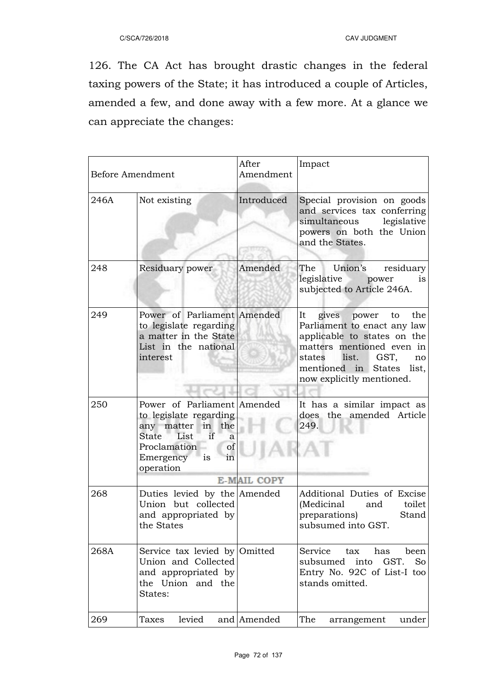126. The CA Act has brought drastic changes in the federal taxing powers of the State; it has introduced a couple of Articles, amended a few, and done away with a few more. At a glance we can appreciate the changes:

| <b>Before Amendment</b> |                                                                                                                                                                 | After<br>Amendment | Impact                                                                                                                                                                                                               |
|-------------------------|-----------------------------------------------------------------------------------------------------------------------------------------------------------------|--------------------|----------------------------------------------------------------------------------------------------------------------------------------------------------------------------------------------------------------------|
| 246A                    | Not existing                                                                                                                                                    | Introduced         | Special provision on goods<br>and services tax conferring<br>simultaneous<br>legislative<br>powers on both the Union<br>and the States.                                                                              |
| 248                     | Residuary power                                                                                                                                                 | Amended            | The<br>Union's residuary<br>legislative power<br>is<br>subjected to Article 246A.                                                                                                                                    |
| 249                     | Power of Parliament Amended<br>to legislate regarding<br>a matter in the State<br>List in the national<br>interest                                              |                    | the<br>It<br>gives power to<br>Parliament to enact any law<br>applicable to states on the<br>matters mentioned even in<br>list.<br>GST,<br>states<br>no<br>mentioned in States<br>list,<br>now explicitly mentioned. |
| 250                     | Power of Parliament Amended<br>to legislate regarding<br>any matter in the<br>if<br>State List<br>a<br>of<br>Proclamation<br>is<br>Emergency<br>in<br>operation | <b>E-MAIL COPY</b> | It has a similar impact as<br>does the amended Article<br>249.                                                                                                                                                       |
| 268                     | Duties levied by the Amended<br>Union but collected<br>and appropriated by<br>the States                                                                        |                    | Additional Duties of Excise<br>(Medicinal and<br>toilet<br>preparations)<br>Stand<br>subsumed into GST.                                                                                                              |
| 268A                    | Service tax levied by Omitted<br>Union and Collected<br>and appropriated by<br>the Union and the<br>States:                                                     |                    | Service<br>tax<br>has<br>been<br>GST.<br>subsumed<br>into<br><b>So</b><br>Entry No. 92C of List-I too<br>stands omitted.                                                                                             |
| 269                     | levied<br>Taxes                                                                                                                                                 | and Amended        | The<br>under<br>arrangement                                                                                                                                                                                          |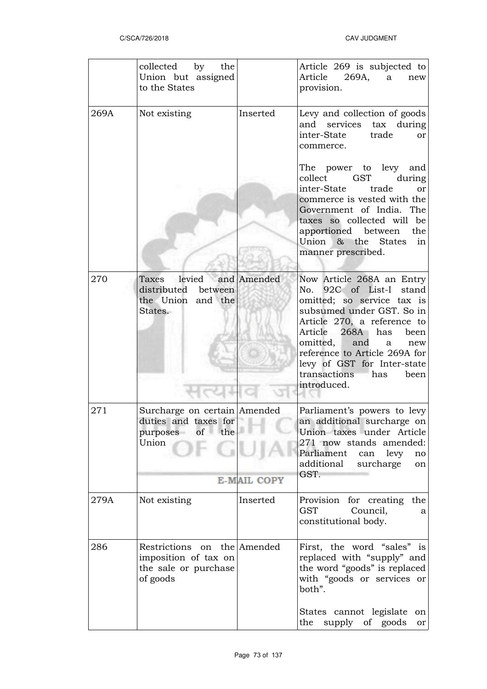|      | collected by the<br>Union but assigned<br>to the States                                 |             | Article 269 is subjected to<br>Article<br>269A,<br>a<br>new<br>provision.                                                                                                                                                                                                                                               |
|------|-----------------------------------------------------------------------------------------|-------------|-------------------------------------------------------------------------------------------------------------------------------------------------------------------------------------------------------------------------------------------------------------------------------------------------------------------------|
| 269A | Not existing                                                                            | Inserted    | Levy and collection of goods<br>and services tax during<br>trade<br>inter-State<br><sub>or</sub><br>commerce.                                                                                                                                                                                                           |
|      |                                                                                         |             | The power to levy and<br>collect<br>GST<br>during<br>inter-State trade<br>or<br>commerce is vested with the<br>Government of India. The<br>taxes so collected will be<br>apportioned between<br>the<br>Union & the States<br>in<br>manner prescribed.                                                                   |
| 270  | Taxes levied<br>distributed between<br>the Union and the<br>States.                     | and Amended | Now Article 268A an Entry<br>No. 92C of List-I stand<br>omitted; so service tax is<br>subsumed under GST. So in<br>Article 270, a reference to<br>Article 268A has<br>been<br>omitted,<br>and<br>new<br>a<br>reference to Article 269A for<br>levy of GST for Inter-state<br>transactions<br>has<br>been<br>introduced. |
| 271  | Surcharge on certain Amended<br>duties and taxes for<br>purposes of<br>the<br>Union     |             | Parliament's powers to levy<br>an additional surcharge on<br>Union taxes under Article<br>271 now stands amended:<br>Parliament can levy<br>no<br>additional<br>surcharge<br>on<br>GST.                                                                                                                                 |
|      | <b>E-MAIL COPY</b>                                                                      |             |                                                                                                                                                                                                                                                                                                                         |
| 279A | Not existing                                                                            | Inserted    | Provision for creating<br>the<br>Council,<br><b>GST</b><br>a<br>constitutional body.                                                                                                                                                                                                                                    |
| 286  | Restrictions on the Amended<br>imposition of tax on<br>the sale or purchase<br>of goods |             | First, the word "sales" is<br>replaced with "supply" and<br>the word "goods" is replaced<br>with "goods or services or<br>both".                                                                                                                                                                                        |
|      |                                                                                         |             | States cannot legislate<br>on<br>the<br>supply of goods<br>or                                                                                                                                                                                                                                                           |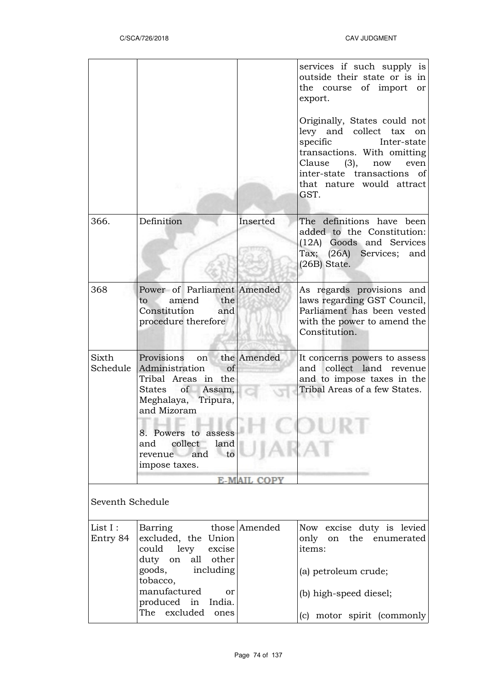|                                        |                                                                                                                                                                                                             |          | services if such supply is<br>outside their state or is in<br>the course of import<br>or<br>export.<br>Originally, States could not<br>levy and collect tax on<br>Inter-state<br>specific<br>transactions. With omitting<br>Clause<br>(3),<br>now<br>even<br>inter-state transactions of<br>that nature would attract<br>GST. |  |  |
|----------------------------------------|-------------------------------------------------------------------------------------------------------------------------------------------------------------------------------------------------------------|----------|-------------------------------------------------------------------------------------------------------------------------------------------------------------------------------------------------------------------------------------------------------------------------------------------------------------------------------|--|--|
| 366.                                   | Definition                                                                                                                                                                                                  | Inserted | The definitions have been<br>added to the Constitution:<br>(12A) Goods and Services<br>Tax; (26A) Services; and<br>$(26B)$ State.                                                                                                                                                                                             |  |  |
| 368                                    | Power of Parliament Amended<br>the<br>amend<br>to<br>Constitution<br>and<br>procedure therefore                                                                                                             |          | As regards provisions and<br>laws regarding GST Council,<br>Parliament has been vested<br>with the power to amend the<br>Constitution.                                                                                                                                                                                        |  |  |
| Sixth<br>Schedule                      | Provisions on the Amended<br>Administration<br>of<br>Tribal Areas in the<br>of Assam,<br>States<br>Meghalaya, Tripura,<br>and Mizoram<br>8. Powers to assess<br>collect<br>land<br>and<br>revenue and<br>to |          | It concerns powers to assess<br>collect land revenue<br>and<br>and to impose taxes in the<br>Tribal Areas of a few States.                                                                                                                                                                                                    |  |  |
|                                        | impose taxes.                                                                                                                                                                                               |          |                                                                                                                                                                                                                                                                                                                               |  |  |
| <b>E-MAIL COPY</b><br>Seventh Schedule |                                                                                                                                                                                                             |          |                                                                                                                                                                                                                                                                                                                               |  |  |
| List I:<br>Entry 84                    | Barring those Amended<br>excluded, the Union<br>could levy<br>excise<br>duty on<br>all other<br>goods,<br>including<br>tobacco,<br>manufactured<br>or                                                       |          | Now excise duty is levied<br>only on the enumerated<br>items:<br>(a) petroleum crude;                                                                                                                                                                                                                                         |  |  |
|                                        | produced in India.<br>excluded<br>The<br>ones                                                                                                                                                               |          | (b) high-speed diesel;<br>(c) motor spirit (commonly)                                                                                                                                                                                                                                                                         |  |  |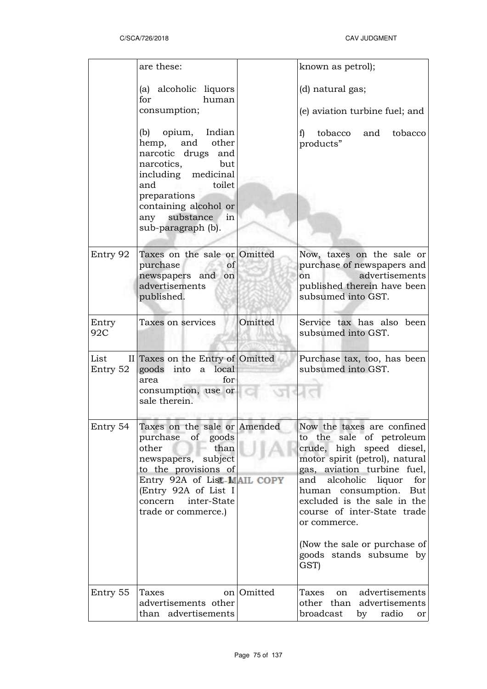|                  | are these:                                                                                                                                                                                                                                                             |            | known as petrol);                                                                                                                                                                                                                                                                                                                                                 |
|------------------|------------------------------------------------------------------------------------------------------------------------------------------------------------------------------------------------------------------------------------------------------------------------|------------|-------------------------------------------------------------------------------------------------------------------------------------------------------------------------------------------------------------------------------------------------------------------------------------------------------------------------------------------------------------------|
|                  | (a) alcoholic liquors<br>for<br>human<br>consumption;<br>(b) opium, Indian<br>hemp, and other<br>narcotic drugs and<br>narcotics,<br>but<br>including medicinal<br>and<br>toilet<br>preparations<br>containing alcohol or<br>any substance<br>in<br>sub-paragraph (b). |            | (d) natural gas;<br>(e) aviation turbine fuel; and<br>tobacco<br>tobacco<br>and<br>f)<br>products"                                                                                                                                                                                                                                                                |
| Entry 92         | Taxes on the sale or Omitted<br>purchase<br>of<br>newspapers and on<br>advertisements<br>published.                                                                                                                                                                    |            | Now, taxes on the sale or<br>purchase of newspapers and<br>advertisements<br>on<br>published therein have been<br>subsumed into GST.                                                                                                                                                                                                                              |
| Entry<br>92C     | Taxes on services                                                                                                                                                                                                                                                      | Omitted    | Service tax has also been<br>subsumed into GST.                                                                                                                                                                                                                                                                                                                   |
| List<br>Entry 52 | II Taxes on the Entry of Omitted<br>goods into a local<br>for<br>area<br>consumption, use or<br>sale therein.                                                                                                                                                          |            | Purchase tax, too, has been<br>subsumed into GST.                                                                                                                                                                                                                                                                                                                 |
| Entry 54         | Taxes on the sale or $ A$ mended<br>purchase of goods<br>than<br>other<br>newspapers, subject<br>to the provisions of<br>Entry 92A of List-MAIL COPY<br>(Entry 92A of List I<br>concern inter-State<br>trade or commerce.)                                             |            | Now the taxes are confined<br>to the sale of petroleum<br>crude, high speed diesel,<br>motor spirit (petrol), natural<br>gas, aviation turbine fuel,<br>and alcoholic<br>liquor<br>for<br>human consumption. But<br>excluded is the sale in the<br>course of inter-State trade<br>or commerce.<br>(Now the sale or purchase of<br>goods stands subsume by<br>GST) |
| Entry 55         | Taxes<br>advertisements other<br>than advertisements                                                                                                                                                                                                                   | on Omitted | advertisements<br>Taxes<br>on<br>other than advertisements<br>broadcast<br>radio<br>by<br>or                                                                                                                                                                                                                                                                      |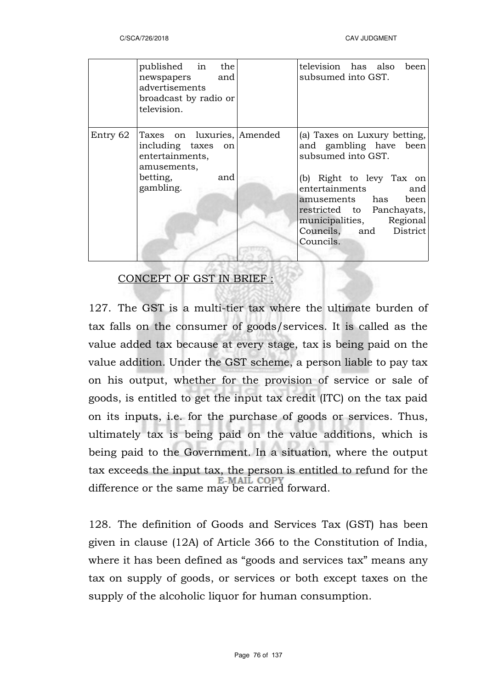|          | published in the<br>newspapers and<br>advertisements<br>broadcast by radio or<br>television.                       | television has also been<br>subsumed into GST.                                                                                                                                                                                                           |
|----------|--------------------------------------------------------------------------------------------------------------------|----------------------------------------------------------------------------------------------------------------------------------------------------------------------------------------------------------------------------------------------------------|
| Entry 62 | Taxes on luxuries, Amended<br>including taxes on<br>entertainments,<br>amusements,<br>betting,<br>and<br>gambling. | (a) Taxes on Luxury betting,<br>and gambling have been<br>subsumed into GST.<br>(b) Right to levy Tax on<br>entertainments<br>and<br>amusements has been<br>restricted to Panchayats,<br>municipalities, Regional<br>Councils, and District<br>Councils. |

## CONCEPT OF GST IN BRIEF :

127. The GST is a multi-tier tax where the ultimate burden of tax falls on the consumer of goods/services. It is called as the value added tax because at every stage, tax is being paid on the value addition. Under the GST scheme, a person liable to pay tax on his output, whether for the provision of service or sale of goods, is entitled to get the input tax credit (ITC) on the tax paid on its inputs, i.e. for the purchase of goods or services. Thus, ultimately tax is being paid on the value additions, which is being paid to the Government. In a situation, where the output tax exceeds the input tax, the person is entitled to refund for the difference or the same may be carried forward.

128. The definition of Goods and Services Tax (GST) has been given in clause (12A) of Article 366 to the Constitution of India, where it has been defined as "goods and services tax" means any tax on supply of goods, or services or both except taxes on the supply of the alcoholic liquor for human consumption.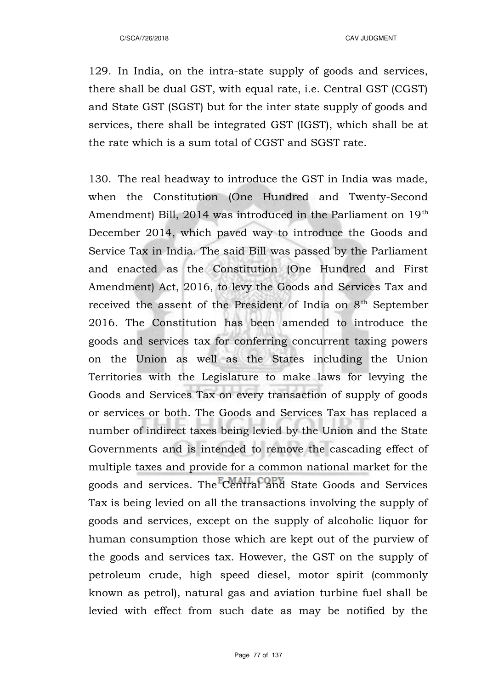129. In India, on the intra-state supply of goods and services, there shall be dual GST, with equal rate, i.e. Central GST (CGST) and State GST (SGST) but for the inter state supply of goods and services, there shall be integrated GST (IGST), which shall be at the rate which is a sum total of CGST and SGST rate.

130. The real headway to introduce the GST in India was made, when the Constitution (One Hundred and Twenty-Second Amendment) Bill, 2014 was introduced in the Parliament on 19<sup>th</sup> December 2014, which paved way to introduce the Goods and Service Tax in India. The said Bill was passed by the Parliament and enacted as the Constitution (One Hundred and First Amendment) Act, 2016, to levy the Goods and Services Tax and received the assent of the President of India on 8<sup>th</sup> September 2016. The Constitution has been amended to introduce the goods and services tax for conferring concurrent taxing powers on the Union as well as the States including the Union Territories with the Legislature to make laws for levying the Goods and Services Tax on every transaction of supply of goods or services or both. The Goods and Services Tax has replaced a number of indirect taxes being levied by the Union and the State Governments and is intended to remove the cascading effect of multiple taxes and provide for a common national market for the goods and services. The Central and State Goods and Services Tax is being levied on all the transactions involving the supply of goods and services, except on the supply of alcoholic liquor for human consumption those which are kept out of the purview of the goods and services tax. However, the GST on the supply of petroleum crude, high speed diesel, motor spirit (commonly known as petrol), natural gas and aviation turbine fuel shall be levied with effect from such date as may be notified by the

Page 77 of 137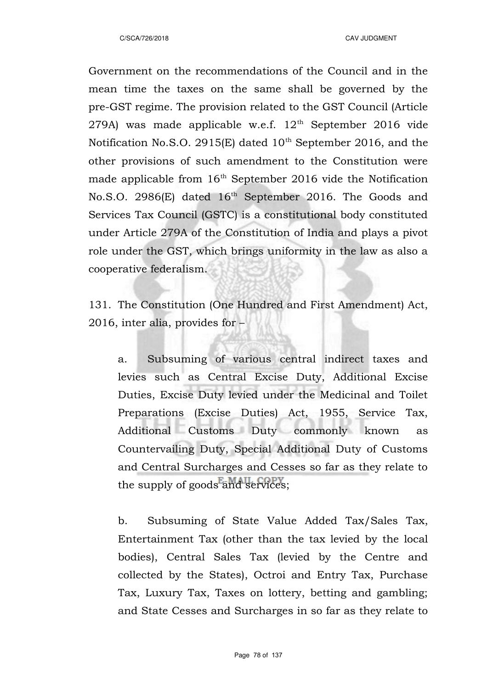Government on the recommendations of the Council and in the mean time the taxes on the same shall be governed by the pre-GST regime. The provision related to the GST Council (Article 279A) was made applicable w.e.f.  $12<sup>th</sup>$  September 2016 vide Notification No.S.O. 2915(E) dated  $10<sup>th</sup>$  September 2016, and the other provisions of such amendment to the Constitution were made applicable from  $16<sup>th</sup>$  September 2016 vide the Notification No.S.O. 2986(E) dated 16<sup>th</sup> September 2016. The Goods and Services Tax Council (GSTC) is a constitutional body constituted under Article 279A of the Constitution of India and plays a pivot role under the GST, which brings uniformity in the law as also a cooperative federalism.

131. The Constitution (One Hundred and First Amendment) Act, 2016, inter alia, provides for –

a. Subsuming of various central indirect taxes and levies such as Central Excise Duty, Additional Excise Duties, Excise Duty levied under the Medicinal and Toilet Preparations (Excise Duties) Act, 1955, Service Tax, Additional Customs Duty commonly known as Countervailing Duty, Special Additional Duty of Customs and Central Surcharges and Cesses so far as they relate to the supply of goods and services;

b. Subsuming of State Value Added Tax/Sales Tax, Entertainment Tax (other than the tax levied by the local bodies), Central Sales Tax (levied by the Centre and collected by the States), Octroi and Entry Tax, Purchase Tax, Luxury Tax, Taxes on lottery, betting and gambling; and State Cesses and Surcharges in so far as they relate to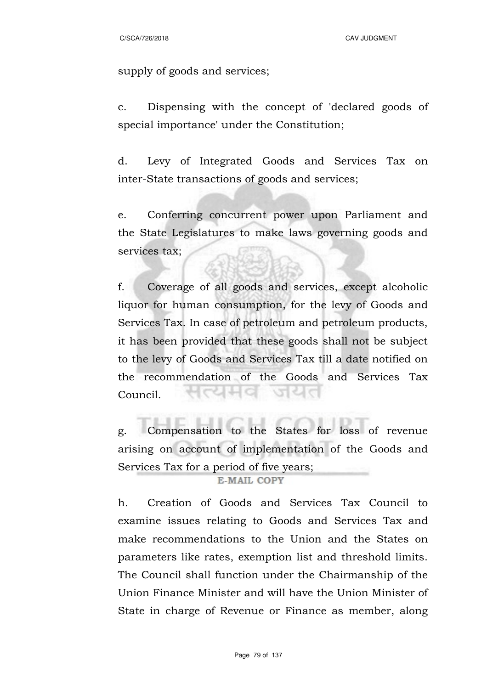C/SCA/726/2018 CAV JUDGMENT

supply of goods and services;

c. Dispensing with the concept of 'declared goods of special importance' under the Constitution;

d. Levy of Integrated Goods and Services Tax on inter-State transactions of goods and services;

e. Conferring concurrent power upon Parliament and the State Legislatures to make laws governing goods and services tax;

f. Coverage of all goods and services, except alcoholic liquor for human consumption, for the levy of Goods and Services Tax. In case of petroleum and petroleum products, it has been provided that these goods shall not be subject to the levy of Goods and Services Tax till a date notified on the recommendation of the Goods and Services Tax 전대되어 Council.

g. Compensation to the States for loss of revenue arising on account of implementation of the Goods and Services Tax for a period of five years;

### E-MAIL COPY

h. Creation of Goods and Services Tax Council to examine issues relating to Goods and Services Tax and make recommendations to the Union and the States on parameters like rates, exemption list and threshold limits. The Council shall function under the Chairmanship of the Union Finance Minister and will have the Union Minister of State in charge of Revenue or Finance as member, along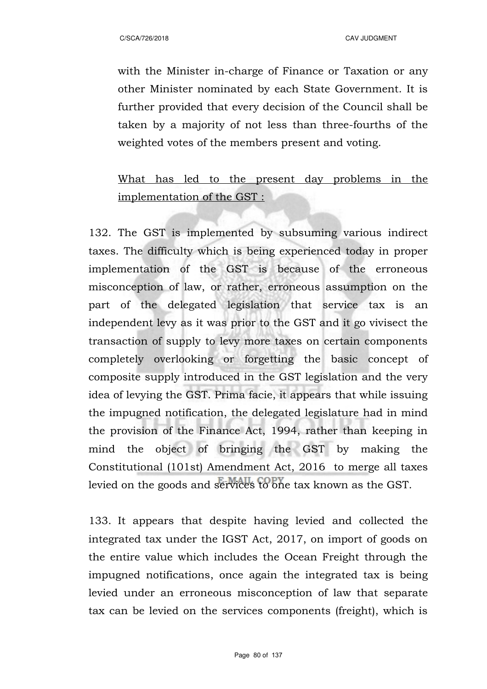with the Minister in-charge of Finance or Taxation or any other Minister nominated by each State Government. It is further provided that every decision of the Council shall be taken by a majority of not less than three-fourths of the weighted votes of the members present and voting.

# What has led to the present day problems in the implementation of the GST :

132. The GST is implemented by subsuming various indirect taxes. The difficulty which is being experienced today in proper implementation of the GST is because of the erroneous misconception of law, or rather, erroneous assumption on the part of the delegated legislation that service tax is an independent levy as it was prior to the GST and it go vivisect the transaction of supply to levy more taxes on certain components completely overlooking or forgetting the basic concept of composite supply introduced in the GST legislation and the very idea of levying the GST. Prima facie, it appears that while issuing the impugned notification, the delegated legislature had in mind the provision of the Finance Act, 1994, rather than keeping in mind the object of bringing the GST by making the Constitutional (101st) Amendment Act, 2016 to merge all taxes levied on the goods and services to one tax known as the GST.

133. It appears that despite having levied and collected the integrated tax under the IGST Act, 2017, on import of goods on the entire value which includes the Ocean Freight through the impugned notifications, once again the integrated tax is being levied under an erroneous misconception of law that separate tax can be levied on the services components (freight), which is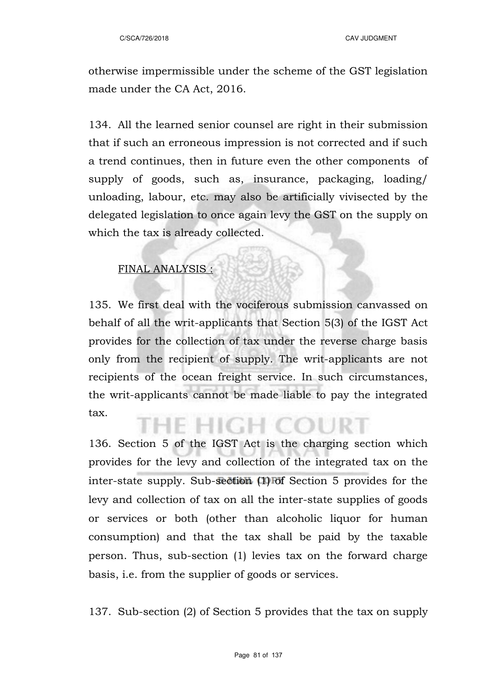otherwise impermissible under the scheme of the GST legislation made under the CA Act, 2016.

134. All the learned senior counsel are right in their submission that if such an erroneous impression is not corrected and if such a trend continues, then in future even the other components of supply of goods, such as, insurance, packaging, loading/ unloading, labour, etc. may also be artificially vivisected by the delegated legislation to once again levy the GST on the supply on which the tax is already collected.

### FINAL ANALYSIS :

135. We first deal with the vociferous submission canvassed on behalf of all the writ-applicants that Section 5(3) of the IGST Act provides for the collection of tax under the reverse charge basis only from the recipient of supply. The writ-applicants are not recipients of the ocean freight service. In such circumstances, the writ-applicants cannot be made liable to pay the integrated tax. е нісн се

136. Section 5 of the IGST Act is the charging section which provides for the levy and collection of the integrated tax on the inter-state supply. Sub-section (1) of Section 5 provides for the levy and collection of tax on all the inter-state supplies of goods or services or both (other than alcoholic liquor for human consumption) and that the tax shall be paid by the taxable person. Thus, sub-section (1) levies tax on the forward charge basis, i.e. from the supplier of goods or services.

137. Sub-section (2) of Section 5 provides that the tax on supply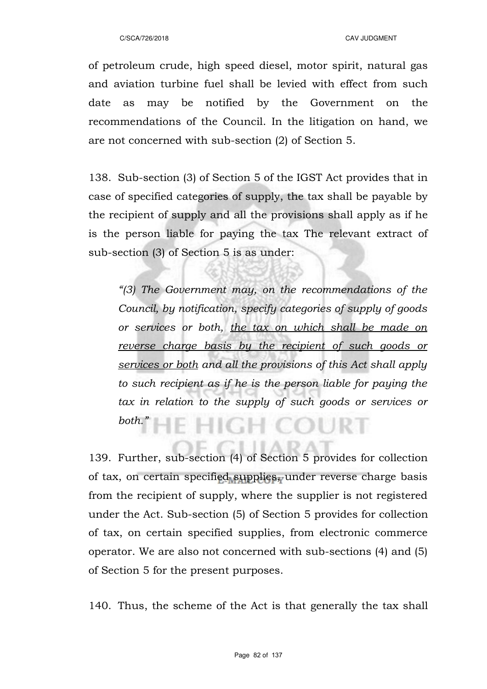of petroleum crude, high speed diesel, motor spirit, natural gas and aviation turbine fuel shall be levied with effect from such date as may be notified by the Government on the recommendations of the Council. In the litigation on hand, we are not concerned with sub-section (2) of Section 5.

138. Sub-section (3) of Section 5 of the IGST Act provides that in case of specified categories of supply, the tax shall be payable by the recipient of supply and all the provisions shall apply as if he is the person liable for paying the tax The relevant extract of sub-section (3) of Section 5 is as under:

*"(3) The Government may, on the recommendations of the Council, by notification, specify categories of supply of goods or services or both, the tax on which shall be made on reverse charge basis by the recipient of such goods or services or both and all the provisions of this Act shall apply to such recipient as if he is the person liable for paying the tax in relation to the supply of such goods or services or both."* **E HIGH COURT** 

139. Further, sub-section (4) of Section 5 provides for collection of tax, on certain specified supplies, under reverse charge basis from the recipient of supply, where the supplier is not registered under the Act. Sub-section (5) of Section 5 provides for collection of tax, on certain specified supplies, from electronic commerce operator. We are also not concerned with sub-sections (4) and (5) of Section 5 for the present purposes.

140. Thus, the scheme of the Act is that generally the tax shall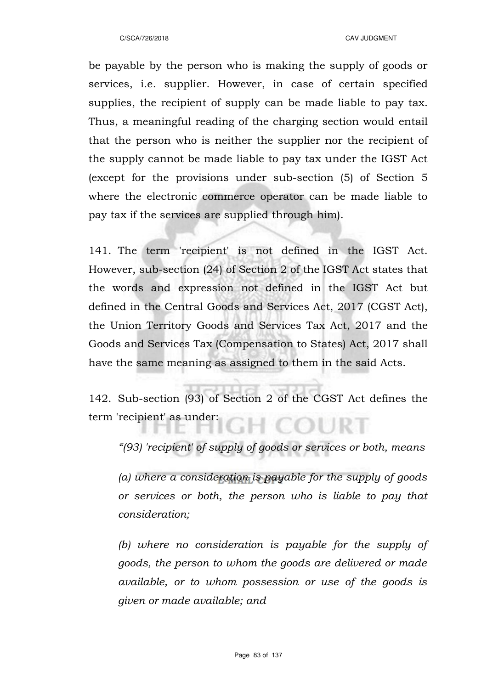be payable by the person who is making the supply of goods or services, i.e. supplier. However, in case of certain specified supplies, the recipient of supply can be made liable to pay tax. Thus, a meaningful reading of the charging section would entail that the person who is neither the supplier nor the recipient of the supply cannot be made liable to pay tax under the IGST Act (except for the provisions under sub-section (5) of Section 5 where the electronic commerce operator can be made liable to pay tax if the services are supplied through him).

141. The term 'recipient' is not defined in the IGST Act. However, sub-section (24) of Section 2 of the IGST Act states that the words and expression not defined in the IGST Act but defined in the Central Goods and Services Act, 2017 (CGST Act), the Union Territory Goods and Services Tax Act, 2017 and the Goods and Services Tax (Compensation to States) Act, 2017 shall have the same meaning as assigned to them in the said Acts.

142. Sub-section (93) of Section 2 of the CGST Act defines the term 'recipient' as under:

*"(93) 'recipient' of supply of goods or services or both, means*

*(a) where a consideration is payable for the supply of goods or services or both, the person who is liable to pay that consideration;*

*(b) where no consideration is payable for the supply of goods, the person to whom the goods are delivered or made available, or to whom possession or use of the goods is given or made available; and*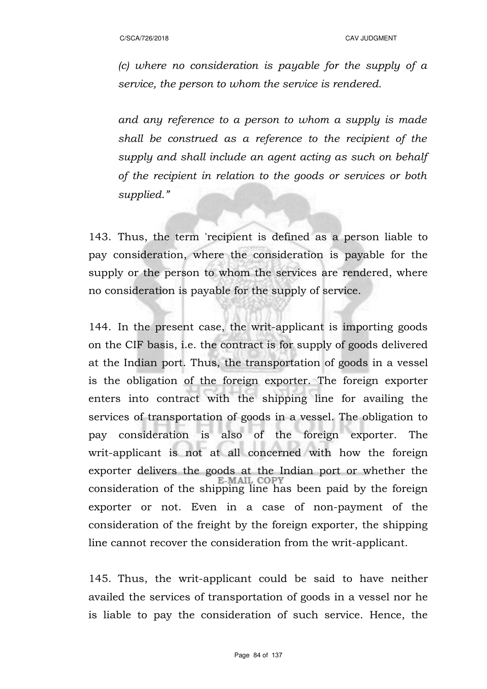*(c) where no consideration is payable for the supply of a service, the person to whom the service is rendered.*

*and any reference to a person to whom a supply is made shall be construed as a reference to the recipient of the supply and shall include an agent acting as such on behalf of the recipient in relation to the goods or services or both supplied."*

143. Thus, the term 'recipient is defined as a person liable to pay consideration, where the consideration is payable for the supply or the person to whom the services are rendered, where no consideration is payable for the supply of service.

144. In the present case, the writ-applicant is importing goods on the CIF basis, i.e. the contract is for supply of goods delivered at the Indian port. Thus, the transportation of goods in a vessel is the obligation of the foreign exporter. The foreign exporter enters into contract with the shipping line for availing the services of transportation of goods in a vessel. The obligation to pay consideration is also of the foreign exporter. The writ-applicant is not at all concerned with how the foreign exporter delivers the goods at the Indian port or whether the E-MAIL COPY consideration of the shipping line has been paid by the foreign exporter or not. Even in a case of non-payment of the consideration of the freight by the foreign exporter, the shipping line cannot recover the consideration from the writ-applicant.

145. Thus, the writ-applicant could be said to have neither availed the services of transportation of goods in a vessel nor he is liable to pay the consideration of such service. Hence, the

Page 84 of 137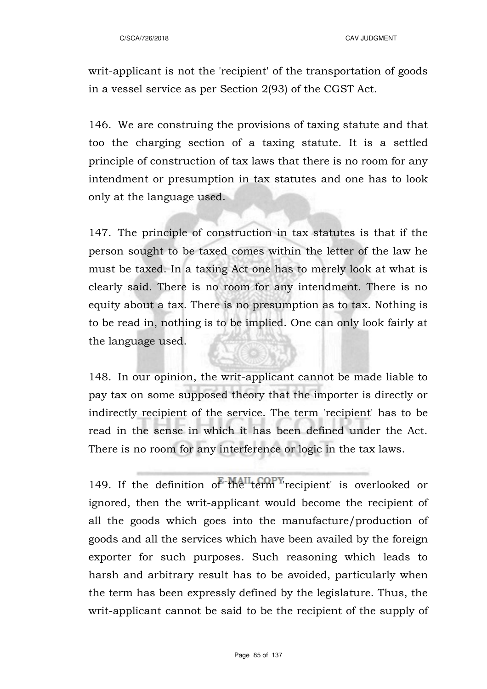writ-applicant is not the 'recipient' of the transportation of goods in a vessel service as per Section 2(93) of the CGST Act.

146. We are construing the provisions of taxing statute and that too the charging section of a taxing statute. It is a settled principle of construction of tax laws that there is no room for any intendment or presumption in tax statutes and one has to look only at the language used.

147. The principle of construction in tax statutes is that if the person sought to be taxed comes within the letter of the law he must be taxed. In a taxing Act one has to merely look at what is clearly said. There is no room for any intendment. There is no equity about a tax. There is no presumption as to tax. Nothing is to be read in, nothing is to be implied. One can only look fairly at the language used.

148. In our opinion, the writ-applicant cannot be made liable to pay tax on some supposed theory that the importer is directly or indirectly recipient of the service. The term 'recipient' has to be read in the sense in which it has been defined under the Act. There is no room for any interference or logic in the tax laws.

149. If the definition of the term recipient' is overlooked or ignored, then the writ-applicant would become the recipient of all the goods which goes into the manufacture/production of goods and all the services which have been availed by the foreign exporter for such purposes. Such reasoning which leads to harsh and arbitrary result has to be avoided, particularly when the term has been expressly defined by the legislature. Thus, the writ-applicant cannot be said to be the recipient of the supply of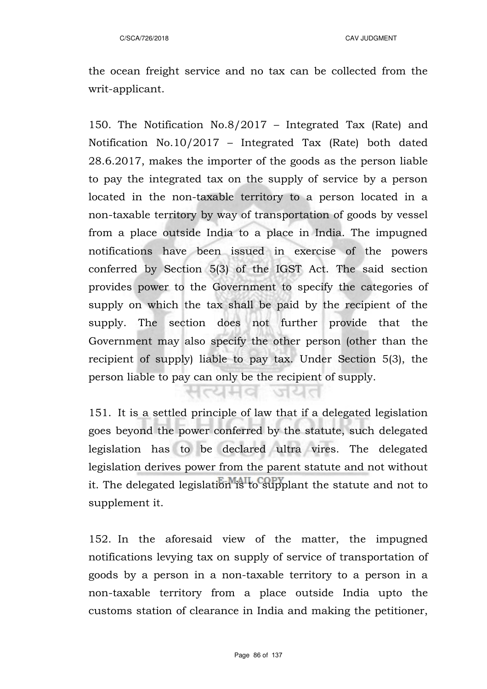the ocean freight service and no tax can be collected from the writ-applicant.

150. The Notification No.8/2017 – Integrated Tax (Rate) and Notification No.10/2017 – Integrated Tax (Rate) both dated 28.6.2017, makes the importer of the goods as the person liable to pay the integrated tax on the supply of service by a person located in the non-taxable territory to a person located in a non-taxable territory by way of transportation of goods by vessel from a place outside India to a place in India. The impugned notifications have been issued in exercise of the powers conferred by Section 5(3) of the IGST Act. The said section provides power to the Government to specify the categories of supply on which the tax shall be paid by the recipient of the supply. The section does not further provide that the Government may also specify the other person (other than the recipient of supply) liable to pay tax. Under Section 5(3), the person liable to pay can only be the recipient of supply.

151. It is a settled principle of law that if a delegated legislation goes beyond the power conferred by the statute, such delegated legislation has to be declared ultra vires. The delegated legislation derives power from the parent statute and not without it. The delegated legislation is to supplant the statute and not to supplement it.

 $1$ catio al

152. In the aforesaid view of the matter, the impugned notifications levying tax on supply of service of transportation of goods by a person in a non-taxable territory to a person in a non-taxable territory from a place outside India upto the customs station of clearance in India and making the petitioner,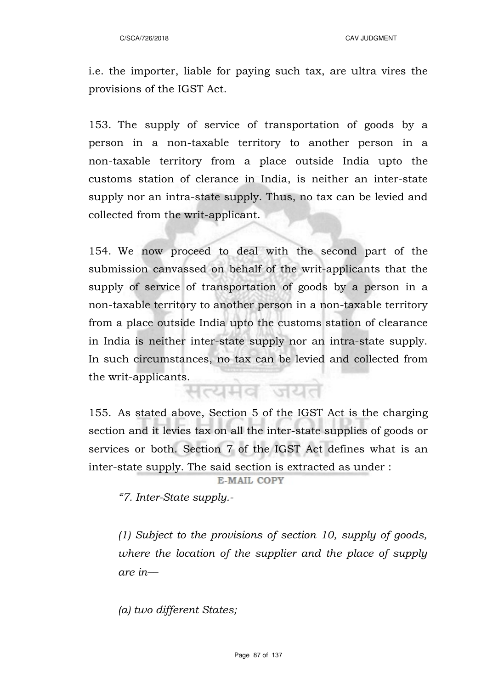i.e. the importer, liable for paying such tax, are ultra vires the provisions of the IGST Act.

153. The supply of service of transportation of goods by a person in a non-taxable territory to another person in a non-taxable territory from a place outside India upto the customs station of clerance in India, is neither an inter-state supply nor an intra-state supply. Thus, no tax can be levied and collected from the writ-applicant.

154. We now proceed to deal with the second part of the submission canvassed on behalf of the writ-applicants that the supply of service of transportation of goods by a person in a non-taxable territory to another person in a non-taxable territory from a place outside India upto the customs station of clearance in India is neither inter-state supply nor an intra-state supply. In such circumstances, no tax can be levied and collected from the writ-applicants.

155. As stated above, Section 5 of the IGST Act is the charging section and it levies tax on all the inter-state supplies of goods or services or both. Section 7 of the IGST Act defines what is an inter-state supply. The said section is extracted as under :

E-MAIL COPY

*"7. Inter-State supply.-*

*(1) Subject to the provisions of section 10, supply of goods, where the location of the supplier and the place of supply are in––* 

*(a) two different States;*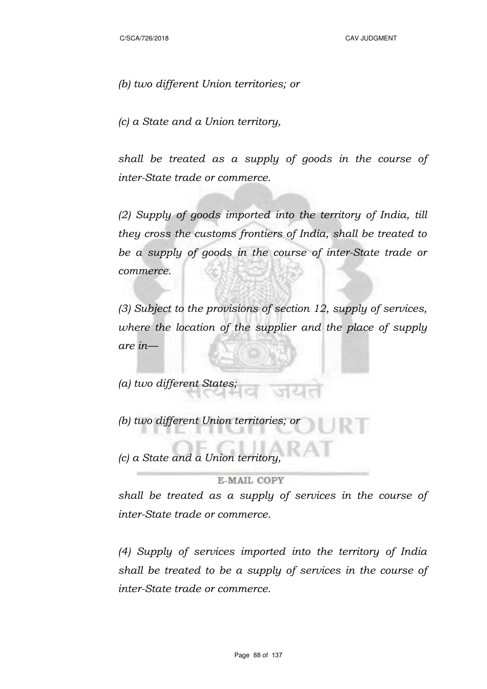*(b) two different Union territories; or* 

*(c) a State and a Union territory,* 

*shall be treated as a supply of goods in the course of inter-State trade or commerce.* 

*(2) Supply of goods imported into the territory of India, till they cross the customs frontiers of India, shall be treated to be a supply of goods in the course of inter-State trade or commerce.* 

*(3) Subject to the provisions of section 12, supply of services, where the location of the supplier and the place of supply are in––* 

*(a) two different States;* 

*(b) two different Union territories; or* 

*(c) a State and a Union territory,* 

**E-MAIL COPY** 

*shall be treated as a supply of services in the course of inter-State trade or commerce.* 

*(4) Supply of services imported into the territory of India shall be treated to be a supply of services in the course of inter-State trade or commerce.*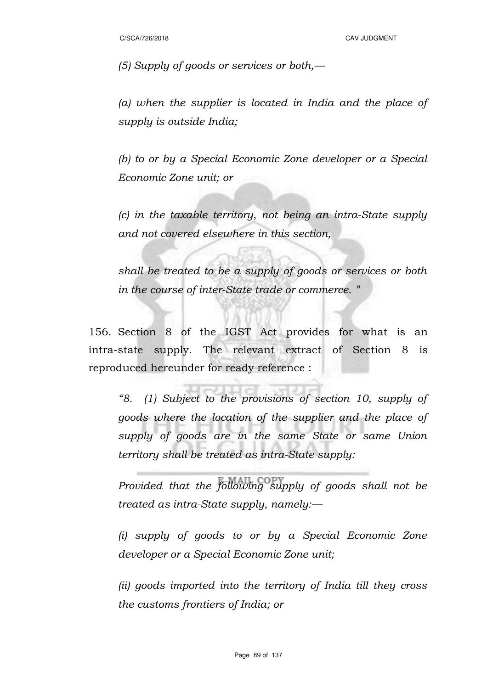*(5) Supply of goods or services or both,––* 

*(a) when the supplier is located in India and the place of supply is outside India;* 

*(b) to or by a Special Economic Zone developer or a Special Economic Zone unit; or* 

*(c) in the taxable territory, not being an intra-State supply and not covered elsewhere in this section,* 

*shall be treated to be a supply of goods or services or both in the course of inter-State trade or commerce. "*

156. Section 8 of the IGST Act provides for what is an intra-state supply. The relevant extract of Section 8 is reproduced hereunder for ready reference :

*"8. (1) Subject to the provisions of section 10, supply of goods where the location of the supplier and the place of supply of goods are in the same State or same Union territory shall be treated as intra-State supply:* 

*Provided that the following supply of goods shall not be treated as intra-State supply, namely:––* 

*(i) supply of goods to or by a Special Economic Zone developer or a Special Economic Zone unit;* 

*(ii) goods imported into the territory of India till they cross the customs frontiers of India; or*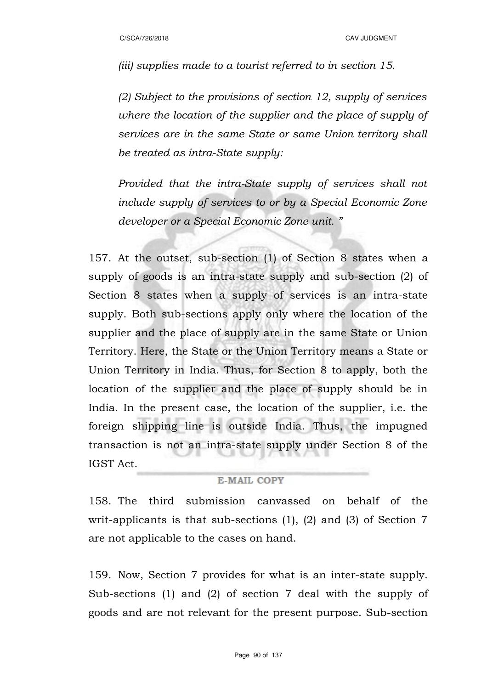*(iii) supplies made to a tourist referred to in section 15.* 

*(2) Subject to the provisions of section 12, supply of services where the location of the supplier and the place of supply of services are in the same State or same Union territory shall be treated as intra-State supply:* 

*Provided that the intra-State supply of services shall not include supply of services to or by a Special Economic Zone developer or a Special Economic Zone unit. "*

157. At the outset, sub-section (1) of Section 8 states when a supply of goods is an intra-state supply and sub-section (2) of Section 8 states when a supply of services is an intra-state supply. Both sub-sections apply only where the location of the supplier and the place of supply are in the same State or Union Territory. Here, the State or the Union Territory means a State or Union Territory in India. Thus, for Section 8 to apply, both the location of the supplier and the place of supply should be in India. In the present case, the location of the supplier, i.e. the foreign shipping line is outside India. Thus, the impugned transaction is not an intra-state supply under Section 8 of the IGST Act.

### E-MAIL COPY

158. The third submission canvassed on behalf of the writ-applicants is that sub-sections (1), (2) and (3) of Section 7 are not applicable to the cases on hand.

159. Now, Section 7 provides for what is an inter-state supply. Sub-sections (1) and (2) of section 7 deal with the supply of goods and are not relevant for the present purpose. Sub-section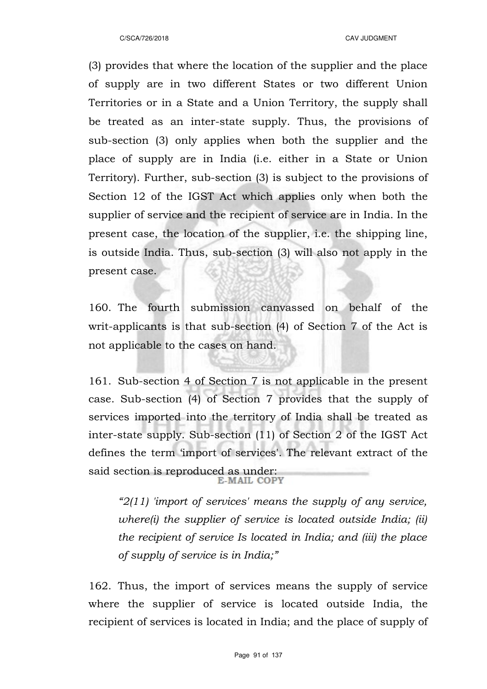(3) provides that where the location of the supplier and the place of supply are in two different States or two different Union Territories or in a State and a Union Territory, the supply shall be treated as an inter-state supply. Thus, the provisions of sub-section (3) only applies when both the supplier and the place of supply are in India (i.e. either in a State or Union Territory). Further, sub-section (3) is subject to the provisions of Section 12 of the IGST Act which applies only when both the supplier of service and the recipient of service are in India. In the present case, the location of the supplier, i.e. the shipping line, is outside India. Thus, sub-section (3) will also not apply in the present case.

160. The fourth submission canvassed on behalf of the writ-applicants is that sub-section (4) of Section 7 of the Act is not applicable to the cases on hand.

161. Sub-section 4 of Section 7 is not applicable in the present case. Sub-section (4) of Section 7 provides that the supply of services imported into the territory of India shall be treated as inter-state supply. Sub-section (11) of Section 2 of the IGST Act defines the term 'import of services'. The relevant extract of the said section is reproduced as under:<br>E-MAIL COPY

*"2(11) 'import of services' means the supply of any service, where(i) the supplier of service is located outside India; (ii) the recipient of service Is located in India; and (iii) the place of supply of service is in India;"*

162. Thus, the import of services means the supply of service where the supplier of service is located outside India, the recipient of services is located in India; and the place of supply of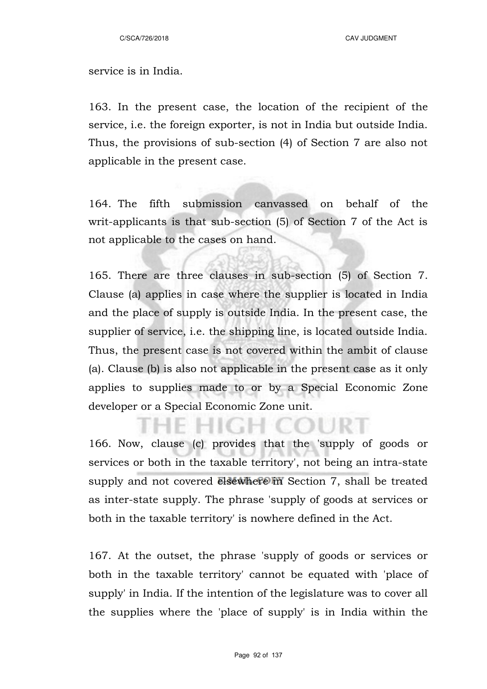### service is in India.

163. In the present case, the location of the recipient of the service, i.e. the foreign exporter, is not in India but outside India. Thus, the provisions of sub-section (4) of Section 7 are also not applicable in the present case.

164. The fifth submission canvassed on behalf of the writ-applicants is that sub-section (5) of Section 7 of the Act is not applicable to the cases on hand.

165. There are three clauses in sub-section (5) of Section 7. Clause (a) applies in case where the supplier is located in India and the place of supply is outside India. In the present case, the supplier of service, i.e. the shipping line, is located outside India. Thus, the present case is not covered within the ambit of clause (a). Clause (b) is also not applicable in the present case as it only applies to supplies made to or by a Special Economic Zone developer or a Special Economic Zone unit.

166. Now, clause (c) provides that the 'supply of goods or services or both in the taxable territory', not being an intra-state supply and not covered elsewhere in Section 7, shall be treated as inter-state supply. The phrase 'supply of goods at services or both in the taxable territory' is nowhere defined in the Act.

167. At the outset, the phrase 'supply of goods or services or both in the taxable territory' cannot be equated with 'place of supply' in India. If the intention of the legislature was to cover all the supplies where the 'place of supply' is in India within the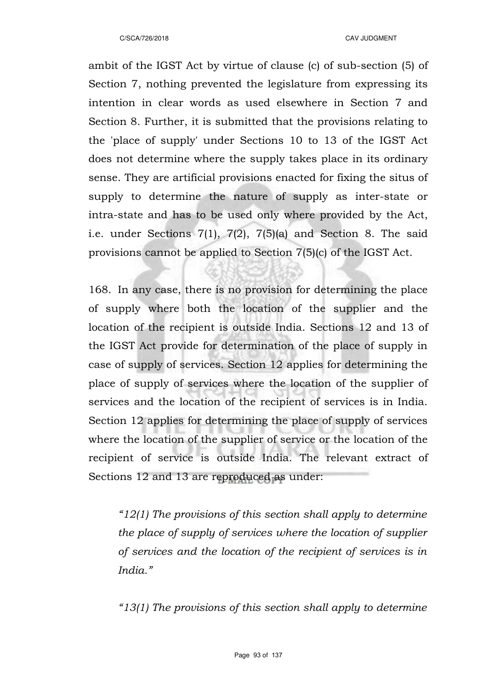ambit of the IGST Act by virtue of clause (c) of sub-section (5) of Section 7, nothing prevented the legislature from expressing its intention in clear words as used elsewhere in Section 7 and Section 8. Further, it is submitted that the provisions relating to the 'place of supply' under Sections 10 to 13 of the IGST Act does not determine where the supply takes place in its ordinary sense. They are artificial provisions enacted for fixing the situs of supply to determine the nature of supply as inter-state or intra-state and has to be used only where provided by the Act, i.e. under Sections 7(1), 7(2), 7(5)(a) and Section 8. The said provisions cannot be applied to Section 7(5)(c) of the IGST Act.

168. In any case, there is no provision for determining the place of supply where both the location of the supplier and the location of the recipient is outside India. Sections 12 and 13 of the IGST Act provide for determination of the place of supply in case of supply of services. Section 12 applies for determining the place of supply of services where the location of the supplier of services and the location of the recipient of services is in India. Section 12 applies for determining the place of supply of services where the location of the supplier of service or the location of the recipient of service is outside India. The relevant extract of Sections 12 and 13 are reproduced as under:

*"12(1) The provisions of this section shall apply to determine the place of supply of services where the location of supplier of services and the location of the recipient of services is in India."* 

*"13(1) The provisions of this section shall apply to determine*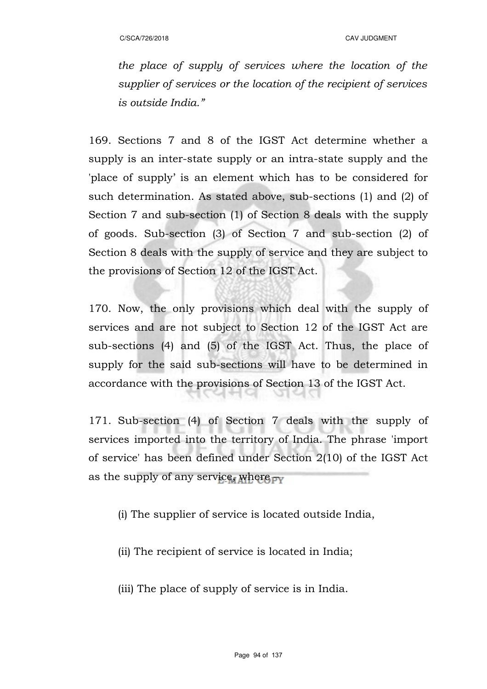*the place of supply of services where the location of the supplier of services or the location of the recipient of services is outside India."*

169. Sections 7 and 8 of the IGST Act determine whether a supply is an inter-state supply or an intra-state supply and the 'place of supply' is an element which has to be considered for such determination. As stated above, sub-sections (1) and (2) of Section 7 and sub-section (1) of Section 8 deals with the supply of goods. Sub-section (3) of Section 7 and sub-section (2) of Section 8 deals with the supply of service and they are subject to the provisions of Section 12 of the IGST Act.

170. Now, the only provisions which deal with the supply of services and are not subject to Section 12 of the IGST Act are sub-sections (4) and (5) of the IGST Act. Thus, the place of supply for the said sub-sections will have to be determined in accordance with the provisions of Section 13 of the IGST Act.

171. Sub-section (4) of Section 7 deals with the supply of services imported into the territory of India. The phrase 'import of service' has been defined under Section 2(10) of the IGST Act as the supply of any service, where  $_{TV}$ 

(i) The supplier of service is located outside India,

(ii) The recipient of service is located in India;

(iii) The place of supply of service is in India.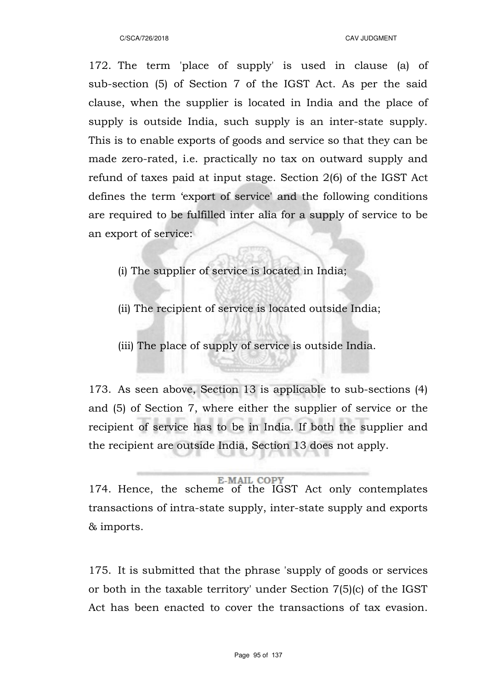172. The term 'place of supply' is used in clause (a) of sub-section (5) of Section 7 of the IGST Act. As per the said clause, when the supplier is located in India and the place of supply is outside India, such supply is an inter-state supply. This is to enable exports of goods and service so that they can be made zero-rated, i.e. practically no tax on outward supply and refund of taxes paid at input stage. Section 2(6) of the IGST Act defines the term 'export of service' and the following conditions are required to be fulfilled inter alia for a supply of service to be an export of service:

- (i) The supplier of service is located in India;
- (ii) The recipient of service is located outside India;
- (iii) The place of supply of service is outside India.

173. As seen above, Section 13 is applicable to sub-sections (4) and (5) of Section 7, where either the supplier of service or the recipient of service has to be in India. If both the supplier and the recipient are outside India, Section 13 does not apply.

### **E-MAIL COPY**

174. Hence, the scheme of the IGST Act only contemplates transactions of intra-state supply, inter-state supply and exports & imports.

175. It is submitted that the phrase 'supply of goods or services or both in the taxable territory' under Section 7(5)(c) of the IGST Act has been enacted to cover the transactions of tax evasion.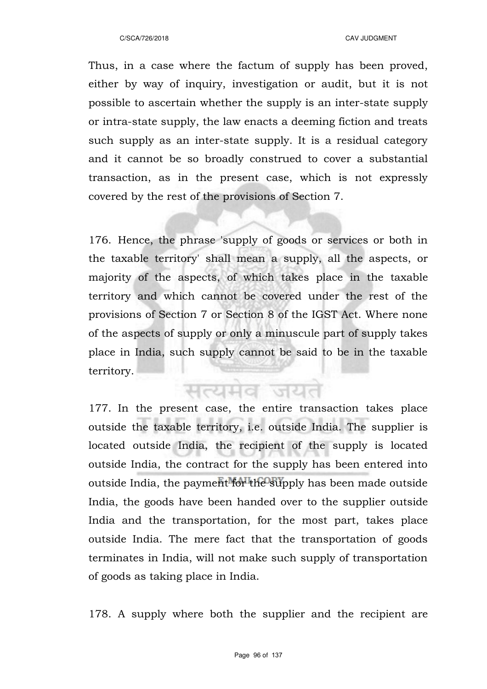Thus, in a case where the factum of supply has been proved, either by way of inquiry, investigation or audit, but it is not possible to ascertain whether the supply is an inter-state supply or intra-state supply, the law enacts a deeming fiction and treats such supply as an inter-state supply. It is a residual category and it cannot be so broadly construed to cover a substantial transaction, as in the present case, which is not expressly covered by the rest of the provisions of Section 7.

176. Hence, the phrase 'supply of goods or services or both in the taxable territory' shall mean a supply, all the aspects, or majority of the aspects, of which takes place in the taxable territory and which cannot be covered under the rest of the provisions of Section 7 or Section 8 of the IGST Act. Where none of the aspects of supply or only a minuscule part of supply takes place in India, such supply cannot be said to be in the taxable territory.

सत्यमव जयत

177. In the present case, the entire transaction takes place outside the taxable territory, i.e. outside India. The supplier is located outside India, the recipient of the supply is located outside India, the contract for the supply has been entered into outside India, the payment for the supply has been made outside India, the goods have been handed over to the supplier outside India and the transportation, for the most part, takes place outside India. The mere fact that the transportation of goods terminates in India, will not make such supply of transportation of goods as taking place in India.

178. A supply where both the supplier and the recipient are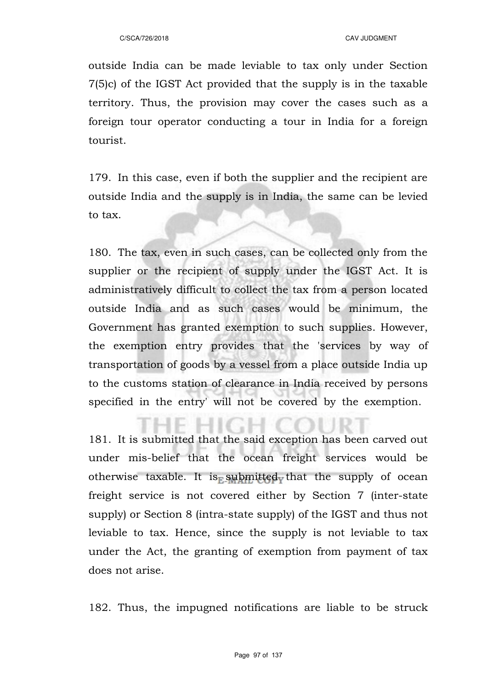outside India can be made leviable to tax only under Section 7(5)c) of the IGST Act provided that the supply is in the taxable territory. Thus, the provision may cover the cases such as a foreign tour operator conducting a tour in India for a foreign tourist.

179. In this case, even if both the supplier and the recipient are outside India and the supply is in India, the same can be levied to tax.

180. The tax, even in such cases, can be collected only from the supplier or the recipient of supply under the IGST Act. It is administratively difficult to collect the tax from a person located outside India and as such cases would be minimum, the Government has granted exemption to such supplies. However, the exemption entry provides that the 'services by way of transportation of goods by a vessel from a place outside India up to the customs station of clearance in India received by persons specified in the entry' will not be covered by the exemption.

181. It is submitted that the said exception has been carved out under mis-belief that the ocean freight services would be otherwise taxable. It is submitted that the supply of ocean freight service is not covered either by Section 7 (inter-state supply) or Section 8 (intra-state supply) of the IGST and thus not leviable to tax. Hence, since the supply is not leviable to tax under the Act, the granting of exemption from payment of tax does not arise.

182. Thus, the impugned notifications are liable to be struck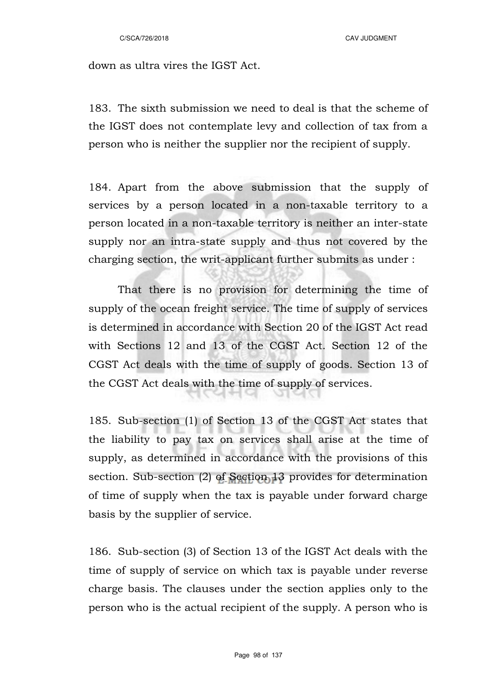C/SCA/726/2018 CAV JUDGMENT

down as ultra vires the IGST Act.

183. The sixth submission we need to deal is that the scheme of the IGST does not contemplate levy and collection of tax from a person who is neither the supplier nor the recipient of supply.

184. Apart from the above submission that the supply of services by a person located in a non-taxable territory to a person located in a non-taxable territory is neither an inter-state supply nor an intra-state supply and thus not covered by the charging section, the writ-applicant further submits as under :

That there is no provision for determining the time of supply of the ocean freight service. The time of supply of services is determined in accordance with Section 20 of the IGST Act read with Sections 12 and 13 of the CGST Act. Section 12 of the CGST Act deals with the time of supply of goods. Section 13 of the CGST Act deals with the time of supply of services.

185. Sub-section (1) of Section 13 of the CGST Act states that the liability to pay tax on services shall arise at the time of supply, as determined in accordance with the provisions of this section. Sub-section (2) of Section 13 provides for determination of time of supply when the tax is payable under forward charge basis by the supplier of service.

186. Sub-section (3) of Section 13 of the IGST Act deals with the time of supply of service on which tax is payable under reverse charge basis. The clauses under the section applies only to the person who is the actual recipient of the supply. A person who is

Page 98 of 137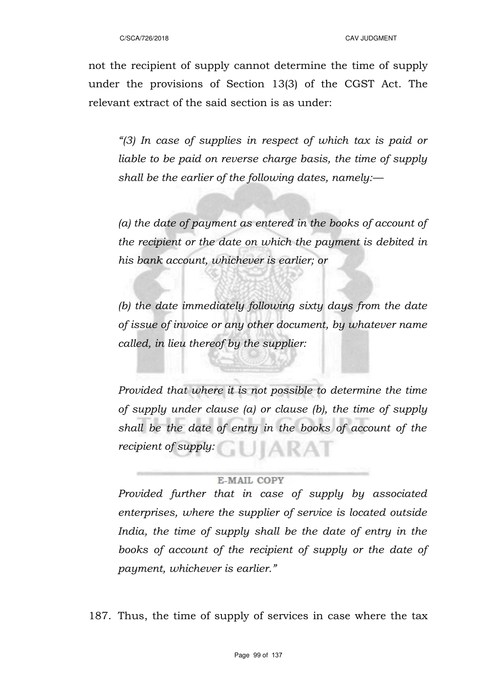not the recipient of supply cannot determine the time of supply under the provisions of Section 13(3) of the CGST Act. The relevant extract of the said section is as under:

*"(3) In case of supplies in respect of which tax is paid or liable to be paid on reverse charge basis, the time of supply shall be the earlier of the following dates, namely:––*

*(a) the date of payment as entered in the books of account of the recipient or the date on which the payment is debited in his bank account, whichever is earlier; or*

*(b) the date immediately following sixty days from the date of issue of invoice or any other document, by whatever name called, in lieu thereof by the supplier:*

*Provided that where it is not possible to determine the time of supply under clause (a) or clause (b), the time of supply shall be the date of entry in the books of account of the recipient of supply:*

### **E-MAIL COPY**

*Provided further that in case of supply by associated enterprises, where the supplier of service is located outside India, the time of supply shall be the date of entry in the books of account of the recipient of supply or the date of payment, whichever is earlier."*

187. Thus, the time of supply of services in case where the tax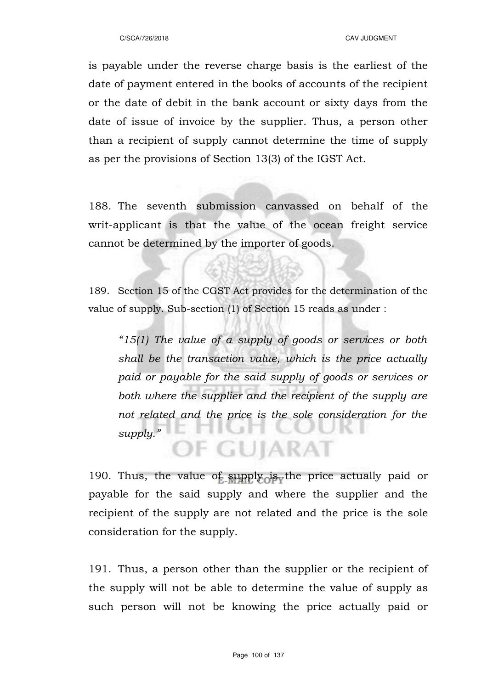is payable under the reverse charge basis is the earliest of the date of payment entered in the books of accounts of the recipient or the date of debit in the bank account or sixty days from the date of issue of invoice by the supplier. Thus, a person other than a recipient of supply cannot determine the time of supply as per the provisions of Section 13(3) of the IGST Act.

188. The seventh submission canvassed on behalf of the writ-applicant is that the value of the ocean freight service cannot be determined by the importer of goods.

189. Section 15 of the CGST Act provides for the determination of the value of supply. Sub-section (1) of Section 15 reads as under :

*"15(1) The value of a supply of goods or services or both shall be the transaction value, which is the price actually paid or payable for the said supply of goods or services or both where the supplier and the recipient of the supply are not related and the price is the sole consideration for the supply."* **IF GUJARAT** 

190. Thus, the value of supply is the price actually paid or payable for the said supply and where the supplier and the recipient of the supply are not related and the price is the sole consideration for the supply.

191. Thus, a person other than the supplier or the recipient of the supply will not be able to determine the value of supply as such person will not be knowing the price actually paid or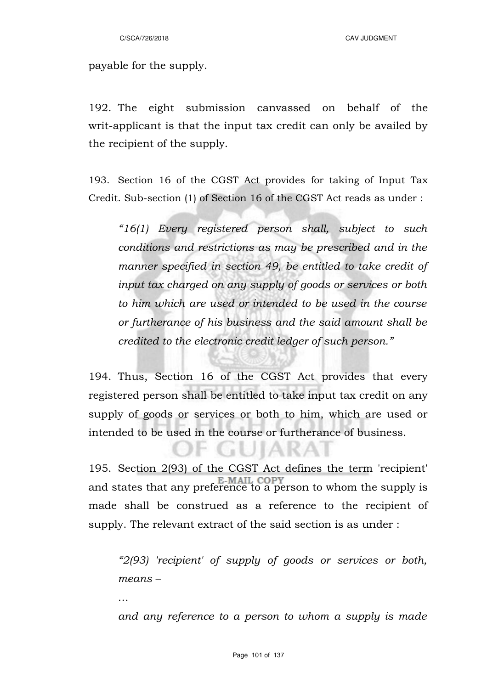payable for the supply.

192. The eight submission canvassed on behalf of the writ-applicant is that the input tax credit can only be availed by the recipient of the supply.

193. Section 16 of the CGST Act provides for taking of Input Tax Credit. Sub-section (1) of Section 16 of the CGST Act reads as under :

*"16(1) Every registered person shall, subject to such conditions and restrictions as may be prescribed and in the manner specified in section 49, be entitled to take credit of input tax charged on any supply of goods or services or both to him which are used or intended to be used in the course or furtherance of his business and the said amount shall be credited to the electronic credit ledger of such person."*

194. Thus, Section 16 of the CGST Act provides that every registered person shall be entitled to take input tax credit on any supply of goods or services or both to him, which are used or intended to be used in the course or furtherance of business.

195. Section 2(93) of the CGST Act defines the term 'recipient' and states that any preference to a person to whom the supply is made shall be construed as a reference to the recipient of supply. The relevant extract of the said section is as under :

F GUIARAI

*"2(93) 'recipient' of supply of goods or services or both, means –*

*…*

*and any reference to a person to whom a supply is made*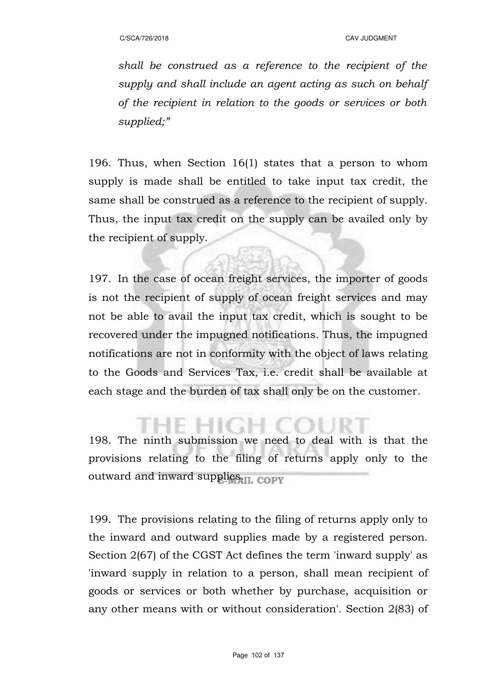*shall be construed as a reference to the recipient of the supply and shall include an agent acting as such on behalf of the recipient in relation to the goods or services or both supplied;"*

196. Thus, when Section 16(1) states that a person to whom supply is made shall be entitled to take input tax credit, the same shall be construed as a reference to the recipient of supply. Thus, the input tax credit on the supply can be availed only by the recipient of supply.

197. In the case of ocean freight services, the importer of goods is not the recipient of supply of ocean freight services and may not be able to avail the input tax credit, which is sought to be recovered under the impugned notifications. Thus, the impugned notifications are not in conformity with the object of laws relating to the Goods and Services Tax, i.e. credit shall be available at each stage and the burden of tax shall only be on the customer.

198. The ninth submission we need to deal with is that the provisions relating to the filing of returns apply only to the outward and inward supplies.<sub>II. COPV</sub>

199. The provisions relating to the filing of returns apply only to the inward and outward supplies made by a registered person. Section 2(67) of the CGST Act defines the term 'inward supply' as 'inward supply in relation to a person, shall mean recipient of goods or services or both whether by purchase, acquisition or any other means with or without consideration'. Section 2(83) of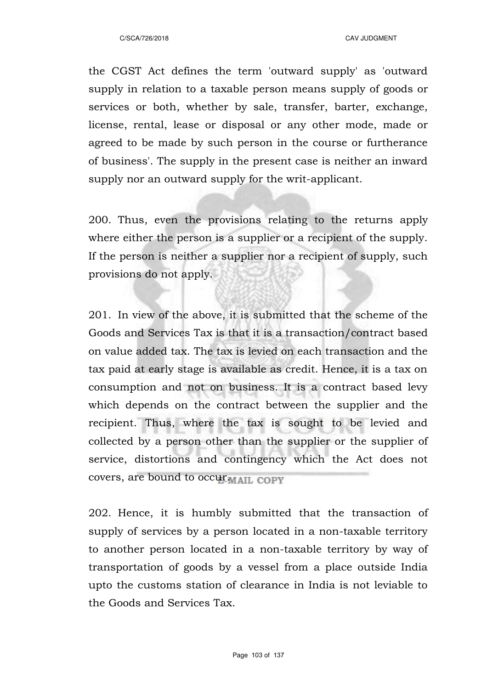the CGST Act defines the term 'outward supply' as 'outward supply in relation to a taxable person means supply of goods or services or both, whether by sale, transfer, barter, exchange, license, rental, lease or disposal or any other mode, made or agreed to be made by such person in the course or furtherance of business'. The supply in the present case is neither an inward supply nor an outward supply for the writ-applicant.

200. Thus, even the provisions relating to the returns apply where either the person is a supplier or a recipient of the supply. If the person is neither a supplier nor a recipient of supply, such provisions do not apply.

201. In view of the above, it is submitted that the scheme of the Goods and Services Tax is that it is a transaction/contract based on value added tax. The tax is levied on each transaction and the tax paid at early stage is available as credit. Hence, it is a tax on consumption and not on business. It is a contract based levy which depends on the contract between the supplier and the recipient. Thus, where the tax is sought to be levied and collected by a person other than the supplier or the supplier of service, distortions and contingency which the Act does not covers, are bound to occur MAIL COPY

202. Hence, it is humbly submitted that the transaction of supply of services by a person located in a non-taxable territory to another person located in a non-taxable territory by way of transportation of goods by a vessel from a place outside India upto the customs station of clearance in India is not leviable to the Goods and Services Tax.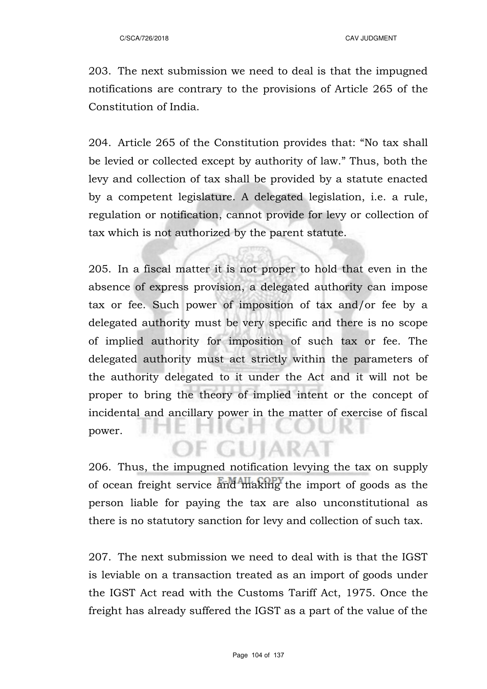203. The next submission we need to deal is that the impugned notifications are contrary to the provisions of Article 265 of the Constitution of India.

204. Article 265 of the Constitution provides that: "No tax shall be levied or collected except by authority of law." Thus, both the levy and collection of tax shall be provided by a statute enacted by a competent legislature. A delegated legislation, i.e. a rule, regulation or notification, cannot provide for levy or collection of tax which is not authorized by the parent statute.

205. In a fiscal matter it is not proper to hold that even in the absence of express provision, a delegated authority can impose tax or fee. Such power of imposition of tax and/or fee by a delegated authority must be very specific and there is no scope of implied authority for imposition of such tax or fee. The delegated authority must act strictly within the parameters of the authority delegated to it under the Act and it will not be proper to bring the theory of implied intent or the concept of incidental and ancillary power in the matter of exercise of fiscal power.

206. Thus, the impugned notification levying the tax on supply of ocean freight service and making the import of goods as the person liable for paying the tax are also unconstitutional as there is no statutory sanction for levy and collection of such tax.

OF GUIARAT

207. The next submission we need to deal with is that the IGST is leviable on a transaction treated as an import of goods under the IGST Act read with the Customs Tariff Act, 1975. Once the freight has already suffered the IGST as a part of the value of the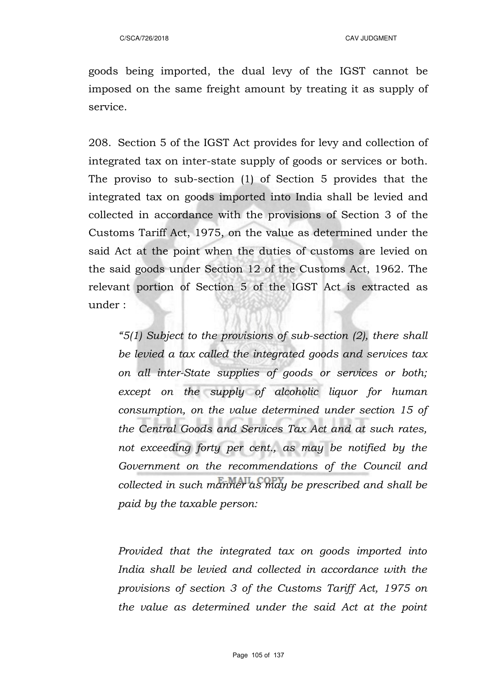goods being imported, the dual levy of the IGST cannot be imposed on the same freight amount by treating it as supply of service.

208. Section 5 of the IGST Act provides for levy and collection of integrated tax on inter-state supply of goods or services or both. The proviso to sub-section (1) of Section 5 provides that the integrated tax on goods imported into India shall be levied and collected in accordance with the provisions of Section 3 of the Customs Tariff Act, 1975, on the value as determined under the said Act at the point when the duties of customs are levied on the said goods under Section 12 of the Customs Act, 1962. The relevant portion of Section 5 of the IGST Act is extracted as under :

*"5(1) Subject to the provisions of sub-section (2), there shall be levied a tax called the integrated goods and services tax on all inter-State supplies of goods or services or both; except on the supply of alcoholic liquor for human consumption, on the value determined under section 15 of the Central Goods and Services Tax Act and at such rates, not exceeding forty per cent., as may be notified by the Government on the recommendations of the Council and collected in such manner as may be prescribed and shall be paid by the taxable person:*

*Provided that the integrated tax on goods imported into India shall be levied and collected in accordance with the provisions of section 3 of the Customs Tariff Act, 1975 on the value as determined under the said Act at the point*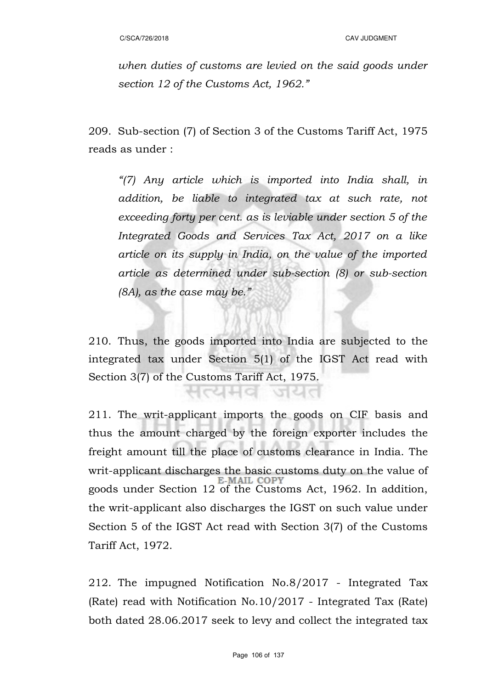*when duties of customs are levied on the said goods under section 12 of the Customs Act, 1962."*

209. Sub-section (7) of Section 3 of the Customs Tariff Act, 1975 reads as under :

*"(7) Any article which is imported into India shall, in addition, be liable to integrated tax at such rate, not exceeding forty per cent. as is leviable under section 5 of the Integrated Goods and Services Tax Act, 2017 on a like article on its supply in India, on the value of the imported article as determined under sub-section (8) or sub-section (8A), as the case may be."*

210. Thus, the goods imported into India are subjected to the integrated tax under Section 5(1) of the IGST Act read with Section 3(7) of the Customs Tariff Act, 1975.

जयत

리뉘어

211. The writ-applicant imports the goods on CIF basis and thus the amount charged by the foreign exporter includes the freight amount till the place of customs clearance in India. The writ-applicant discharges the basic customs duty on the value of<br>E-MAIL COPY goods under Section 12 of the Customs Act, 1962. In addition, the writ-applicant also discharges the IGST on such value under Section 5 of the IGST Act read with Section 3(7) of the Customs Tariff Act, 1972.

212. The impugned Notification No.8/2017 - Integrated Tax (Rate) read with Notification No.10/2017 - Integrated Tax (Rate) both dated 28.06.2017 seek to levy and collect the integrated tax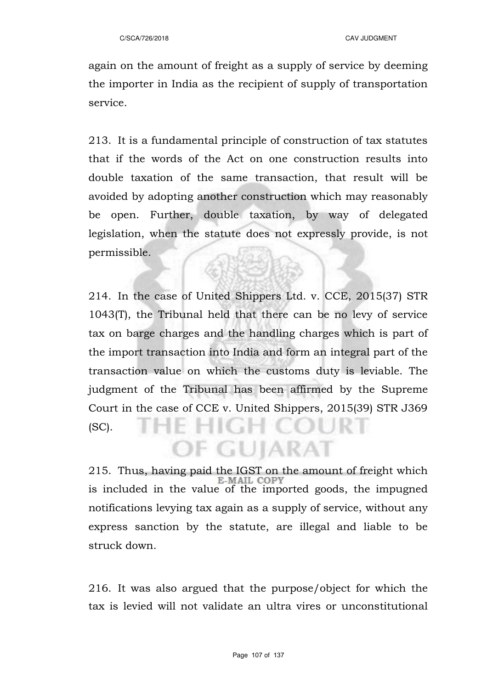again on the amount of freight as a supply of service by deeming the importer in India as the recipient of supply of transportation service.

213. It is a fundamental principle of construction of tax statutes that if the words of the Act on one construction results into double taxation of the same transaction, that result will be avoided by adopting another construction which may reasonably be open. Further, double taxation, by way of delegated legislation, when the statute does not expressly provide, is not permissible.

214. In the case of United Shippers Ltd. v. CCE, 2015(37) STR 1043(T), the Tribunal held that there can be no levy of service tax on barge charges and the handling charges which is part of the import transaction into India and form an integral part of the transaction value on which the customs duty is leviable. The judgment of the Tribunal has been affirmed by the Supreme Court in the case of CCE v. United Shippers, 2015(39) STR J369 (SC).

215. Thus, having paid the IGST on the amount of freight which  $E_M$  and  $E_M$ is included in the value of the imported goods, the impugned notifications levying tax again as a supply of service, without any express sanction by the statute, are illegal and liable to be struck down.

OF GUJARAT

216. It was also argued that the purpose/object for which the tax is levied will not validate an ultra vires or unconstitutional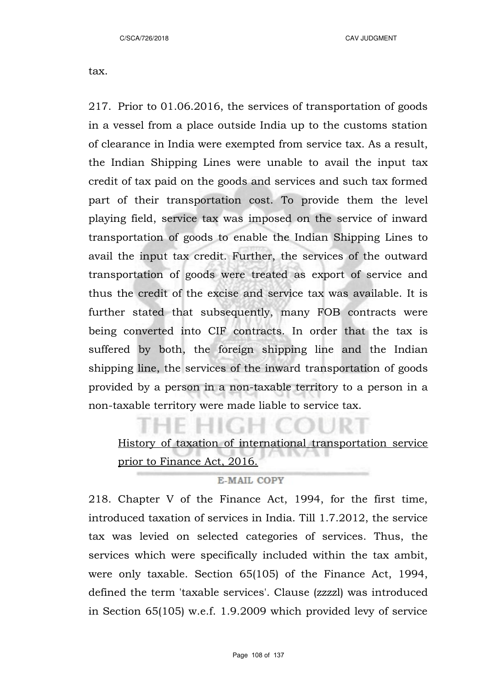tax.

217. Prior to 01.06.2016, the services of transportation of goods in a vessel from a place outside India up to the customs station of clearance in India were exempted from service tax. As a result, the Indian Shipping Lines were unable to avail the input tax credit of tax paid on the goods and services and such tax formed part of their transportation cost. To provide them the level playing field, service tax was imposed on the service of inward transportation of goods to enable the Indian Shipping Lines to avail the input tax credit. Further, the services of the outward transportation of goods were treated as export of service and thus the credit of the excise and service tax was available. It is further stated that subsequently, many FOB contracts were being converted into CIF contracts. In order that the tax is suffered by both, the foreign shipping line and the Indian shipping line, the services of the inward transportation of goods provided by a person in a non-taxable territory to a person in a non-taxable territory were made liable to service tax.

History of taxation of international transportation service prior to Finance Act, 2016.

### **E-MAIL COPY**

218. Chapter V of the Finance Act, 1994, for the first time, introduced taxation of services in India. Till 1.7.2012, the service tax was levied on selected categories of services. Thus, the services which were specifically included within the tax ambit, were only taxable. Section 65(105) of the Finance Act, 1994, defined the term 'taxable services'. Clause (zzzzl) was introduced in Section 65(105) w.e.f. 1.9.2009 which provided levy of service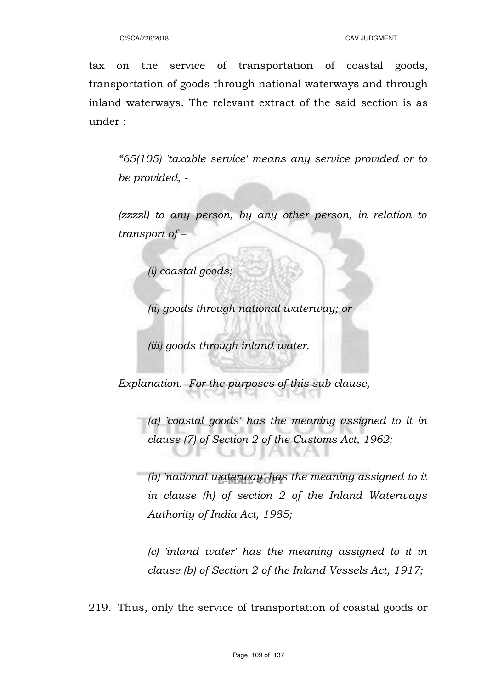tax on the service of transportation of coastal goods, transportation of goods through national waterways and through inland waterways. The relevant extract of the said section is as under :

*"65(105) 'taxable service' means any service provided or to be provided, -*

*(zzzzl) to any person, by any other person, in relation to transport of –*

*(i) coastal goods;*

*(ii) goods through national waterway; or*

*(iii) goods through inland water.*

*Explanation.- For the purposes of this sub-clause, –*

*(a) 'coastal goods' has the meaning assigned to it in clause (7) of Section 2 of the Customs Act, 1962;*

*(b) 'national waterway' has the meaning assigned to it in clause (h) of section 2 of the Inland Waterways Authority of India Act, 1985;*

*(c) 'inland water' has the meaning assigned to it in clause (b) of Section 2 of the Inland Vessels Act, 1917;*

219. Thus, only the service of transportation of coastal goods or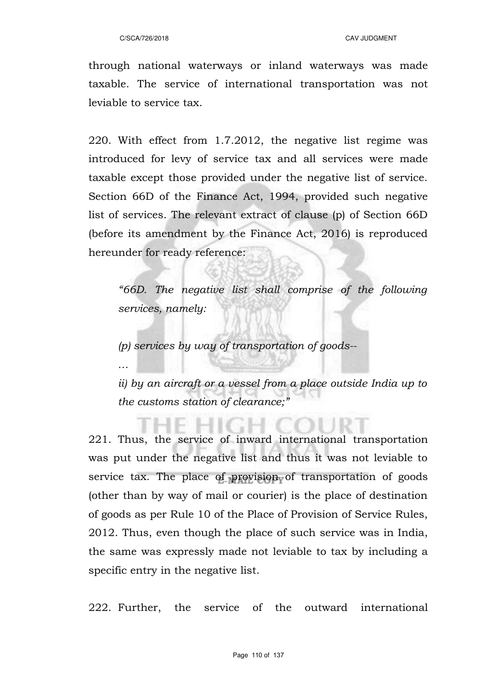*…*

through national waterways or inland waterways was made taxable. The service of international transportation was not leviable to service tax.

220. With effect from 1.7.2012, the negative list regime was introduced for levy of service tax and all services were made taxable except those provided under the negative list of service. Section 66D of the Finance Act, 1994, provided such negative list of services. The relevant extract of clause (p) of Section 66D (before its amendment by the Finance Act, 2016) is reproduced hereunder for ready reference:

*"66D. The negative list shall comprise of the following services, namely:*

*(p) services by way of transportation of goods--*

*ii) by an aircraft or a vessel from a place outside India up to the customs station of clearance;"*

221. Thus, the service of inward international transportation was put under the negative list and thus it was not leviable to service tax. The place of provision of transportation of goods (other than by way of mail or courier) is the place of destination of goods as per Rule 10 of the Place of Provision of Service Rules, 2012. Thus, even though the place of such service was in India, the same was expressly made not leviable to tax by including a specific entry in the negative list.

222. Further, the service of the outward international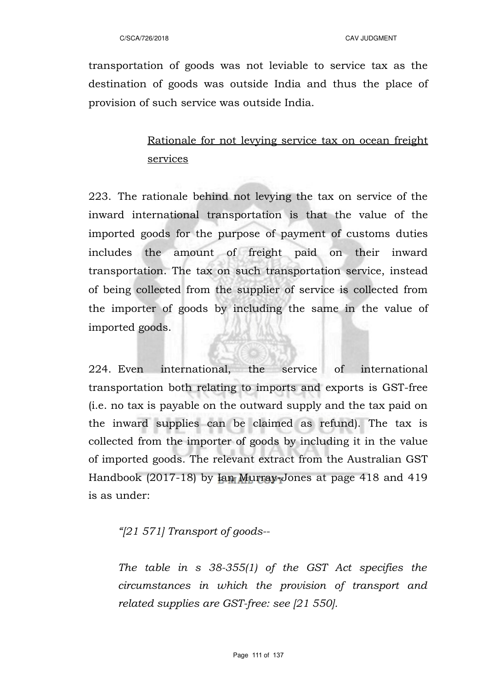transportation of goods was not leviable to service tax as the destination of goods was outside India and thus the place of provision of such service was outside India.

# Rationale for not levying service tax on ocean freight services

223. The rationale behind not levying the tax on service of the inward international transportation is that the value of the imported goods for the purpose of payment of customs duties includes the amount of freight paid on their inward transportation. The tax on such transportation service, instead of being collected from the supplier of service is collected from the importer of goods by including the same in the value of imported goods.

224. Even international, the service of international transportation both relating to imports and exports is GST-free (i.e. no tax is payable on the outward supply and the tax paid on the inward supplies can be claimed as refund). The tax is collected from the importer of goods by including it in the value of imported goods. The relevant extract from the Australian GST Handbook (2017-18) by Ian Murray-Jones at page 418 and 419 is as under:

*"[21 571] Transport of goods--*

*The table in s 38-355(1) of the GST Act specifies the circumstances in which the provision of transport and related supplies are GST-free: see [21 550].*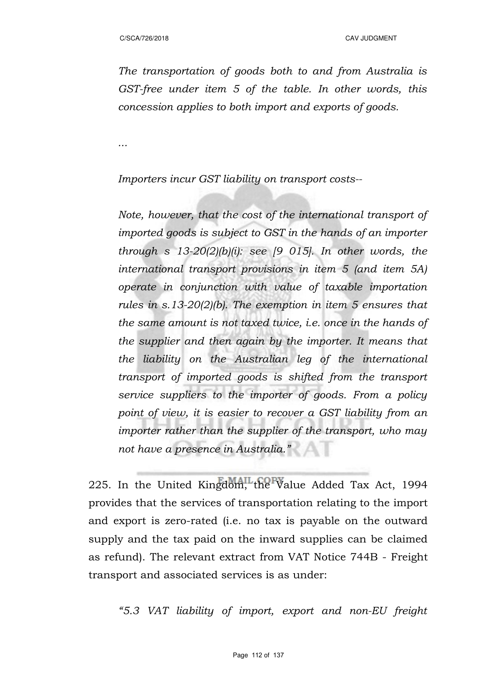*The transportation of goods both to and from Australia is GST-free under item 5 of the table. In other words, this concession applies to both import and exports of goods.*

*...*

*Importers incur GST liability on transport costs--*

*Note, however, that the cost of the international transport of imported goods is subject to GST in the hands of an importer through s 13-20(2)(b)(i): see [9 015]. In other words, the international transport provisions in item 5 (and item 5A) operate in conjunction with value of taxable importation rules in s.13-20(2)(b). The exemption in item 5 ensures that the same amount is not taxed twice, i.e. once in the hands of the supplier and then again by the importer. It means that the liability on the Australian leg of the international transport of imported goods is shifted from the transport service suppliers to the importer of goods. From a policy point of view, it is easier to recover a GST liability from an importer rather than the supplier of the transport, who may not have a presence in Australia."*

225. In the United Kingdom, the Value Added Tax Act, 1994 provides that the services of transportation relating to the import and export is zero-rated (i.e. no tax is payable on the outward supply and the tax paid on the inward supplies can be claimed as refund). The relevant extract from VAT Notice 744B - Freight transport and associated services is as under:

*"5.3 VAT liability of import, export and non-EU freight*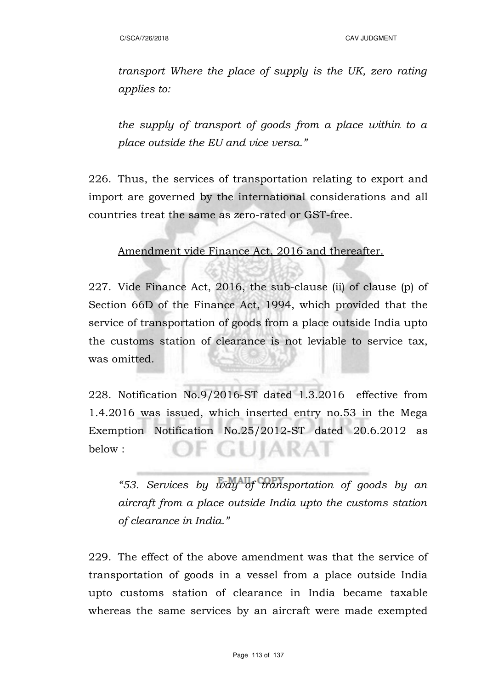*transport Where the place of supply is the UK, zero rating applies to:* 

*the supply of transport of goods from a place within to a place outside the EU and vice versa."*

226. Thus, the services of transportation relating to export and import are governed by the international considerations and all countries treat the same as zero-rated or GST-free.

Amendment vide Finance Act, 2016 and thereafter.

227. Vide Finance Act, 2016, the sub-clause (ii) of clause (p) of Section 66D of the Finance Act, 1994, which provided that the service of transportation of goods from a place outside India upto the customs station of clearance is not leviable to service tax, was omitted.

228. Notification No.9/2016-ST dated 1.3.2016 effective from 1.4.2016 was issued, which inserted entry no.53 in the Mega Exemption Notification No.25/2012-ST dated 20.6.2012 as IF GUIARAT below :

*"53. Services by way of transportation of goods by an aircraft from a place outside India upto the customs station of clearance in India."*

229. The effect of the above amendment was that the service of transportation of goods in a vessel from a place outside India upto customs station of clearance in India became taxable whereas the same services by an aircraft were made exempted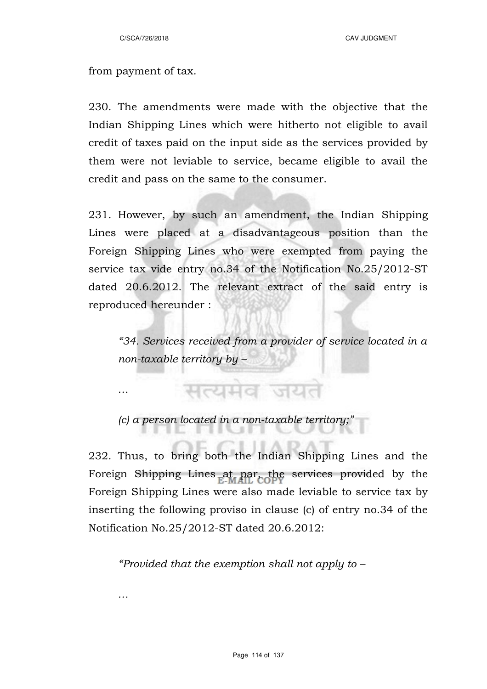C/SCA/726/2018 CAV JUDGMENT

from payment of tax.

*…*

*…*

230. The amendments were made with the objective that the Indian Shipping Lines which were hitherto not eligible to avail credit of taxes paid on the input side as the services provided by them were not leviable to service, became eligible to avail the credit and pass on the same to the consumer.

231. However, by such an amendment, the Indian Shipping Lines were placed at a disadvantageous position than the Foreign Shipping Lines who were exempted from paying the service tax vide entry no.34 of the Notification No.25/2012-ST dated 20.6.2012. The relevant extract of the said entry is reproduced hereunder :

*"34. Services received from a provider of service located in a non-taxable territory by –*

*(c) a person located in a non-taxable territory;"*

सत्यमंव जयत

232. Thus, to bring both the Indian Shipping Lines and the Foreign Shipping Lines at par, the services provided by the Foreign Shipping Lines were also made leviable to service tax by inserting the following proviso in clause (c) of entry no.34 of the Notification No.25/2012-ST dated 20.6.2012:

*"Provided that the exemption shall not apply to –*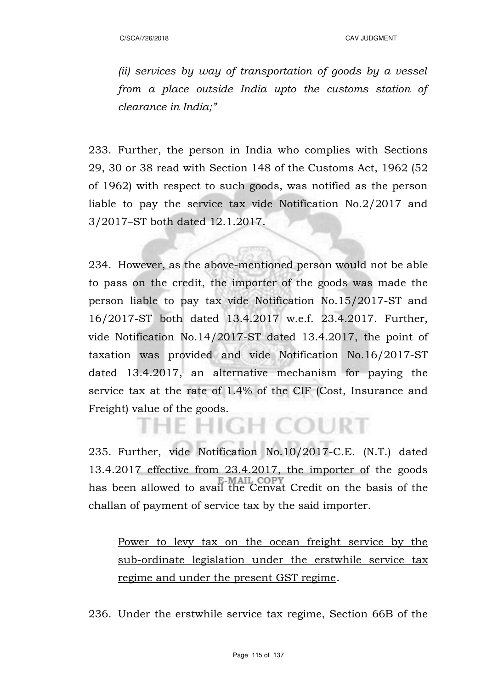*(ii) services by way of transportation of goods by a vessel from a place outside India upto the customs station of clearance in India;"*

233. Further, the person in India who complies with Sections 29, 30 or 38 read with Section 148 of the Customs Act, 1962 (52 of 1962) with respect to such goods, was notified as the person liable to pay the service tax vide Notification No.2/2017 and 3/2017–ST both dated 12.1.2017.

234. However, as the above-mentioned person would not be able to pass on the credit, the importer of the goods was made the person liable to pay tax vide Notification No.15/2017-ST and 16/2017-ST both dated 13.4.2017 w.e.f. 23.4.2017. Further, vide Notification No.14/2017-ST dated 13.4.2017, the point of taxation was provided and vide Notification No.16/2017-ST dated 13.4.2017, an alternative mechanism for paying the service tax at the rate of 1.4% of the CIF (Cost, Insurance and Freight) value of the goods.

235. Further, vide Notification No.10/2017-C.E. (N.T.) dated 13.4.2017 effective from 23.4.2017, the importer of the goods has been allowed to avail the Cenvat Credit on the basis of the challan of payment of service tax by the said importer.

**HIGH COURT** 

Power to levy tax on the ocean freight service by the sub-ordinate legislation under the erstwhile service tax regime and under the present GST regime.

236. Under the erstwhile service tax regime, Section 66B of the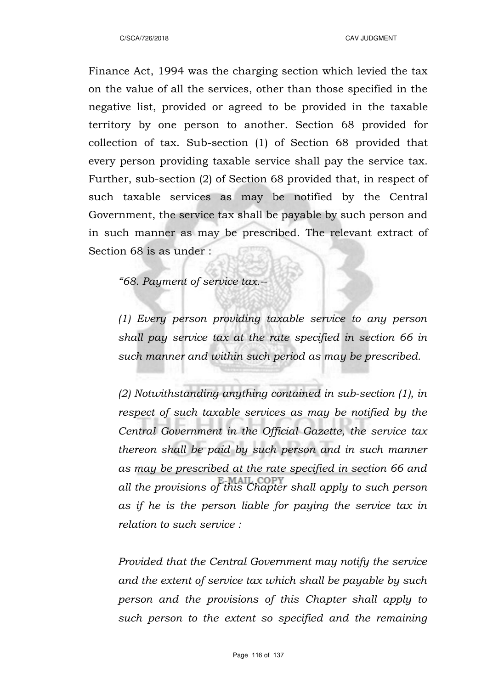Finance Act, 1994 was the charging section which levied the tax on the value of all the services, other than those specified in the negative list, provided or agreed to be provided in the taxable territory by one person to another. Section 68 provided for collection of tax. Sub-section (1) of Section 68 provided that every person providing taxable service shall pay the service tax. Further, sub-section (2) of Section 68 provided that, in respect of such taxable services as may be notified by the Central Government, the service tax shall be payable by such person and in such manner as may be prescribed. The relevant extract of Section 68 is as under :

*"68. Payment of service tax.--*

*(1) Every person providing taxable service to any person shall pay service tax at the rate specified in section 66 in such manner and within such period as may be prescribed.* 

*(2) Notwithstanding anything contained in sub-section (1), in respect of such taxable services as may be notified by the Central Government in the Official Gazette, the service tax thereon shall be paid by such person and in such manner as may be prescribed at the rate specified in section 66 and all the provisions of this Chapter shall apply to such person as if he is the person liable for paying the service tax in relation to such service :* 

*Provided that the Central Government may notify the service and the extent of service tax which shall be payable by such person and the provisions of this Chapter shall apply to such person to the extent so specified and the remaining*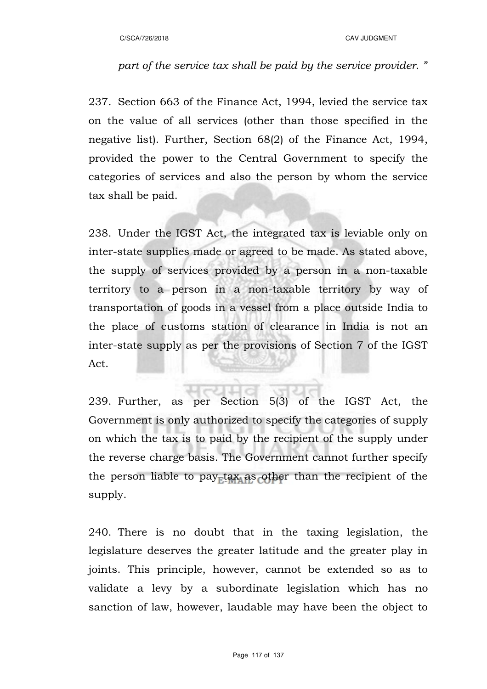# *part of the service tax shall be paid by the service provider. "*

237. Section 663 of the Finance Act, 1994, levied the service tax on the value of all services (other than those specified in the negative list). Further, Section 68(2) of the Finance Act, 1994, provided the power to the Central Government to specify the categories of services and also the person by whom the service tax shall be paid.

238. Under the IGST Act, the integrated tax is leviable only on inter-state supplies made or agreed to be made. As stated above, the supply of services provided by a person in a non-taxable territory to a person in a non-taxable territory by way of transportation of goods in a vessel from a place outside India to the place of customs station of clearance in India is not an inter-state supply as per the provisions of Section 7 of the IGST Act.

239. Further, as per Section 5(3) of the IGST Act, the Government is only authorized to specify the categories of supply on which the tax is to paid by the recipient of the supply under the reverse charge basis. The Government cannot further specify the person liable to pay tax as other than the recipient of the supply.

240. There is no doubt that in the taxing legislation, the legislature deserves the greater latitude and the greater play in joints. This principle, however, cannot be extended so as to validate a levy by a subordinate legislation which has no sanction of law, however, laudable may have been the object to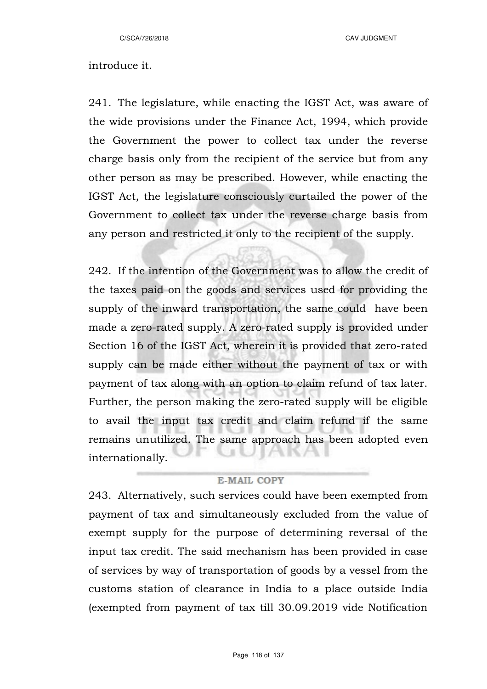C/SCA/726/2018 CAV JUDGMENT

# introduce it.

241. The legislature, while enacting the IGST Act, was aware of the wide provisions under the Finance Act, 1994, which provide the Government the power to collect tax under the reverse charge basis only from the recipient of the service but from any other person as may be prescribed. However, while enacting the IGST Act, the legislature consciously curtailed the power of the Government to collect tax under the reverse charge basis from any person and restricted it only to the recipient of the supply.

242. If the intention of the Government was to allow the credit of the taxes paid on the goods and services used for providing the supply of the inward transportation, the same could have been made a zero-rated supply. A zero-rated supply is provided under Section 16 of the IGST Act, wherein it is provided that zero-rated supply can be made either without the payment of tax or with payment of tax along with an option to claim refund of tax later. Further, the person making the zero-rated supply will be eligible to avail the input tax credit and claim refund if the same remains unutilized. The same approach has been adopted even internationally.

# **E-MAIL COPY**

243. Alternatively, such services could have been exempted from payment of tax and simultaneously excluded from the value of exempt supply for the purpose of determining reversal of the input tax credit. The said mechanism has been provided in case of services by way of transportation of goods by a vessel from the customs station of clearance in India to a place outside India (exempted from payment of tax till 30.09.2019 vide Notification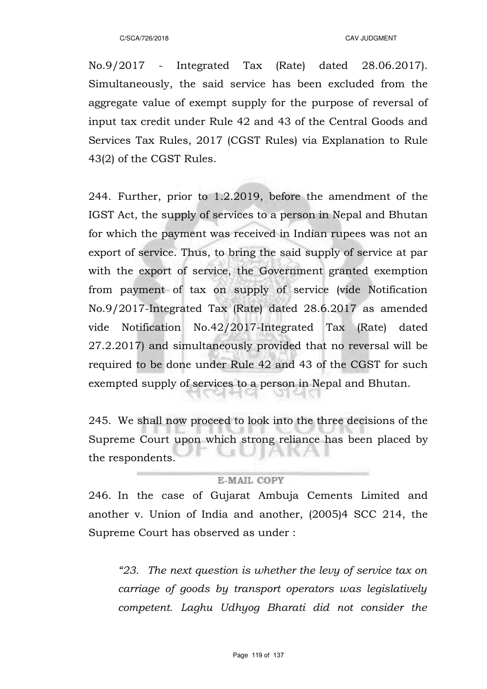No.9/2017 - Integrated Tax (Rate) dated 28.06.2017). Simultaneously, the said service has been excluded from the aggregate value of exempt supply for the purpose of reversal of input tax credit under Rule 42 and 43 of the Central Goods and Services Tax Rules, 2017 (CGST Rules) via Explanation to Rule 43(2) of the CGST Rules.

244. Further, prior to 1.2.2019, before the amendment of the IGST Act, the supply of services to a person in Nepal and Bhutan for which the payment was received in Indian rupees was not an export of service. Thus, to bring the said supply of service at par with the export of service, the Government granted exemption from payment of tax on supply of service (vide Notification No.9/2017-Integrated Tax (Rate) dated 28.6.2017 as amended vide Notification No.42/2017-Integrated Tax (Rate) dated 27.2.2017) and simultaneously provided that no reversal will be required to be done under Rule 42 and 43 of the CGST for such exempted supply of services to a person in Nepal and Bhutan.

245. We shall now proceed to look into the three decisions of the Supreme Court upon which strong reliance has been placed by the respondents.

### **E-MAIL COPY**

246. In the case of Gujarat Ambuja Cements Limited and another v. Union of India and another, (2005)4 SCC 214, the Supreme Court has observed as under :

*"23. The next question is whether the levy of service tax on carriage of goods by transport operators was legislatively competent. Laghu Udhyog Bharati did not consider the*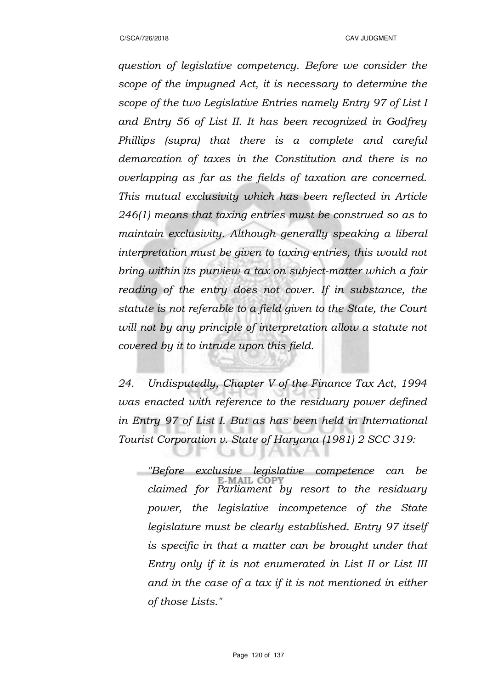*question of legislative competency. Before we consider the scope of the impugned Act, it is necessary to determine the scope of the two Legislative Entries namely Entry 97 of List I and Entry 56 of List II. It has been recognized in Godfrey Phillips (supra) that there is a complete and careful demarcation of taxes in the Constitution and there is no overlapping as far as the fields of taxation are concerned. This mutual exclusivity which has been reflected in Article 246(1) means that taxing entries must be construed so as to maintain exclusivity. Although generally speaking a liberal interpretation must be given to taxing entries, this would not bring within its purview a tax on subject-matter which a fair reading of the entry does not cover. If in substance, the statute is not referable to a field given to the State, the Court will not by any principle of interpretation allow a statute not covered by it to intrude upon this field.*

*24. Undisputedly, Chapter V of the Finance Tax Act, 1994 was enacted with reference to the residuary power defined in Entry 97 of List I. But as has been held in International Tourist Corporation v. State of Haryana (1981) 2 SCC 319:*

*"Before exclusive legislative competence can be claimed for Parliament by resort to the residuary power, the legislative incompetence of the State legislature must be clearly established. Entry 97 itself is specific in that a matter can be brought under that Entry only if it is not enumerated in List II or List III and in the case of a tax if it is not mentioned in either of those Lists."*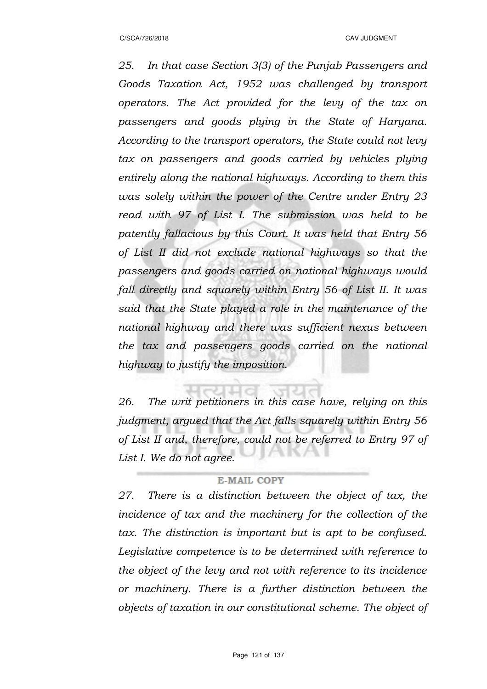*25. In that case Section 3(3) of the Punjab Passengers and Goods Taxation Act, 1952 was challenged by transport operators. The Act provided for the levy of the tax on passengers and goods plying in the State of Haryana. According to the transport operators, the State could not levy tax on passengers and goods carried by vehicles plying entirely along the national highways. According to them this was solely within the power of the Centre under Entry 23 read with 97 of List I. The submission was held to be patently fallacious by this Court. It was held that Entry 56 of List II did not exclude national highways so that the passengers and goods carried on national highways would fall directly and squarely within Entry 56 of List II. It was said that the State played a role in the maintenance of the national highway and there was sufficient nexus between the tax and passengers goods carried on the national highway to justify the imposition.*

*26. The writ petitioners in this case have, relying on this judgment, argued that the Act falls squarely within Entry 56 of List II and, therefore, could not be referred to Entry 97 of List I. We do not agree.*

### **E-MAIL COPY**

*27. There is a distinction between the object of tax, the incidence of tax and the machinery for the collection of the tax. The distinction is important but is apt to be confused. Legislative competence is to be determined with reference to the object of the levy and not with reference to its incidence or machinery. There is a further distinction between the objects of taxation in our constitutional scheme. The object of*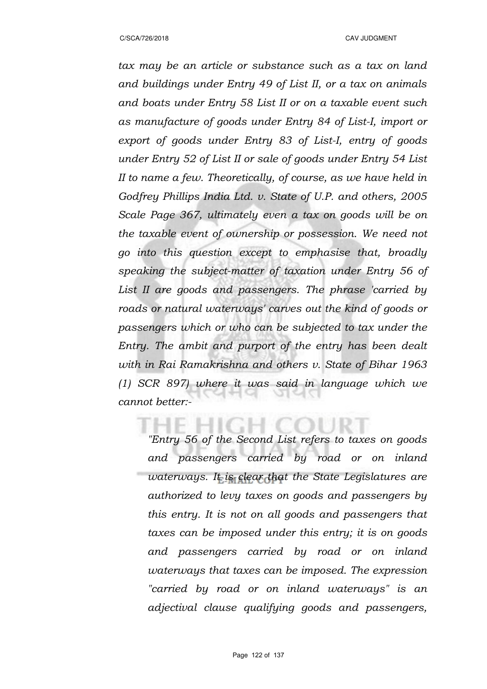*tax may be an article or substance such as a tax on land and buildings under Entry 49 of List II, or a tax on animals and boats under Entry 58 List II or on a taxable event such as manufacture of goods under Entry 84 of List-I, import or export of goods under Entry 83 of List-I, entry of goods under Entry 52 of List II or sale of goods under Entry 54 List II to name a few. Theoretically, of course, as we have held in Godfrey Phillips India Ltd. v. State of U.P. and others, 2005 Scale Page 367, ultimately even a tax on goods will be on the taxable event of ownership or possession. We need not go into this question except to emphasise that, broadly speaking the subject-matter of taxation under Entry 56 of List II are goods and passengers. The phrase 'carried by roads or natural waterways' carves out the kind of goods or passengers which or who can be subjected to tax under the Entry. The ambit and purport of the entry has been dealt with in Rai Ramakrishna and others v. State of Bihar 1963 (1) SCR 897) where it was said in language which we cannot better:-*

*"Entry 56 of the Second List refers to taxes on goods and passengers carried by road or on inland waterways. It is clear that the State Legislatures are authorized to levy taxes on goods and passengers by this entry. It is not on all goods and passengers that taxes can be imposed under this entry; it is on goods and passengers carried by road or on inland waterways that taxes can be imposed. The expression "carried by road or on inland waterways" is an adjectival clause qualifying goods and passengers,*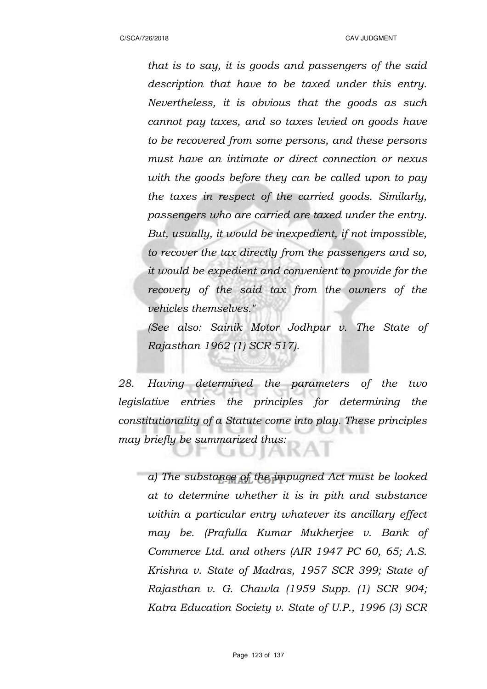*that is to say, it is goods and passengers of the said description that have to be taxed under this entry. Nevertheless, it is obvious that the goods as such cannot pay taxes, and so taxes levied on goods have to be recovered from some persons, and these persons must have an intimate or direct connection or nexus with the goods before they can be called upon to pay the taxes in respect of the carried goods. Similarly, passengers who are carried are taxed under the entry. But, usually, it would be inexpedient, if not impossible, to recover the tax directly from the passengers and so, it would be expedient and convenient to provide for the recovery of the said tax from the owners of the vehicles themselves."* 

*(See also: Sainik Motor Jodhpur v. The State of Rajasthan 1962 (1) SCR 517).*

*28. Having determined the parameters of the two legislative entries the principles for determining the constitutionality of a Statute come into play. These principles may briefly be summarized thus:*

*a) The substance of the impugned Act must be looked at to determine whether it is in pith and substance within a particular entry whatever its ancillary effect may be. (Prafulla Kumar Mukherjee v. Bank of Commerce Ltd. and others (AIR 1947 PC 60, 65; A.S. Krishna v. State of Madras, 1957 SCR 399; State of Rajasthan v. G. Chawla (1959 Supp. (1) SCR 904; Katra Education Society v. State of U.P., 1996 (3) SCR*

N IN A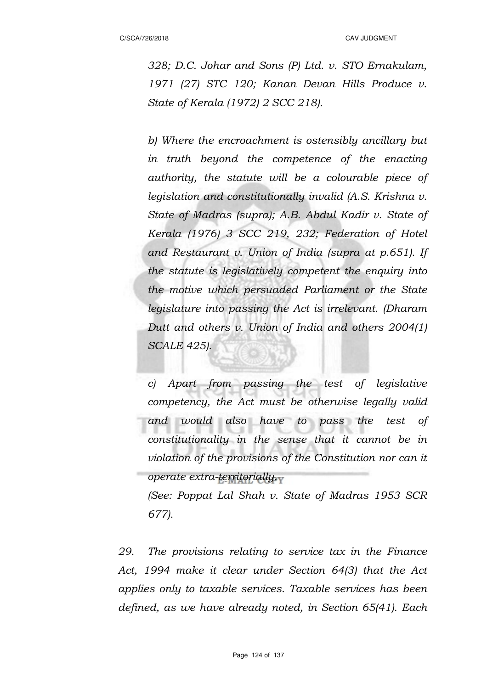C/SCA/726/2018 CAV JUDGMENT

*328; D.C. Johar and Sons (P) Ltd. v. STO Ernakulam, 1971 (27) STC 120; Kanan Devan Hills Produce v. State of Kerala (1972) 2 SCC 218).*

*b) Where the encroachment is ostensibly ancillary but in truth beyond the competence of the enacting authority, the statute will be a colourable piece of legislation and constitutionally invalid (A.S. Krishna v. State of Madras (supra); A.B. Abdul Kadir v. State of Kerala (1976) 3 SCC 219, 232; Federation of Hotel and Restaurant v. Union of India (supra at p.651). If the statute is legislatively competent the enquiry into the motive which persuaded Parliament or the State legislature into passing the Act is irrelevant. (Dharam Dutt and others v. Union of India and others 2004(1) SCALE 425).*

*c) Apart from passing the test of legislative competency, the Act must be otherwise legally valid and would also have to pass the test of constitutionality in the sense that it cannot be in violation of the provisions of the Constitution nor can it operate extra-territorially.*

*(See: Poppat Lal Shah v. State of Madras 1953 SCR 677).*

*29. The provisions relating to service tax in the Finance Act, 1994 make it clear under Section 64(3) that the Act applies only to taxable services. Taxable services has been defined, as we have already noted, in Section 65(41). Each*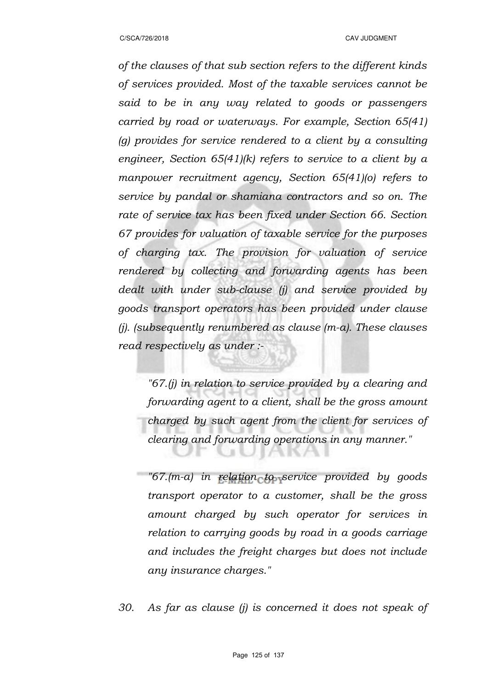*of the clauses of that sub section refers to the different kinds of services provided. Most of the taxable services cannot be said to be in any way related to goods or passengers carried by road or waterways. For example, Section 65(41) (g) provides for service rendered to a client by a consulting engineer, Section 65(41)(k) refers to service to a client by a manpower recruitment agency, Section 65(41)(o) refers to service by pandal or shamiana contractors and so on. The rate of service tax has been fixed under Section 66. Section 67 provides for valuation of taxable service for the purposes of charging tax. The provision for valuation of service rendered by collecting and forwarding agents has been dealt with under sub-clause (j) and service provided by goods transport operators has been provided under clause (j). (subsequently renumbered as clause (m-a). These clauses read respectively as under :-*

*"67.(j) in relation to service provided by a clearing and forwarding agent to a client, shall be the gross amount charged by such agent from the client for services of clearing and forwarding operations in any manner."*

*"67.(m-a) in relation to service provided by goods transport operator to a customer, shall be the gross amount charged by such operator for services in relation to carrying goods by road in a goods carriage and includes the freight charges but does not include any insurance charges."*

*30. As far as clause (j) is concerned it does not speak of*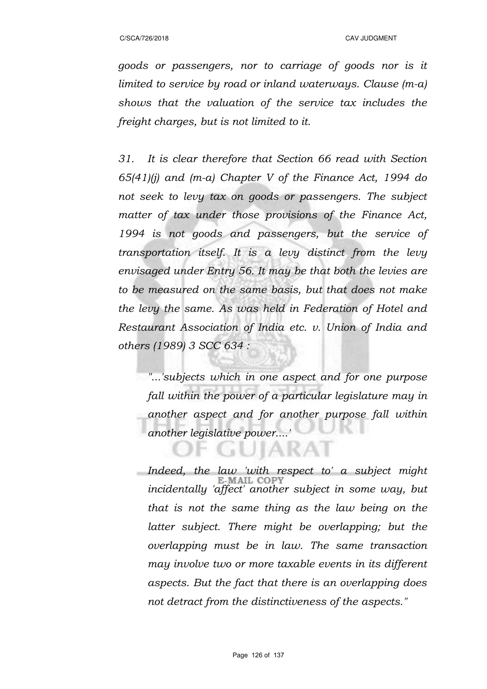*goods or passengers, nor to carriage of goods nor is it limited to service by road or inland waterways. Clause (m-a) shows that the valuation of the service tax includes the freight charges, but is not limited to it.*

*31. It is clear therefore that Section 66 read with Section 65(41)(j) and (m-a) Chapter V of the Finance Act, 1994 do not seek to levy tax on goods or passengers. The subject matter of tax under those provisions of the Finance Act, 1994 is not goods and passengers, but the service of transportation itself. It is a levy distinct from the levy envisaged under Entry 56. It may be that both the levies are to be measured on the same basis, but that does not make the levy the same. As was held in Federation of Hotel and Restaurant Association of India etc. v. Union of India and others (1989) 3 SCC 634 :*

*"...'subjects which in one aspect and for one purpose fall within the power of a particular legislature may in another aspect and for another purpose fall within another legislative power....'*

 $\mathbb{R}^2$ 

*Indeed, the law 'with respect to' a subject might incidentally 'affect' another subject in some way, but that is not the same thing as the law being on the latter subject. There might be overlapping; but the overlapping must be in law. The same transaction may involve two or more taxable events in its different aspects. But the fact that there is an overlapping does not detract from the distinctiveness of the aspects."*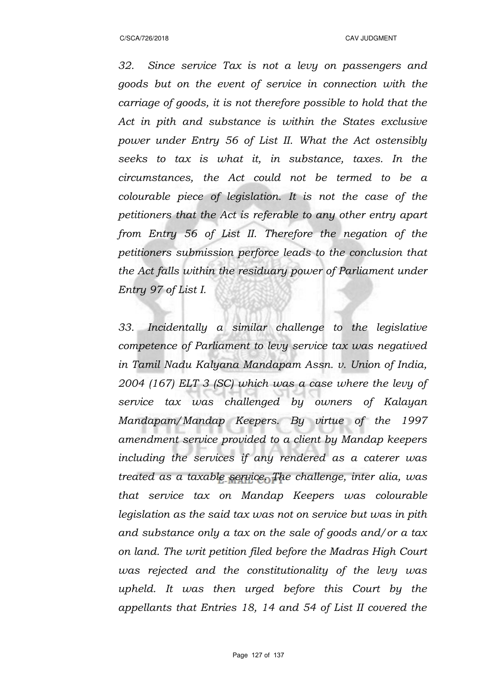*32. Since service Tax is not a levy on passengers and goods but on the event of service in connection with the carriage of goods, it is not therefore possible to hold that the Act in pith and substance is within the States exclusive power under Entry 56 of List II. What the Act ostensibly seeks to tax is what it, in substance, taxes. In the circumstances, the Act could not be termed to be a colourable piece of legislation. It is not the case of the petitioners that the Act is referable to any other entry apart from Entry 56 of List II. Therefore the negation of the petitioners submission perforce leads to the conclusion that the Act falls within the residuary power of Parliament under Entry 97 of List I.*

*33. Incidentally a similar challenge to the legislative competence of Parliament to levy service tax was negatived in Tamil Nadu Kalyana Mandapam Assn. v. Union of India, 2004 (167) ELT 3 (SC) which was a case where the levy of service tax was challenged by owners of Kalayan Mandapam/Mandap Keepers. By virtue of the 1997 amendment service provided to a client by Mandap keepers including the services if any rendered as a caterer was treated as a taxable service. The challenge, inter alia, was that service tax on Mandap Keepers was colourable legislation as the said tax was not on service but was in pith and substance only a tax on the sale of goods and/or a tax on land. The writ petition filed before the Madras High Court was rejected and the constitutionality of the levy was upheld. It was then urged before this Court by the appellants that Entries 18, 14 and 54 of List II covered the*

Page 127 of 137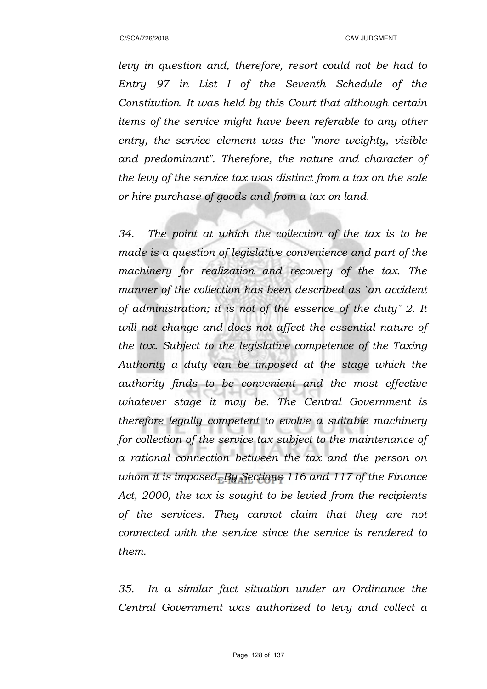*levy in question and, therefore, resort could not be had to Entry 97 in List I of the Seventh Schedule of the Constitution. It was held by this Court that although certain items of the service might have been referable to any other entry, the service element was the "more weighty, visible and predominant". Therefore, the nature and character of the levy of the service tax was distinct from a tax on the sale or hire purchase of goods and from a tax on land.*

*34. The point at which the collection of the tax is to be made is a question of legislative convenience and part of the machinery for realization and recovery of the tax. The manner of the collection has been described as "an accident of administration; it is not of the essence of the duty" 2. It will not change and does not affect the essential nature of the tax. Subject to the legislative competence of the Taxing Authority a duty can be imposed at the stage which the authority finds to be convenient and the most effective whatever stage it may be. The Central Government is therefore legally competent to evolve a suitable machinery for collection of the service tax subject to the maintenance of a rational connection between the tax and the person on whom it is imposed. By Sections 116 and 117 of the Finance Act, 2000, the tax is sought to be levied from the recipients of the services. They cannot claim that they are not connected with the service since the service is rendered to them.* 

*35. In a similar fact situation under an Ordinance the Central Government was authorized to levy and collect a*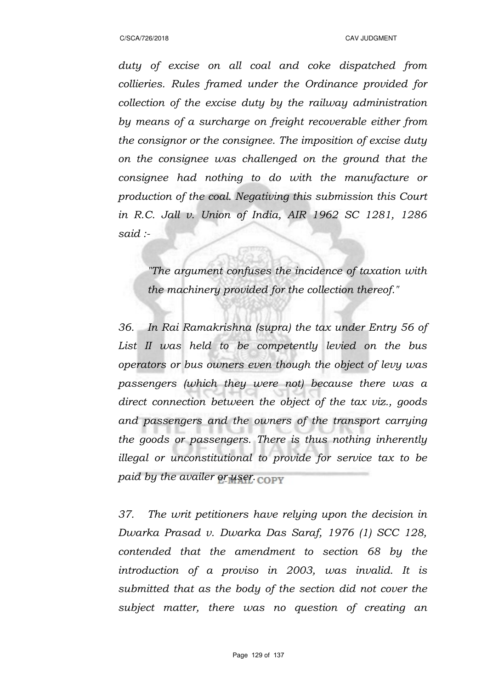*duty of excise on all coal and coke dispatched from collieries. Rules framed under the Ordinance provided for collection of the excise duty by the railway administration by means of a surcharge on freight recoverable either from the consignor or the consignee. The imposition of excise duty on the consignee was challenged on the ground that the consignee had nothing to do with the manufacture or production of the coal. Negativing this submission this Court in R.C. Jall v. Union of India, AIR 1962 SC 1281, 1286 said :-*

*"The argument confuses the incidence of taxation with the machinery provided for the collection thereof."*

*36. In Rai Ramakrishna (supra) the tax under Entry 56 of List II was held to be competently levied on the bus operators or bus owners even though the object of levy was passengers (which they were not) because there was a direct connection between the object of the tax viz., goods and passengers and the owners of the transport carrying the goods or passengers. There is thus nothing inherently illegal or unconstitutional to provide for service tax to be paid by the availer or user.*

*37. The writ petitioners have relying upon the decision in Dwarka Prasad v. Dwarka Das Saraf, 1976 (1) SCC 128, contended that the amendment to section 68 by the introduction of a proviso in 2003, was invalid. It is submitted that as the body of the section did not cover the subject matter, there was no question of creating an*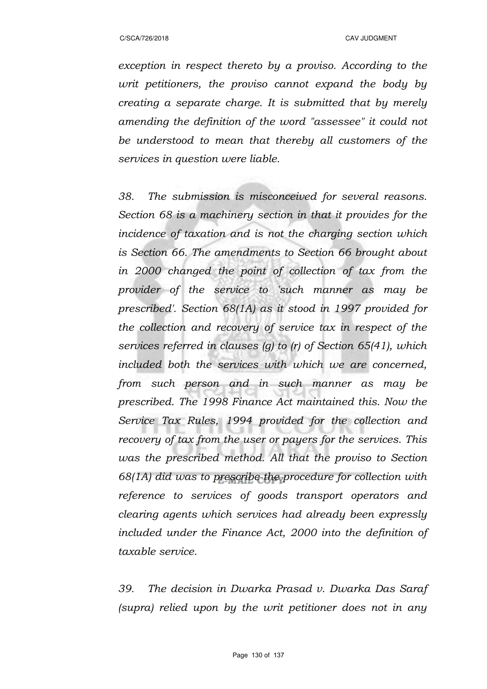*exception in respect thereto by a proviso. According to the writ petitioners, the proviso cannot expand the body by creating a separate charge. It is submitted that by merely amending the definition of the word "assessee" it could not be understood to mean that thereby all customers of the services in question were liable.*

*38. The submission is misconceived for several reasons. Section 68 is a machinery section in that it provides for the incidence of taxation and is not the charging section which is Section 66. The amendments to Section 66 brought about in 2000 changed the point of collection of tax from the provider of the service to 'such manner as may be prescribed'. Section 68(1A) as it stood in 1997 provided for the collection and recovery of service tax in respect of the services referred in clauses (g) to (r) of Section 65(41), which included both the services with which we are concerned, from such person and in such manner as may be prescribed. The 1998 Finance Act maintained this. Now the Service Tax Rules, 1994 provided for the collection and recovery of tax from the user or payers for the services. This was the prescribed method. All that the proviso to Section 68(1A) did was to prescribe the procedure for collection with reference to services of goods transport operators and clearing agents which services had already been expressly included under the Finance Act, 2000 into the definition of taxable service.*

*39. The decision in Dwarka Prasad v. Dwarka Das Saraf (supra) relied upon by the writ petitioner does not in any*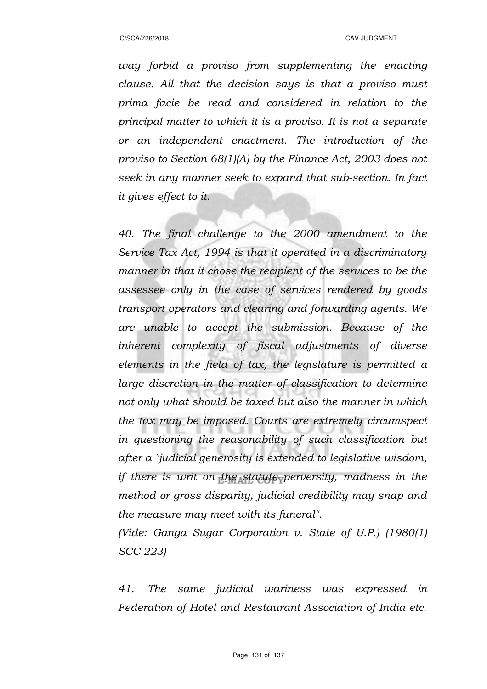*way forbid a proviso from supplementing the enacting clause. All that the decision says is that a proviso must prima facie be read and considered in relation to the principal matter to which it is a proviso. It is not a separate or an independent enactment. The introduction of the proviso to Section 68(1)(A) by the Finance Act, 2003 does not seek in any manner seek to expand that sub-section. In fact it gives effect to it.*

*40. The final challenge to the 2000 amendment to the Service Tax Act, 1994 is that it operated in a discriminatory manner in that it chose the recipient of the services to be the assessee only in the case of services rendered by goods transport operators and clearing and forwarding agents. We are unable to accept the submission. Because of the inherent complexity of fiscal adjustments of diverse elements in the field of tax, the legislature is permitted a large discretion in the matter of classification to determine not only what should be taxed but also the manner in which the tax may be imposed. Courts are extremely circumspect in questioning the reasonability of such classification but after a "judicial generosity is extended to legislative wisdom, if there is writ on the statute perversity, madness in the method or gross disparity, judicial credibility may snap and the measure may meet with its funeral".*

*(Vide: Ganga Sugar Corporation v. State of U.P.) (1980(1) SCC 223)*

*41. The same judicial wariness was expressed in Federation of Hotel and Restaurant Association of India etc.*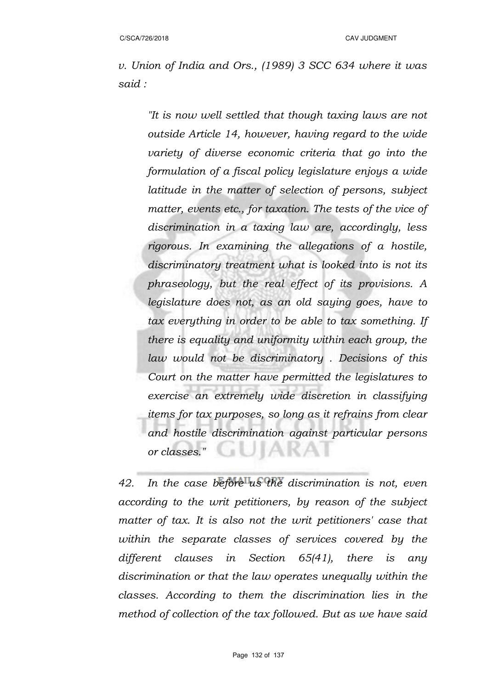*v. Union of India and Ors., (1989) 3 SCC 634 where it was said :*

*"It is now well settled that though taxing laws are not outside Article 14, however, having regard to the wide variety of diverse economic criteria that go into the formulation of a fiscal policy legislature enjoys a wide latitude in the matter of selection of persons, subject matter, events etc., for taxation. The tests of the vice of discrimination in a taxing law are, accordingly, less rigorous. In examining the allegations of a hostile, discriminatory treatment what is looked into is not its phraseology, but the real effect of its provisions. A legislature does not, as an old saying goes, have to tax everything in order to be able to tax something. If there is equality and uniformity within each group, the law would not be discriminatory . Decisions of this Court on the matter have permitted the legislatures to exercise an extremely wide discretion in classifying items for tax purposes, so long as it refrains from clear and hostile discrimination against particular persons or classes."*  JIAKA

*42. In the case before us the discrimination is not, even according to the writ petitioners, by reason of the subject matter of tax. It is also not the writ petitioners' case that within the separate classes of services covered by the different clauses in Section 65(41), there is any discrimination or that the law operates unequally within the classes. According to them the discrimination lies in the method of collection of the tax followed. But as we have said*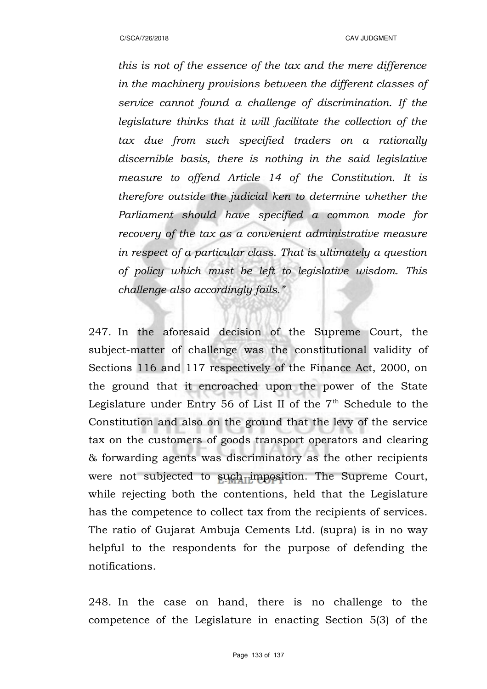*this is not of the essence of the tax and the mere difference in the machinery provisions between the different classes of service cannot found a challenge of discrimination. If the legislature thinks that it will facilitate the collection of the tax due from such specified traders on a rationally discernible basis, there is nothing in the said legislative measure to offend Article 14 of the Constitution. It is therefore outside the judicial ken to determine whether the Parliament should have specified a common mode for recovery of the tax as a convenient administrative measure in respect of a particular class. That is ultimately a question of policy which must be left to legislative wisdom. This challenge also accordingly fails."*

247. In the aforesaid decision of the Supreme Court, the subject-matter of challenge was the constitutional validity of Sections 116 and 117 respectively of the Finance Act, 2000, on the ground that it encroached upon the power of the State Legislature under Entry 56 of List II of the  $7<sup>th</sup>$  Schedule to the Constitution and also on the ground that the levy of the service tax on the customers of goods transport operators and clearing & forwarding agents was discriminatory as the other recipients were not subjected to such imposition. The Supreme Court, while rejecting both the contentions, held that the Legislature has the competence to collect tax from the recipients of services. The ratio of Gujarat Ambuja Cements Ltd. (supra) is in no way helpful to the respondents for the purpose of defending the notifications.

248. In the case on hand, there is no challenge to the competence of the Legislature in enacting Section 5(3) of the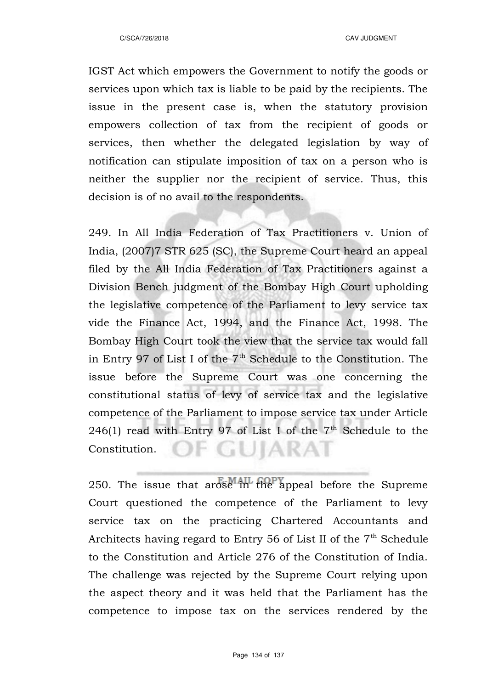IGST Act which empowers the Government to notify the goods or services upon which tax is liable to be paid by the recipients. The issue in the present case is, when the statutory provision empowers collection of tax from the recipient of goods or services, then whether the delegated legislation by way of notification can stipulate imposition of tax on a person who is neither the supplier nor the recipient of service. Thus, this decision is of no avail to the respondents.

249. In All India Federation of Tax Practitioners v. Union of India, (2007)7 STR 625 (SC), the Supreme Court heard an appeal filed by the All India Federation of Tax Practitioners against a Division Bench judgment of the Bombay High Court upholding the legislative competence of the Parliament to levy service tax vide the Finance Act, 1994, and the Finance Act, 1998. The Bombay High Court took the view that the service tax would fall in Entry 97 of List I of the  $7<sup>th</sup>$  Schedule to the Constitution. The issue before the Supreme Court was one concerning the constitutional status of levy of service tax and the legislative competence of the Parliament to impose service tax under Article 246(1) read with Entry 97 of List I of the  $7<sup>th</sup>$  Schedule to the OF GUIARAT Constitution.

250. The issue that arose in the appeal before the Supreme Court questioned the competence of the Parliament to levy service tax on the practicing Chartered Accountants and Architects having regard to Entry 56 of List II of the  $7<sup>th</sup>$  Schedule to the Constitution and Article 276 of the Constitution of India. The challenge was rejected by the Supreme Court relying upon the aspect theory and it was held that the Parliament has the competence to impose tax on the services rendered by the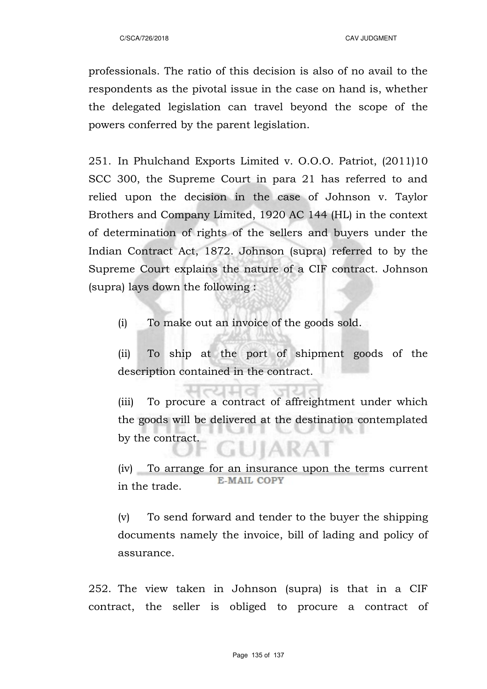professionals. The ratio of this decision is also of no avail to the respondents as the pivotal issue in the case on hand is, whether the delegated legislation can travel beyond the scope of the powers conferred by the parent legislation.

251. In Phulchand Exports Limited v. O.O.O. Patriot, (2011)10 SCC 300, the Supreme Court in para 21 has referred to and relied upon the decision in the case of Johnson v. Taylor Brothers and Company Limited, 1920 AC 144 (HL) in the context of determination of rights of the sellers and buyers under the Indian Contract Act, 1872. Johnson (supra) referred to by the Supreme Court explains the nature of a CIF contract. Johnson (supra) lays down the following :

(i) To make out an invoice of the goods sold.

(ii) To ship at the port of shipment goods of the description contained in the contract.

(iii) To procure a contract of affreightment under which the goods will be delivered at the destination contemplated by the contract.

(iv) To arrange for an insurance upon the terms current **E-MAIL COPY** in the trade.

(v) To send forward and tender to the buyer the shipping documents namely the invoice, bill of lading and policy of assurance.

252. The view taken in Johnson (supra) is that in a CIF contract, the seller is obliged to procure a contract of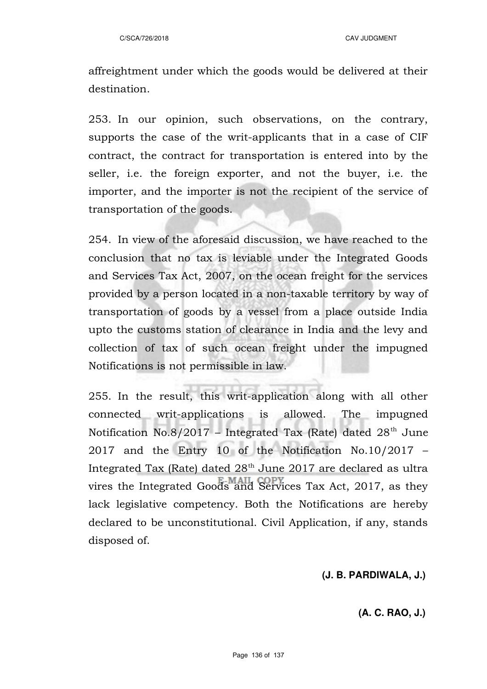affreightment under which the goods would be delivered at their destination.

253. In our opinion, such observations, on the contrary, supports the case of the writ-applicants that in a case of CIF contract, the contract for transportation is entered into by the seller, i.e. the foreign exporter, and not the buyer, i.e. the importer, and the importer is not the recipient of the service of transportation of the goods.

254. In view of the aforesaid discussion, we have reached to the conclusion that no tax is leviable under the Integrated Goods and Services Tax Act, 2007, on the ocean freight for the services provided by a person located in a non-taxable territory by way of transportation of goods by a vessel from a place outside India upto the customs station of clearance in India and the levy and collection of tax of such ocean freight under the impugned Notifications is not permissible in law.

255. In the result, this writ-application along with all other connected writ-applications is allowed. The impugned Notification No.8/2017 – Integrated Tax (Rate) dated  $28<sup>th</sup>$  June 2017 and the Entry 10 of the Notification No.10/2017 – Integrated Tax (Rate) dated  $28<sup>th</sup>$  June 2017 are declared as ultra vires the Integrated Goods and Services Tax Act, 2017, as they lack legislative competency. Both the Notifications are hereby declared to be unconstitutional. Civil Application, if any, stands disposed of.

#### **(J. B. PARDIWALA, J.)**

# **(A. C. RAO, J.)**